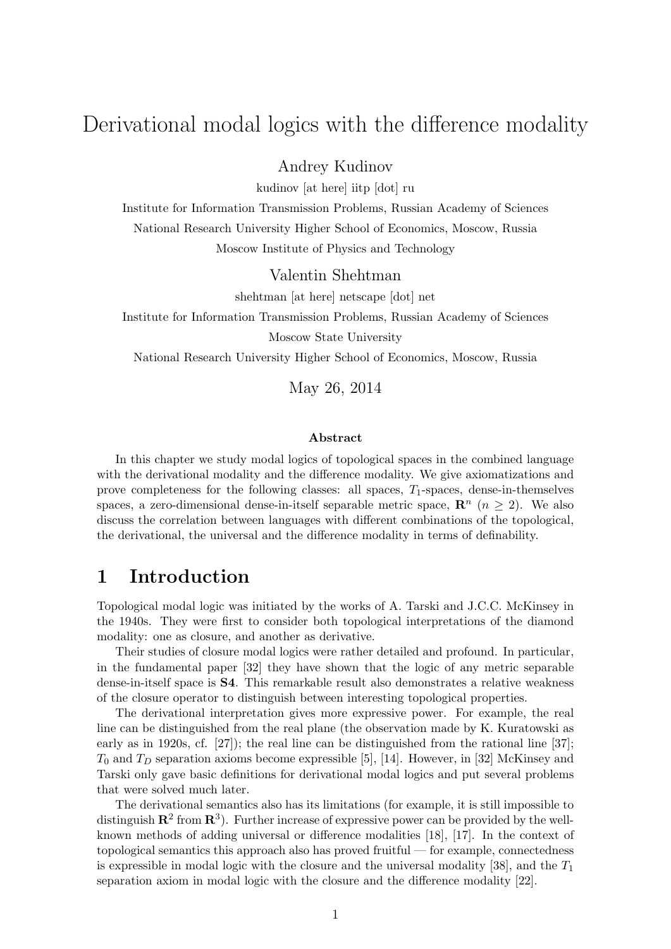# Derivational modal logics with the difference modality

Andrey Kudinov

kudinov [at here] iitp [dot] ru

Institute for Information Transmission Problems, Russian Academy of Sciences National Research University Higher School of Economics, Moscow, Russia Moscow Institute of Physics and Technology

Valentin Shehtman

shehtman [at here] netscape [dot] net

Institute for Information Transmission Problems, Russian Academy of Sciences Moscow State University

National Research University Higher School of Economics, Moscow, Russia

May 26, 2014

#### Abstract

In this chapter we study modal logics of topological spaces in the combined language with the derivational modality and the difference modality. We give axiomatizations and prove completeness for the following classes: all spaces,  $T_1$ -spaces, dense-in-themselves spaces, a zero-dimensional dense-in-itself separable metric space,  $\mathbb{R}^n$  ( $n \geq 2$ ). We also discuss the correlation between languages with different combinations of the topological, the derivational, the universal and the difference modality in terms of definability.

#### 1 Introduction

Topological modal logic was initiated by the works of A. Tarski and J.C.C. McKinsey in the 1940s. They were first to consider both topological interpretations of the diamond modality: one as closure, and another as derivative.

Their studies of closure modal logics were rather detailed and profound. In particular, in the fundamental paper [32] they have shown that the logic of any metric separable dense-in-itself space is S4. This remarkable result also demonstrates a relative weakness of the closure operator to distinguish between interesting topological properties.

The derivational interpretation gives more expressive power. For example, the real line can be distinguished from the real plane (the observation made by K. Kuratowski as early as in 1920s, cf. [27]); the real line can be distinguished from the rational line [37];  $T_0$  and  $T_D$  separation axioms become expressible [5], [14]. However, in [32] McKinsey and Tarski only gave basic definitions for derivational modal logics and put several problems that were solved much later.

The derivational semantics also has its limitations (for example, it is still impossible to distinguish  $\mathbb{R}^2$  from  $\mathbb{R}^3$ ). Further increase of expressive power can be provided by the wellknown methods of adding universal or difference modalities [18], [17]. In the context of topological semantics this approach also has proved fruitful — for example, connectedness is expressible in modal logic with the closure and the universal modality [38], and the  $T_1$ separation axiom in modal logic with the closure and the difference modality [22].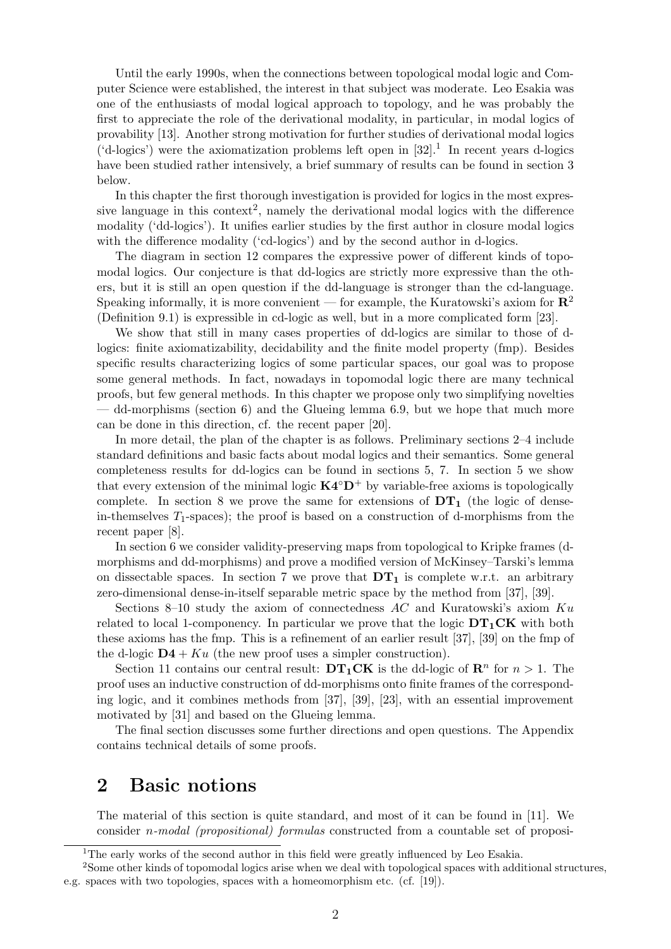Until the early 1990s, when the connections between topological modal logic and Computer Science were established, the interest in that subject was moderate. Leo Esakia was one of the enthusiasts of modal logical approach to topology, and he was probably the first to appreciate the role of the derivational modality, in particular, in modal logics of provability [13]. Another strong motivation for further studies of derivational modal logics ('d-logics') were the axiomatization problems left open in  $[32]$ .<sup>1</sup> In recent years d-logics have been studied rather intensively, a brief summary of results can be found in section 3 below.

In this chapter the first thorough investigation is provided for logics in the most expressive language in this context<sup>2</sup>, namely the derivational modal logics with the difference modality ('dd-logics'). It unifies earlier studies by the first author in closure modal logics with the difference modality ('cd-logics') and by the second author in d-logics.

The diagram in section 12 compares the expressive power of different kinds of topomodal logics. Our conjecture is that dd-logics are strictly more expressive than the others, but it is still an open question if the dd-language is stronger than the cd-language. Speaking informally, it is more convenient — for example, the Kuratowski's axiom for  $\mathbb{R}^2$ (Definition 9.1) is expressible in cd-logic as well, but in a more complicated form [23].

We show that still in many cases properties of dd-logics are similar to those of dlogics: finite axiomatizability, decidability and the finite model property (fmp). Besides specific results characterizing logics of some particular spaces, our goal was to propose some general methods. In fact, nowadays in topomodal logic there are many technical proofs, but few general methods. In this chapter we propose only two simplifying novelties  $-$  dd-morphisms (section 6) and the Glueing lemma 6.9, but we hope that much more can be done in this direction, cf. the recent paper [20].

In more detail, the plan of the chapter is as follows. Preliminary sections 2–4 include standard definitions and basic facts about modal logics and their semantics. Some general completeness results for dd-logics can be found in sections 5, 7. In section 5 we show that every extension of the minimal logic  $\mathbf{K4}^{\circ} \mathbf{D}^{+}$  by variable-free axioms is topologically complete. In section 8 we prove the same for extensions of  $DT_1$  (the logic of densein-themselves  $T_1$ -spaces); the proof is based on a construction of d-morphisms from the recent paper [8].

In section 6 we consider validity-preserving maps from topological to Kripke frames (dmorphisms and dd-morphisms) and prove a modified version of McKinsey–Tarski's lemma on dissectable spaces. In section 7 we prove that  $DT_1$  is complete w.r.t. an arbitrary zero-dimensional dense-in-itself separable metric space by the method from [37], [39].

Sections 8–10 study the axiom of connectedness  $AC$  and Kuratowski's axiom  $Ku$ related to local 1-componency. In particular we prove that the logic  $DT_1CK$  with both these axioms has the fmp. This is a refinement of an earlier result [37], [39] on the fmp of the d-logic  $D4 + Ku$  (the new proof uses a simpler construction).

Section 11 contains our central result:  $DT_1CK$  is the dd-logic of  $\mathbb{R}^n$  for  $n > 1$ . The proof uses an inductive construction of dd-morphisms onto finite frames of the corresponding logic, and it combines methods from [37], [39], [23], with an essential improvement motivated by [31] and based on the Glueing lemma.

The final section discusses some further directions and open questions. The Appendix contains technical details of some proofs.

#### 2 Basic notions

The material of this section is quite standard, and most of it can be found in [11]. We consider n-modal (propositional) formulas constructed from a countable set of proposi-

<sup>&</sup>lt;sup>1</sup>The early works of the second author in this field were greatly influenced by Leo Esakia.

<sup>2</sup>Some other kinds of topomodal logics arise when we deal with topological spaces with additional structures, e.g. spaces with two topologies, spaces with a homeomorphism etc. (cf. [19]).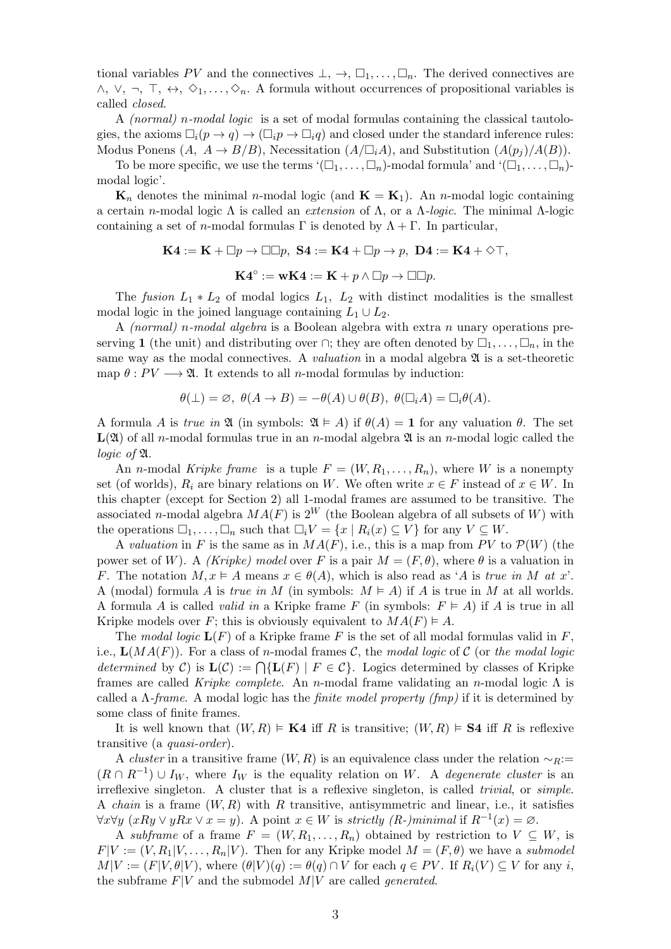tional variables PV and the connectives  $\bot, \to, \Box_1, \ldots, \Box_n$ . The derived connectives are  $\wedge$ ,  $\vee$ ,  $\neg$ ,  $\top$ ,  $\leftrightarrow$ ,  $\diamond$ <sub>1</sub>, ...,  $\diamond$ <sub>n</sub>. A formula without occurrences of propositional variables is called closed.

A (normal) n-modal logic is a set of modal formulas containing the classical tautologies, the axioms  $\Box_i(p \to q) \to (\Box_i p \to \Box_i q)$  and closed under the standard inference rules: Modus Ponens  $(A, A \rightarrow B/B)$ , Necessitation  $(A/\square_i A)$ , and Substitution  $(A(p_i)/A(B))$ .

To be more specific, we use the terms  $(\Box_1, \ldots, \Box_n)$ -modal formula' and  $(\Box_1, \ldots, \Box_n)$ modal logic'.

 $\mathbf{K}_n$  denotes the minimal *n*-modal logic (and  $\mathbf{K} = \mathbf{K}_1$ ). An *n*-modal logic containing a certain n-modal logic Λ is called an extension of Λ, or a Λ-logic. The minimal Λ-logic containing a set of *n*-modal formulas  $\Gamma$  is denoted by  $\Lambda + \Gamma$ . In particular,

 $\mathbf{K4} := \mathbf{K} + \square p \rightarrow \square \square p$ ,  $\mathbf{S4} := \mathbf{K4} + \square p \rightarrow p$ ,  $\mathbf{D4} := \mathbf{K4} + \lozenge \top$ ,

$$
\mathbf{K4}^{\circ} := \mathbf{wK4} := \mathbf{K} + p \wedge \Box p \rightarrow \Box \Box p.
$$

The fusion  $L_1 * L_2$  of modal logics  $L_1$ ,  $L_2$  with distinct modalities is the smallest modal logic in the joined language containing  $L_1 \cup L_2$ .

A (normal) n-modal algebra is a Boolean algebra with extra n unary operations preserving 1 (the unit) and distributing over  $\cap$ ; they are often denoted by  $\Box_1, \ldots, \Box_n$ , in the same way as the modal connectives. A *valuation* in a modal algebra  $\mathfrak{A}$  is a set-theoretic map  $\theta : PV \longrightarrow \mathfrak{A}$ . It extends to all *n*-modal formulas by induction:

$$
\theta(\bot) = \varnothing, \; \theta(A \to B) = -\theta(A) \cup \theta(B), \; \theta(\square_i A) = \square_i \theta(A).
$$

A formula A is true in  $\mathfrak A$  (in symbols:  $\mathfrak A \models A$ ) if  $\theta(A) = 1$  for any valuation  $\theta$ . The set  $L(\mathfrak{A})$  of all *n*-modal formulas true in an *n*-modal algebra  $\mathfrak{A}$  is an *n*-modal logic called the logic of A.

An *n*-modal *Kripke frame* is a tuple  $F = (W, R_1, \ldots, R_n)$ , where W is a nonempty set (of worlds),  $R_i$  are binary relations on W. We often write  $x \in F$  instead of  $x \in W$ . In this chapter (except for Section 2) all 1-modal frames are assumed to be transitive. The associated n-modal algebra  $MA(F)$  is  $2^W$  (the Boolean algebra of all subsets of W) with the operations  $\Box_1, \ldots, \Box_n$  such that  $\Box_i V = \{x \mid R_i(x) \subseteq V\}$  for any  $V \subseteq W$ .

A valuation in F is the same as in  $MA(F)$ , i.e., this is a map from PV to  $\mathcal{P}(W)$  (the power set of W). A *(Kripke)* model over F is a pair  $M = (F, \theta)$ , where  $\theta$  is a valuation in F. The notation  $M, x \models A$  means  $x \in \theta(A)$ , which is also read as 'A is true in M at x'. A (modal) formula A is true in M (in symbols:  $M \nightharpoonup A$ ) if A is true in M at all worlds. A formula A is called *valid in* a Kripke frame F (in symbols:  $F \nightharpoonup A$ ) if A is true in all Kripke models over F; this is obviously equivalent to  $MA(F) \models A$ .

The modal logic  $\mathbf{L}(F)$  of a Kripke frame F is the set of all modal formulas valid in F. i.e.,  $\mathbf{L}(MA(F))$ . For a class of n-modal frames C, the modal logic of C (or the modal logic determined by C) is  $\mathbf{L}(\mathcal{C}) := \bigcap \{ \mathbf{L}(F) \mid F \in \mathcal{C} \}.$  Logics determined by classes of Kripke frames are called Kripke complete. An n-modal frame validating an n-modal logic  $\Lambda$  is called a  $\Lambda$ -frame. A modal logic has the *finite model property (fmp)* if it is determined by some class of finite frames.

It is well known that  $(W, R) \models \mathbf{K4}$  iff R is transitive;  $(W, R) \models \mathbf{S4}$  iff R is reflexive transitive (a quasi-order).

A *cluster* in a transitive frame  $(W, R)$  is an equivalence class under the relation  $\sim_R$ :=  $(R \cap R^{-1}) \cup I_W$ , where  $I_W$  is the equality relation on W. A *degenerate cluster* is an irreflexive singleton. A cluster that is a reflexive singleton, is called *trivial*, or *simple*. A *chain* is a frame  $(W, R)$  with R transitive, antisymmetric and linear, i.e., it satisfies  $\forall x \forall y \ (xRy \lor yRx \lor x=y)$ . A point  $x \in W$  is strictly (R-)minimal if  $R^{-1}(x) = \emptyset$ .

A subframe of a frame  $F = (W, R_1, \ldots, R_n)$  obtained by restriction to  $V \subseteq W$ , is  $F|V := (V, R_1|V, \ldots, R_n|V)$ . Then for any Kripke model  $M = (F, \theta)$  we have a submodel  $M|V := (F|V, \theta|V)$ , where  $(\theta|V)(q) := \theta(q) \cap V$  for each  $q \in PV$ . If  $R_i(V) \subseteq V$  for any i, the subframe  $F|V$  and the submodel  $M|V$  are called *generated*.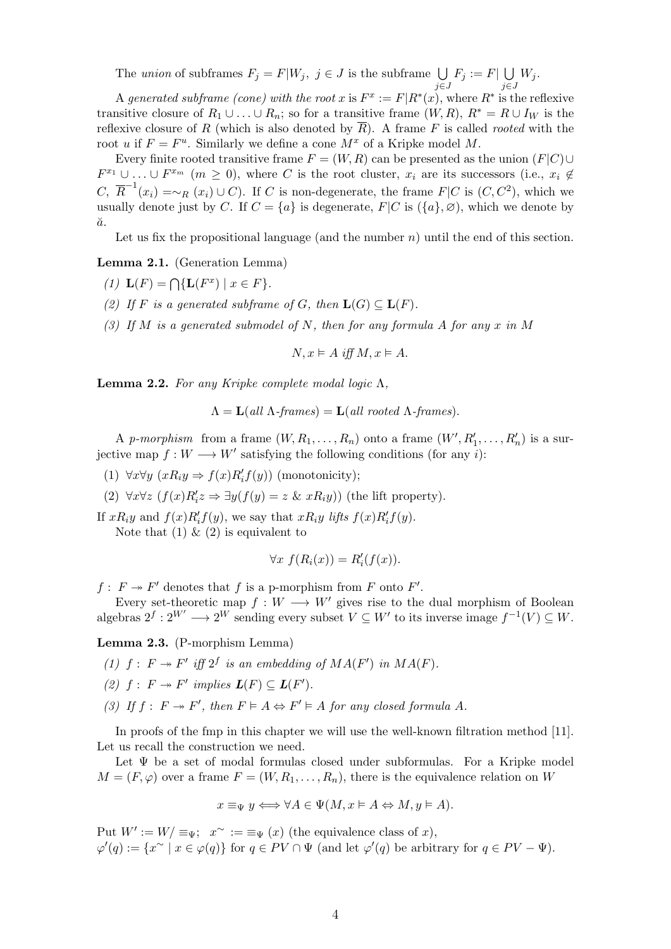The union of subframes  $F_j = F|W_j, j \in J$  is the subframe  $\bigcup$ j∈J  $F_j := F \vert \bigcup$ j∈J  $W_j$ .

A generated subframe (cone) with the root x is  $F^x := F|R^*(x)$ , where  $R^*$  is the reflexive transitive closure of  $R_1 \cup ... \cup R_n$ ; so for a transitive frame  $(W, R)$ ,  $R^* = R \cup I_W$  is the reflexive closure of R (which is also denoted by  $\overline{R}$ ). A frame F is called *rooted* with the root u if  $F = F^u$ . Similarly we define a cone  $M^x$  of a Kripke model M.

Every finite rooted transitive frame  $F = (W, R)$  can be presented as the union  $(F|C) \cup$  $F^{x_1} \cup \ldots \cup F^{x_m}$   $(m \geq 0)$ , where C is the root cluster,  $x_i$  are its successors (i.e.,  $x_i \notin$ C,  $\overline{R}^{-1}(x_i) = \sim_R (x_i) \cup C$ . If C is non-degenerate, the frame  $F|C$  is  $(C, C^2)$ , which we usually denote just by C. If  $C = \{a\}$  is degenerate,  $F|C$  is  $(\{a\}, \emptyset)$ , which we denote by  $\breve{a}$ .

Let us fix the propositional language (and the number  $n$ ) until the end of this section.

Lemma 2.1. (Generation Lemma)

- (1)  $\mathbf{L}(F) = \bigcap \{ \mathbf{L}(F^x) \mid x \in F \}.$
- (2) If F is a generated subframe of G, then  $\mathbf{L}(G) \subseteq \mathbf{L}(F)$ .
- (3) If M is a generated submodel of N, then for any formula A for any x in M

 $N, x \models A$  iff  $M, x \models A$ .

Lemma 2.2. For any Kripke complete modal logic  $\Lambda$ ,

$$
\Lambda = \mathbf{L}(all \Lambda\text{-}frames) = \mathbf{L}(all \ rooted \Lambda\text{-}frames).
$$

A p-morphism from a frame  $(W, R_1, \ldots, R_n)$  onto a frame  $(W', R'_1, \ldots, R'_n)$  is a surjective map  $f: W \longrightarrow W'$  satisfying the following conditions (for any *i*):

- (1)  $\forall x \forall y \ (xR_iy \Rightarrow f(x)R'_i f(y))$  (monotonicity);
- (2)  $\forall x \forall z \ (f(x)R'_i z \Rightarrow \exists y (f(y) = z \ \& \ xR_i y))$  (the lift property).

If  $xR_iy$  and  $f(x)R'_i f(y)$ , we say that  $xR_iy$  lifts  $f(x)R'_i f(y)$ .

Note that  $(1) \& (2)$  is equivalent to

$$
\forall x \ f(R_i(x)) = R'_i(f(x)).
$$

 $f: F \to F'$  denotes that f is a p-morphism from F onto F'.

Every set-theoretic map  $f : W \longrightarrow W'$  gives rise to the dual morphism of Boolean algebras  $2^f: 2^{W'} \longrightarrow 2^W$  sending every subset  $V \subseteq W'$  to its inverse image  $f^{-1}(V) \subseteq W$ .

Lemma 2.3. (P-morphism Lemma)

- (1)  $f: F \twoheadrightarrow F'$  iff  $2^f$  is an embedding of  $MA(F')$  in  $MA(F)$ .
- (2)  $f: F \rightarrow F'$  implies  $\mathbf{L}(F) \subseteq \mathbf{L}(F')$ .
- (3) If  $f: F \to F'$ , then  $F \vDash A \Leftrightarrow F' \vDash A$  for any closed formula A.

In proofs of the fmp in this chapter we will use the well-known filtration method [11]. Let us recall the construction we need.

Let  $\Psi$  be a set of modal formulas closed under subformulas. For a Kripke model  $M = (F, \varphi)$  over a frame  $F = (W, R_1, \ldots, R_n)$ , there is the equivalence relation on W

$$
x \equiv_{\Psi} y \Longleftrightarrow \forall A \in \Psi(M, x \vDash A \Leftrightarrow M, y \vDash A).
$$

Put  $W' := W / \equiv_{\Psi}; x^{\sim} := \equiv_{\Psi}(x)$  (the equivalence class of x),  $\varphi'(q) := \{x \in \varphi(q)\}\$ for  $q \in PV \cap \Psi$  (and let  $\varphi'(q)$  be arbitrary for  $q \in PV - \Psi$ ).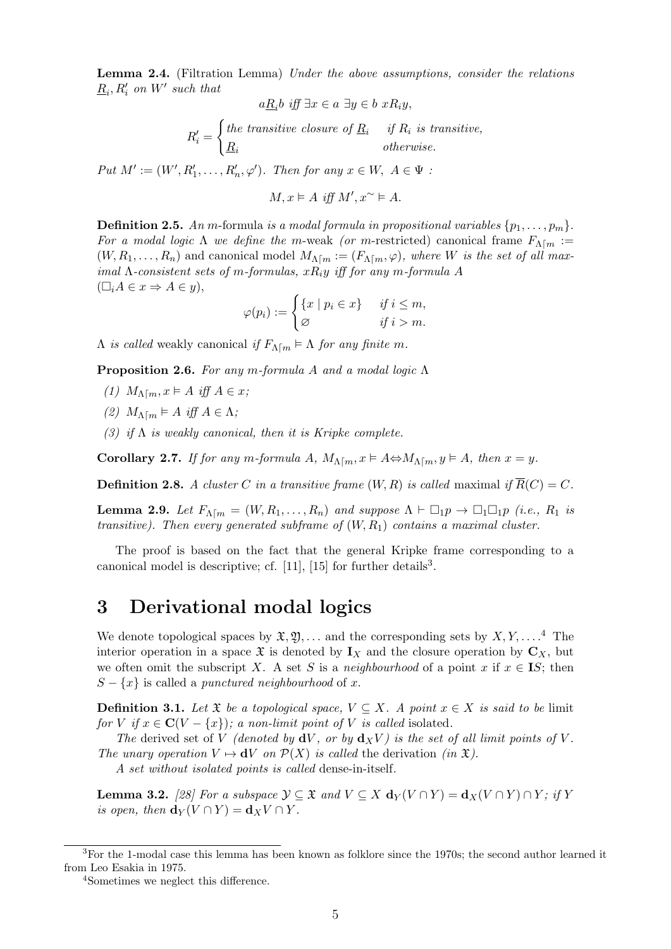Lemma 2.4. (Filtration Lemma) Under the above assumptions, consider the relations  $\underline{R}_i$ ,  $R'_i$  on  $W'$  such that

$$
a\underline{R}_i b \text{ iff } \exists x \in a \exists y \in b \ xR_iy,
$$

$$
R'_{i} = \begin{cases} the \ transitive \ closure \ of \ \underline{R}_{i} & if \ R_{i} \ is \ transitive, \\ \underline{R}_{i} & otherwise. \end{cases}
$$

Put  $M' := (W', R'_1, \ldots, R'_n, \varphi')$ . Then for any  $x \in W$ ,  $A \in \Psi$ :

$$
M, x \vDash A \text{ iff } M', x^{\sim} \vDash A.
$$

**Definition 2.5.** An m-formula is a modal formula in propositional variables  $\{p_1, \ldots, p_m\}$ . For a modal logic  $\Lambda$  we define the m-weak (or m-restricted) canonical frame  $F_{\Lambda[m]} :=$  $(W, R_1, \ldots, R_n)$  and canonical model  $M_{\Lambda[m]} := (F_{\Lambda[m]} \varphi)$ , where W is the set of all maximal  $\Lambda$ -consistent sets of m-formulas,  $xR_iy$  iff for any m-formula A  $(\Box_i A \in x \Rightarrow A \in y),$ 

$$
\varphi(p_i) := \begin{cases} \{x \mid p_i \in x\} & \text{if } i \leq m, \\ \varnothing & \text{if } i > m. \end{cases}
$$

 $Λ$  is called weakly canonical if  $F_{Λ[m]} \models Λ$  for any finite m.

Proposition 2.6. For any m-formula A and a modal logic Λ

- (1)  $M_{\Lambda[m]}$ ,  $x \models A$  iff  $A \in x$ ;
- (2)  $M_{\Lambda \lceil m \rceil} \models A \text{ iff } A \in \Lambda;$
- (3) if  $\Lambda$  is weakly canonical, then it is Kripke complete.

**Corollary 2.7.** If for any m-formula A,  $M_{\Lambda[m]}$ ,  $x \models A \Leftrightarrow M_{\Lambda[m]}$ ,  $y \models A$ , then  $x = y$ .

**Definition 2.8.** A cluster C in a transitive frame  $(W, R)$  is called maximal if  $\overline{R}(C) = C$ .

**Lemma 2.9.** Let  $F_{\Lambda[m]} = (W, R_1, \ldots, R_n)$  and suppose  $\Lambda \vdash \Box_1 p \rightarrow \Box_1 \Box_1 p$  (i.e.,  $R_1$  is transitive). Then every generated subframe of  $(W, R_1)$  contains a maximal cluster.

The proof is based on the fact that the general Kripke frame corresponding to a canonical model is descriptive; cf.  $[11]$ ,  $[15]$  for further details<sup>3</sup>.

#### 3 Derivational modal logics

We denote topological spaces by  $\mathfrak{X}, \mathfrak{Y}, \ldots$  and the corresponding sets by  $X, Y, \ldots$ .<sup>4</sup> The interior operation in a space  $\mathfrak X$  is denoted by  $I_X$  and the closure operation by  $C_X$ , but we often omit the subscript X. A set S is a neighbourhood of a point x if  $x \in \mathbb{I}S$ ; then  $S - \{x\}$  is called a punctured neighbourhood of x.

**Definition 3.1.** Let  $\mathfrak{X}$  be a topological space,  $V \subseteq X$ . A point  $x \in X$  is said to be limit for V if  $x \in \mathbb{C}(V - \{x\})$ ; a non-limit point of V is called isolated.

The derived set of V (denoted by  $dV$ , or by  $d_XV$ ) is the set of all limit points of V. The unary operation  $V \mapsto dV$  on  $\mathcal{P}(X)$  is called the derivation (in  $\mathfrak{X}$ ).

A set without isolated points is called dense-in-itself.

**Lemma 3.2.** [28] For a subspace  $\mathcal{Y} \subseteq \mathfrak{X}$  and  $V \subseteq X$   $d_Y(V \cap Y) = d_X(V \cap Y) \cap Y$ ; if Y is open, then  $\mathbf{d}_Y(V \cap Y) = \mathbf{d}_X V \cap Y$ .

<sup>&</sup>lt;sup>3</sup>For the 1-modal case this lemma has been known as folklore since the 1970s; the second author learned it from Leo Esakia in 1975.

<sup>4</sup>Sometimes we neglect this difference.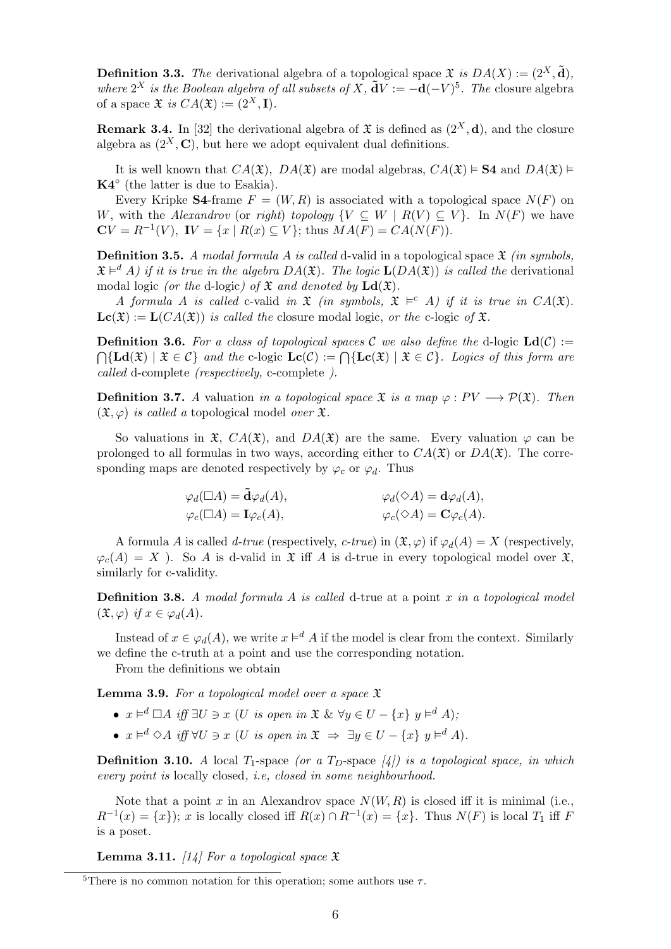**Definition 3.3.** The derivational algebra of a topological space  $\mathfrak{X}$  is  $DA(X) := (2^X, \tilde{\mathbf{d}})$ , where  $2^X$  is the Boolean algebra of all subsets of X,  $\tilde{\mathbf{d}}V := -\mathbf{d}(-V)^5$ . The closure algebra of a space  $\mathfrak{X}$  is  $CA(\mathfrak{X}) := (2^X, I).$ 

**Remark 3.4.** In [32] the derivational algebra of  $\mathfrak{X}$  is defined as  $(2^X, d)$ , and the closure algebra as  $(2^X, \mathbf{C})$ , but here we adopt equivalent dual definitions.

It is well known that  $CA(\mathfrak{X})$ ,  $DA(\mathfrak{X})$  are modal algebras,  $CA(\mathfrak{X}) \models S4$  and  $DA(\mathfrak{X}) \models$  $\mathbf{K4}^{\circ}$  (the latter is due to Esakia).

Every Kripke **S4**-frame  $F = (W, R)$  is associated with a topological space  $N(F)$  on W, with the Alexandrov (or right) topology  $\{V \subseteq W \mid R(V) \subseteq V\}$ . In  $N(F)$  we have  $CV = R^{-1}(V)$ ,  $IV = \{x \mid R(x) \subseteq V\}$ ; thus  $MA(F) = CA(N(F))$ .

**Definition 3.5.** A modal formula A is called d-valid in a topological space  $\mathfrak{X}$  (in symbols,  $\mathfrak{X} \models^d A$ ) if it is true in the algebra  $DA(\mathfrak{X})$ . The logic  $\mathbf{L}(DA(\mathfrak{X}))$  is called the derivational modal logic (or the d-logic) of  $\mathfrak X$  and denoted by  $\mathrm{Ld}(\mathfrak X)$ .

A formula A is called c-valid in  $\mathfrak X$  (in symbols,  $\mathfrak X \models^c A$ ) if it is true in  $CA(\mathfrak X)$ .  $\mathbf{Lc}(\mathfrak{X}) := \mathbf{L}(CA(\mathfrak{X}))$  is called the closure modal logic, or the c-logic of  $\mathfrak{X}$ .

**Definition 3.6.** For a class of topological spaces C we also define the d-logic  $\text{Ld}(\mathcal{C})$  :=  $\bigcap \{ \mathbf{Ld}(\mathfrak{X}) \mid \mathfrak{X} \in \mathcal{C} \}$  and the c-logic  $\mathbf{Lc}(\mathcal{C}) := \bigcap \{ \mathbf{Lc}(\mathfrak{X}) \mid \mathfrak{X} \in \mathcal{C} \}$ . Logics of this form are called d-complete (respectively, c-complete ).

**Definition 3.7.** A valuation in a topological space  $\mathfrak{X}$  is a map  $\varphi: PV \longrightarrow \mathcal{P}(\mathfrak{X})$ . Then  $(\mathfrak{X}, \varphi)$  is called a topological model over  $\mathfrak{X}$ .

So valuations in  $\mathfrak{X}, CA(\mathfrak{X})$ , and  $DA(\mathfrak{X})$  are the same. Every valuation  $\varphi$  can be prolonged to all formulas in two ways, according either to  $CA(\mathfrak{X})$  or  $DA(\mathfrak{X})$ . The corresponding maps are denoted respectively by  $\varphi_c$  or  $\varphi_d$ . Thus

$$
\varphi_d(\Box A) = \tilde{\mathbf{d}}\varphi_d(A), \qquad \varphi_d(\Diamond A) = \mathbf{d}\varphi_d(A), \n\varphi_c(\Box A) = \mathbf{I}\varphi_c(A), \qquad \varphi_c(\Diamond A) = \mathbf{C}\varphi_c(A).
$$

A formula A is called d-true (respectively, c-true) in  $(\mathfrak{X}, \varphi)$  if  $\varphi_d(A) = X$  (respectively,  $\varphi_c(A) = X$ ). So A is d-valid in  $\mathfrak X$  iff A is d-true in every topological model over  $\mathfrak X$ , similarly for c-validity.

**Definition 3.8.** A modal formula A is called d-true at a point x in a topological model  $(\mathfrak{X}, \varphi)$  if  $x \in \varphi_d(A)$ .

Instead of  $x \in \varphi_d(A)$ , we write  $x \models^d A$  if the model is clear from the context. Similarly we define the c-truth at a point and use the corresponding notation.

From the definitions we obtain

**Lemma 3.9.** For a topological model over a space  $\mathfrak X$ 

- $x \models^d \Box A$  iff  $\exists U \ni x$  (U is open in  $\mathfrak{X} \& \forall y \in U \{x\} \ y \models^d A$ );
- $x \models^d \Diamond A$  iff  $\forall U \ni x$  (U is open in  $\mathfrak{X} \Rightarrow \exists y \in U \{x\} \ y \models^d A)$ .

**Definition 3.10.** A local  $T_1$ -space (or a  $T_D$ -space [4]) is a topological space, in which every point is locally closed, i.e, closed in some neighbourhood.

Note that a point x in an Alexandrov space  $N(W, R)$  is closed iff it is minimal (i.e.,  $R^{-1}(x) = \{x\}$ ; x is locally closed iff  $R(x) \cap R^{-1}(x) = \{x\}$ . Thus  $N(F)$  is local  $T_1$  iff F is a poset.

**Lemma 3.11.** [14] For a topological space  $\mathfrak{X}$ 

<sup>&</sup>lt;sup>5</sup>There is no common notation for this operation; some authors use  $\tau$ .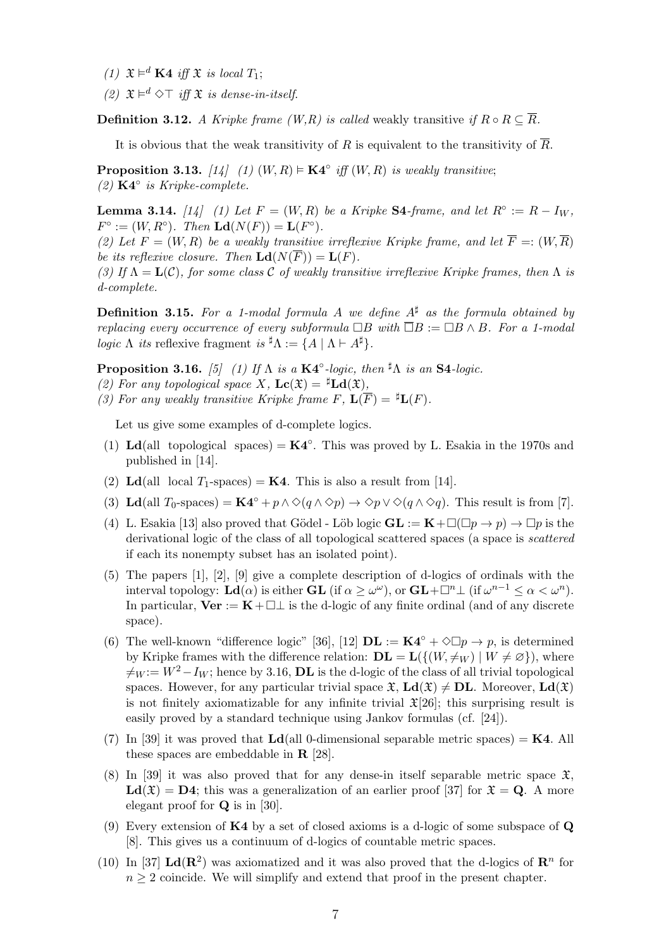- (1)  $\mathfrak{X} \models^d \mathbf{K4}$  iff  $\mathfrak{X}$  is local  $T_1$ ;
- (2)  $\mathfrak{X} \models^d \Diamond \top$  iff  $\mathfrak{X}$  is dense-in-itself.

**Definition 3.12.** A Kripke frame (W,R) is called weakly transitive if  $R \circ R \subseteq \overline{R}$ .

It is obvious that the weak transitivity of R is equivalent to the transitivity of  $\overline{R}$ .

**Proposition 3.13.** [14] (1)  $(W, R) \models \mathbf{K4}^\circ$  iff  $(W, R)$  is weakly transitive; (2) K4◦ is Kripke-complete.

**Lemma 3.14.** [14] (1) Let  $F = (W, R)$  be a Kripke S4-frame, and let  $R^\circ := R - I_W$ ,  $F^{\circ} := (W, R^{\circ}).$  Then  $\text{Ld}(N(F)) = \text{L}(F^{\circ}).$ 

(2) Let  $F = (W, R)$  be a weakly transitive irreflexive Kripke frame, and let  $\overline{F} =: (W, \overline{R})$ be its reflexive closure. Then  $\text{Ld}(N(\overline{F})) = \text{L}(F)$ .

(3) If  $\Lambda = \mathbf{L}(\mathcal{C})$ , for some class C of weakly transitive irreflexive Kripke frames, then  $\Lambda$  is d-complete.

**Definition 3.15.** For a 1-modal formula A we define  $A^{\sharp}$  as the formula obtained by replacing every occurrence of every subformula  $\Box B$  with  $\overline{\Box}B := \Box B \wedge B$ . For a 1-modal logic  $\Lambda$  its reflexive fragment is  ${}^{\sharp} \Lambda := \{ A \mid \Lambda \vdash A^{\sharp} \}.$ 

**Proposition 3.16.** [5] (1) If  $\Lambda$  is a  $\mathbf{K4}^{\circ}$ -logic, then  $^{\sharp} \Lambda$  is an  $\mathbf{S4}$ -logic.

- (2) For any topological space X,  $\mathbf{Lc}(\mathfrak{X}) = {}^{\sharp}\mathbf{Ld}(\mathfrak{X}),$
- (3) For any weakly transitive Kripke frame F,  $\mathbf{L}(\overline{F}) = {}^{\sharp} \mathbf{L}(F)$ .

Let us give some examples of d-complete logics.

- (1) Ld(all topological spaces) =  $K4^\circ$ . This was proved by L. Esakia in the 1970s and published in [14].
- (2) Ld(all local  $T_1$ -spaces) = **K4**. This is also a result from [14].
- (3) Ld(all  $T_0$ -spaces) = K4<sup>°</sup> + p  $\land \Diamond(q \land \Diamond p) \rightarrow \Diamond p \lor \Diamond(q \land \Diamond q)$ . This result is from [7].
- (4) L. Esakia [13] also proved that Gödel Löb logic  $GL := K + \square(\square p \to p) \to \square p$  is the derivational logic of the class of all topological scattered spaces (a space is scattered if each its nonempty subset has an isolated point).
- (5) The papers [1], [2], [9] give a complete description of d-logics of ordinals with the interval topology:  $\mathbf{Ld}(\alpha)$  is either  $\mathbf{GL}$  (if  $\alpha \geq \omega^{\omega}$ ), or  $\mathbf{GL} + \square^n \bot$  (if  $\omega^{n-1} \leq \alpha < \omega^n$ ). In particular,  $\mathbf{Ver} := \mathbf{K} + \square \bot$  is the d-logic of any finite ordinal (and of any discrete space).
- (6) The well-known "difference logic" [36], [12]  $\mathbf{DL} := \mathbf{K4}^{\circ} + \Diamond \Box p \rightarrow p$ , is determined by Kripke frames with the difference relation:  $\mathbf{DL} = \mathbf{L}(\{(W, \neq_W) \mid W \neq \emptyset\})$ , where  $\neq_W := W^2 - I_W$ ; hence by 3.16, **DL** is the d-logic of the class of all trivial topological spaces. However, for any particular trivial space  $\mathfrak{X}, L\mathbf{d}(\mathfrak{X}) \neq \mathbf{DL}$ . Moreover,  $L\mathbf{d}(\mathfrak{X})$ is not finitely axiomatizable for any infinite trivial  $\mathfrak{X}[26]$ ; this surprising result is easily proved by a standard technique using Jankov formulas (cf. [24]).
- (7) In [39] it was proved that  $Ld$  (all 0-dimensional separable metric spaces) = **K4**. All these spaces are embeddable in R [28].
- (8) In [39] it was also proved that for any dense-in itself separable metric space  $\mathfrak{X}$ .  $\text{Ld}(\mathfrak{X}) = \text{D4}$ ; this was a generalization of an earlier proof [37] for  $\mathfrak{X} = \text{Q}$ . A more elegant proof for Q is in [30].
- (9) Every extension of  $K4$  by a set of closed axioms is a d-logic of some subspace of  $Q$ [8]. This gives us a continuum of d-logics of countable metric spaces.
- (10) In [37]  $\mathbf{Ld}(\mathbf{R}^2)$  was axiomatized and it was also proved that the d-logics of  $\mathbf{R}^n$  for  $n \geq 2$  coincide. We will simplify and extend that proof in the present chapter.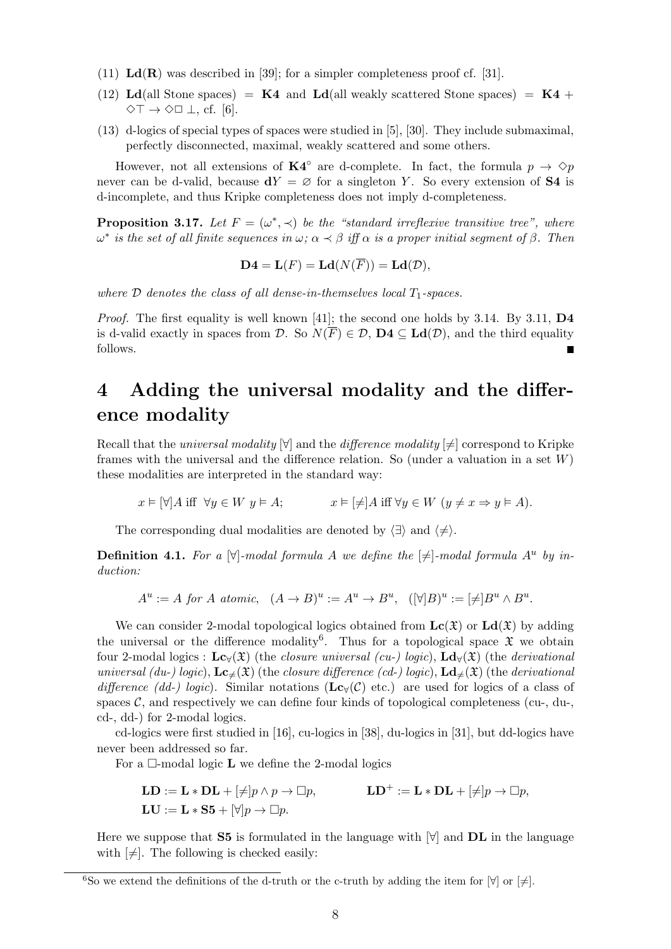- (11)  $\text{Ld}(\mathbf{R})$  was described in [39]; for a simpler completeness proof cf. [31].
- (12) Ld(all Stone spaces) =  $K4$  and Ld(all weakly scattered Stone spaces) =  $K4$  +  $\Diamond$ T  $\rightarrow$   $\Diamond$  $\Box$   $\bot$ , cf. [6].
- (13) d-logics of special types of spaces were studied in [5], [30]. They include submaximal, perfectly disconnected, maximal, weakly scattered and some others.

However, not all extensions of  $\mathbf{K4}^{\circ}$  are d-complete. In fact, the formula  $p \to \Diamond p$ never can be d-valid, because  $dY = \emptyset$  for a singleton Y. So every extension of S4 is d-incomplete, and thus Kripke completeness does not imply d-completeness.

**Proposition 3.17.** Let  $F = (\omega^*, \prec)$  be the "standard irreflexive transitive tree", where  $\omega^*$  is the set of all finite sequences in  $\omega$ ;  $\alpha \prec \beta$  iff  $\alpha$  is a proper initial segment of  $\beta$ . Then

$$
\mathbf{D4} = \mathbf{L}(F) = \mathbf{Ld}(N(\overline{F})) = \mathbf{Ld}(\mathcal{D}),
$$

where  $\mathcal D$  denotes the class of all dense-in-themselves local  $T_1$ -spaces.

*Proof.* The first equality is well known [41]; the second one holds by 3.14. By 3.11,  $\mathbf{D4}$ is d-valid exactly in spaces from  $\mathcal{D}$ . So  $N(\overline{F}) \in \mathcal{D}$ ,  $\mathbf{D4} \subseteq \mathbf{Ld}(\mathcal{D})$ , and the third equality follows.

## 4 Adding the universal modality and the difference modality

Recall that the *universal modality*  $[\forall]$  and the *difference modality*  $[\neq]$  correspond to Kripke frames with the universal and the difference relation. So (under a valuation in a set  $W$ ) these modalities are interpreted in the standard way:

 $x \in \forall A$  iff  $\forall y \in W$   $y \in A$ ;  $x \in \exists A$  iff  $\forall y \in W$   $(y \neq x \Rightarrow y \in A)$ .

The corresponding dual modalities are denoted by  $\langle \exists \rangle$  and  $\langle \neq \rangle$ .

**Definition 4.1.** For a  $[\forall]$ -modal formula A we define the  $[\neq]$ -modal formula  $A^u$  by induction:

$$
A^u := A \text{ for } A \text{ atomic}, \ (A \to B)^u := A^u \to B^u, \ ([\forall]B)^u := [\neq]B^u \wedge B^u.
$$

We can consider 2-modal topological logics obtained from  $\mathbf{Lc}(\mathfrak{X})$  or  $\mathbf{Ld}(\mathfrak{X})$  by adding the universal or the difference modality<sup>6</sup>. Thus for a topological space  $\mathfrak X$  we obtain four 2-modal logics :  $\mathbf{Lc}_{\forall}(\mathfrak{X})$  (the *closure universal (cu-) logic*),  $\mathbf{Ld}_{\forall}(\mathfrak{X})$  (the *derivational* universal (du-) logic),  $\mathbf{Lc}_{\neq}(\mathfrak{X})$  (the closure difference (cd-) logic),  $\mathbf{Ld}_{\neq}(\mathfrak{X})$  (the derivational difference (dd-) logic). Similar notations (Lc $_Y(\mathcal{C})$  etc.) are used for logics of a class of spaces  $\mathcal{C}$ , and respectively we can define four kinds of topological completeness (cu-, du-, cd-, dd-) for 2-modal logics.

cd-logics were first studied in [16], cu-logics in [38], du-logics in [31], but dd-logics have never been addressed so far.

For a  $\Box$ -modal logic **L** we define the 2-modal logics

$$
\mathbf{LD} := \mathbf{L} * \mathbf{DL} + [\neq] p \land p \to \Box p, \qquad \qquad \mathbf{LD}^+ := \mathbf{L} * \mathbf{DL} + [\neq] p \to \Box p, \mathbf{LU} := \mathbf{L} * \mathbf{S5} + [\forall] p \to \Box p.
$$

Here we suppose that  $S5$  is formulated in the language with  $\forall$  and  $\bf{DL}$  in the language with  $[\neq]$ . The following is checked easily:

<sup>6</sup>So we extend the definitions of the d-truth or the c-truth by adding the item for  $[\forall]$  or  $[\neq]$ .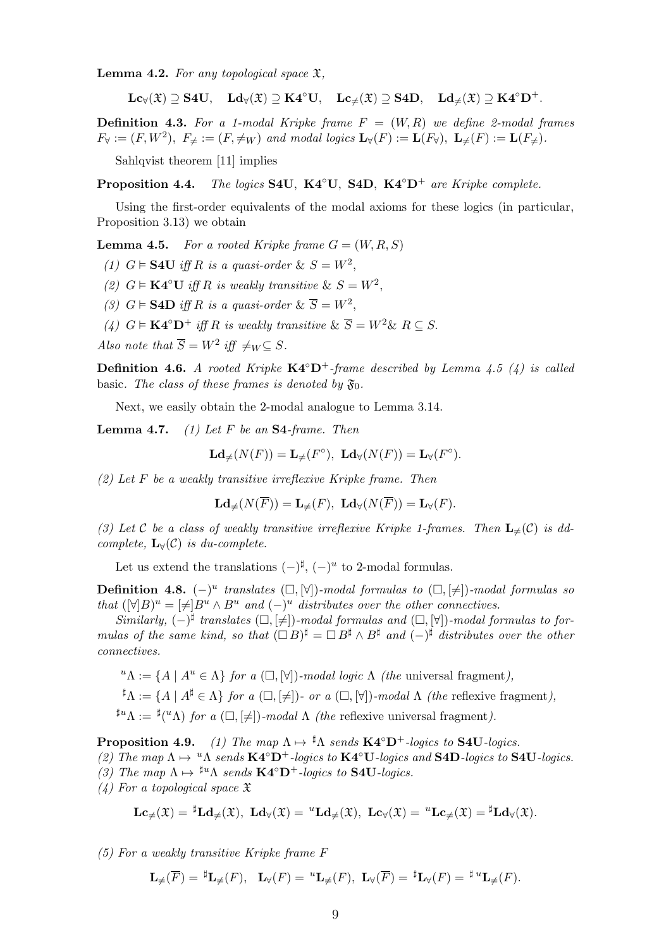**Lemma 4.2.** For any topological space  $\mathfrak{X}$ ,

 $\mathbf{Lc}_{\forall}(\mathfrak{X}) \supseteq \mathbf{S4U}, \quad \mathbf{Ld}_{\forall}(\mathfrak{X}) \supseteq \mathbf{K4}^{\circ}\mathbf{U}, \quad \mathbf{Lc}_{\neq}(\mathfrak{X}) \supseteq \mathbf{S4D}, \quad \mathbf{Ld}_{\neq}(\mathfrak{X}) \supseteq \mathbf{K4}^{\circ}\mathbf{D}^{+}.$ 

**Definition 4.3.** For a 1-modal Kripke frame  $F = (W, R)$  we define 2-modal frames  $F_{\forall} := (F, W^2), \ F_{\neq} := (F, \neq_W) \ and \ modal \ logics \ \mathbf{L}_{\forall}(F) := \mathbf{L}(F_{\forall}), \ \mathbf{L}_{\neq}(F) := \mathbf{L}(F_{\neq}).$ 

Sahlqvist theorem [11] implies

**Proposition 4.4.** The logics S4U, K4 $^{\circ}$ U, S4D, K4 $^{\circ}$ D<sup>+</sup> are Kripke complete.

Using the first-order equivalents of the modal axioms for these logics (in particular, Proposition 3.13) we obtain

**Lemma 4.5.** For a rooted Kripke frame  $G = (W, R, S)$ 

(1)  $G \models \textbf{S4U}$  iff R is a quasi-order &  $S = W^2$ ,

- (2)  $G \models \mathbf{K4}^{\circ}\mathbf{U}$  iff R is weakly transitive &  $S = W^2$ ,
- (3)  $G \models \textbf{S4D}$  iff R is a quasi-order &  $\overline{S} = W^2$ ,
- (4)  $G \models \mathbf{K4}^{\circ} \mathbf{D}^{+}$  iff R is weakly transitive  $\& \overline{S} = W^{2} \& R \subseteq S$ .

Also note that  $\overline{S} = W^2$  iff  $\neq_W \subseteq S$ .

**Definition 4.6.** A rooted Kripke  $K4^{\circ}D^{+}$ -frame described by Lemma 4.5 (4) is called basic. The class of these frames is denoted by  $\mathfrak{F}_0$ .

Next, we easily obtain the 2-modal analogue to Lemma 3.14.

**Lemma 4.7.** (1) Let F be an  $S4$ -frame. Then

$$
\mathbf{Ld}_{\neq}(N(F)) = \mathbf{L}_{\neq}(F^{\circ}), \ \mathbf{Ld}_{\forall}(N(F)) = \mathbf{L}_{\forall}(F^{\circ}).
$$

 $(2)$  Let F be a weakly transitive irreflexive Kripke frame. Then

$$
\mathbf{Ld}_{\neq}(N(\overline{F}))=\mathbf{L}_{\neq}(F),\ \mathbf{Ld}_{\forall}(N(\overline{F}))=\mathbf{L}_{\forall}(F).
$$

(3) Let C be a class of weakly transitive irreflexive Kripke 1-frames. Then  $\mathbf{L}_{\neq}(\mathcal{C})$  is ddcomplete,  $\mathbf{L}_{\forall}(\mathcal{C})$  is du-complete.

Let us extend the translations  $(-)^{\sharp}, (-)^{u}$  to 2-modal formulas.

**Definition 4.8.**  $(-)^u$  translates  $(\Box, [\forall])$ -modal formulas to  $(\Box, [\ne])$ -modal formulas so that  $( [\forall] B)^u = [\neq] B^u \wedge B^u$  and  $(-)^u$  distributes over the other connectives.

Similarly,  $(-)^{\sharp}$  translates  $(\Box, [\neq])$ -modal formulas and  $(\Box, [\forall])$ -modal formulas to formulas of the same kind, so that  $( \Box B)^{\sharp} = \Box B^{\sharp} \wedge B^{\sharp}$  and  $( - )^{\sharp}$  distributes over the other connectives.

 ${}^u\Lambda := \{A \mid A^u \in \Lambda\}$  for a  $(\Box, [\forall])$ -modal logic  $\Lambda$  (the universal fragment),

$$
\sharp \Lambda := \{ A \mid A^{\sharp} \in \Lambda \} \text{ for a } (\square, [\neq]) \text{ or a } (\square, [\forall]) \text{-} \text{modal } \Lambda \text{ (the reflexive fragment)},
$$

 $^{\sharp u}\Lambda := {}^{\sharp}({}^u\Lambda)$  for a  $(\Box, [\neq])$ -modal  $\Lambda$  (the reflexive universal fragment).

**Proposition 4.9.** (1) The map  $\Lambda \mapsto {}^{\sharp} \Lambda$  sends  $\mathbf{K4}^{\circ} \mathbf{D}^+$ -logics to  $\mathbf{S4} \mathbf{U}$ -logics.

- (2) The map  $\Lambda \mapsto {}^{u} \Lambda$  sends  $\mathbf{K4}^{\circ} \mathbf{D}^{+}$ -logics to  $\mathbf{K4}^{\circ} \mathbf{U}$ -logics and  $\mathbf{S4} \mathbf{D}$ -logics to  $\mathbf{S4} \mathbf{U}$ -logics.
- (3) The map  $\Lambda \mapsto {}^{\sharp u} \Lambda$  sends  $\mathbf{K4}^{\circ} \mathbf{D}^+$ -logics to  $\mathbf{S4U}$ -logics.
- $(4)$  For a topological space  $\mathfrak X$

$$
\mathbf{Lc}_{\neq}(\mathfrak{X})={}^{\sharp}\mathbf{Ld}_{\neq}(\mathfrak{X}),\ \mathbf{Ld}_{\forall}(\mathfrak{X})={}^u\mathbf{Ld}_{\neq}(\mathfrak{X}),\ \mathbf{Lc}_{\forall}(\mathfrak{X})={}^u\mathbf{Lc}_{\neq}(\mathfrak{X})={}^{\sharp}\mathbf{Ld}_{\forall}(\mathfrak{X}).
$$

(5) For a weakly transitive Kripke frame F

$$
\mathbf{L}_{\neq}(\overline{F}) = {}^{\sharp}\mathbf{L}_{\neq}(F), \quad \mathbf{L}_{\forall}(F) = {}^u\mathbf{L}_{\neq}(F), \ \mathbf{L}_{\forall}(\overline{F}) = {}^{\sharp}\mathbf{L}_{\forall}(F) = {}^{\sharp}{}^u\mathbf{L}_{\neq}(F).
$$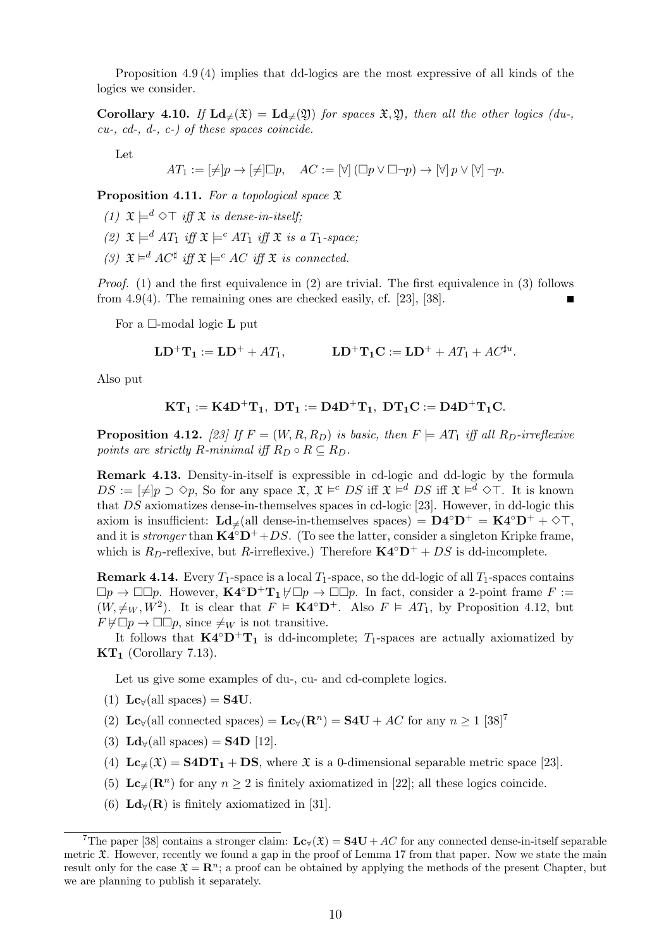Proposition 4.9 (4) implies that dd-logics are the most expressive of all kinds of the logics we consider.

**Corollary 4.10.** If  $\text{Ld}_{\neq}(\mathfrak{X}) = \text{Ld}_{\neq}(\mathfrak{Y})$  for spaces  $\mathfrak{X}, \mathfrak{Y}$ , then all the other logics (du-,  $cu-$ ,  $cd-$ ,  $d-$ ,  $c-$ ) of these spaces coincide.

Let

 $AT_1 := [\neq]p \rightarrow [\neq] \Box p, \quad AC := [\forall] (\Box p \vee \Box \neg p) \rightarrow [\forall] p \vee [\forall] \neg p.$ 

**Proposition 4.11.** For a topological space  $\mathfrak X$ 

- (1)  $\mathfrak{X} \models^d \Diamond \top$  iff  $\mathfrak{X}$  is dense-in-itself;
- (2)  $\mathfrak{X} \models^d AT_1$  iff  $\mathfrak{X} \models^c AT_1$  iff  $\mathfrak{X}$  is a  $T_1$ -space;
- (3)  $\mathfrak{X} \models^d AC^{\sharp}$  iff  $\mathfrak{X} \models^c AC$  iff  $\mathfrak{X}$  is connected.

Proof. (1) and the first equivalence in (2) are trivial. The first equivalence in (3) follows from 4.9(4). The remaining ones are checked easily, cf. [23], [38].

For a  $\Box$ -modal logic **L** put

$$
\mathbf{LD}^+ \mathbf{T}_1 := \mathbf{LD}^+ + A T_1, \qquad \qquad \mathbf{LD}^+ \mathbf{T}_1 \mathbf{C} := \mathbf{LD}^+ + A T_1 + A C^{\sharp u}.
$$

Also put

$$
KT_1:=K4D^+T_1,\ DT_1:=D4D^+T_1,\ DT_1C:=D4D^+T_1C.
$$

**Proposition 4.12.** [23] If  $F = (W, R, R_D)$  is basic, then  $F \models AT_1$  iff all  $R_D$ -irreflexive points are strictly R-minimal iff  $R_D \circ R \subseteq R_D$ .

Remark 4.13. Density-in-itself is expressible in cd-logic and dd-logic by the formula  $DS := [\neq]p \supset \Diamond p$ , So for any space  $\mathfrak{X}, \mathfrak{X} \models^c DS$  iff  $\mathfrak{X} \models^d DS$  iff  $\mathfrak{X} \models^d \Diamond \top$ . It is known that DS axiomatizes dense-in-themselves spaces in cd-logic [23]. However, in dd-logic this axiom is insufficient:  $\mathbf{Ld}_{\neq}$ (all dense-in-themselves spaces) =  $\mathbf{D4}^{\circ} \mathbf{D}^{+} = \mathbf{K4}^{\circ} \mathbf{D}^{+} + \diamond \top$ , and it is *stronger* than  $\mathbf{K4}^{\circ}\mathbf{D}^{+}$ +DS. (To see the latter, consider a singleton Kripke frame, which is  $R_D$ -reflexive, but R-irreflexive.) Therefore  $\mathbf{K4}^\circ \mathbf{D}^+ + DS$  is dd-incomplete.

**Remark 4.14.** Every  $T_1$ -space is a local  $T_1$ -space, so the dd-logic of all  $T_1$ -spaces contains  $\Box p \to \Box \Box p$ . However,  $\mathbf{K4}^\circ \mathbf{D}^+ \mathbf{T}_1 \nvdash \Box p \to \Box \Box p$ . In fact, consider a 2-point frame  $F :=$  $(W, \neq_W, W^2)$ . It is clear that  $F \models \mathbf{K4}^\circ \mathbf{D}^+$ . Also  $F \models AT_1$ , by Proposition 4.12, but  $F \not\models \Box p \rightarrow \Box \Box p$ , since  $\neq_W$  is not transitive.

It follows that  $\mathbf{K4}^{\circ}\mathbf{D}^{+}\mathbf{T}_{1}$  is dd-incomplete;  $T_{1}$ -spaces are actually axiomatized by  $KT_1$  (Corollary 7.13).

Let us give some examples of du-, cu- and cd-complete logics.

- (1)  $\text{Lc}_{\forall}(\text{all spaces}) = \text{S4U}.$
- (2) Lc<sub>∀</sub>(all connected spaces) = Lc<sub>∀</sub>(R<sup>n</sup>) = S4U + AC for any  $n \ge 1$  [38]<sup>7</sup>
- (3)  $\mathbf{Ld}_{\forall}$ (all spaces) = **S4D** [12].
- (4)  $\mathbf{Lc}_{\neq}(\mathfrak{X}) = \mathbf{S4DT_1} + \mathbf{DS}$ , where  $\mathfrak{X}$  is a 0-dimensional separable metric space [23].
- (5)  $\mathbf{Lc}_{\neq}(\mathbf{R}^n)$  for any  $n \geq 2$  is finitely axiomatized in [22]; all these logics coincide.
- (6)  $\mathbf{Ld}_{\forall}(\mathbf{R})$  is finitely axiomatized in [31].

<sup>&</sup>lt;sup>7</sup>The paper [38] contains a stronger claim:  $\mathbf{Lc}_{\mathbf{y}}(\mathfrak{X}) = \mathbf{S4U} + AC$  for any connected dense-in-itself separable metric  $\mathfrak{X}$ . However, recently we found a gap in the proof of Lemma 17 from that paper. Now we state the main result only for the case  $\mathfrak{X} = \mathbb{R}^n$ ; a proof can be obtained by applying the methods of the present Chapter, but we are planning to publish it separately.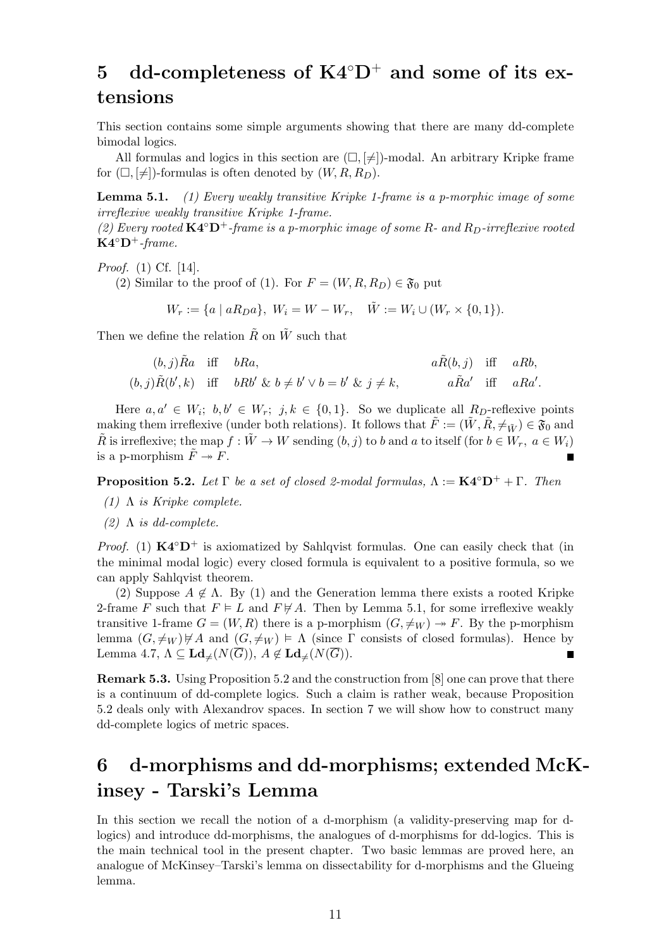# 5 dd-completeness of  $K4°D^+$  and some of its extensions

This section contains some simple arguments showing that there are many dd-complete bimodal logics.

All formulas and logics in this section are  $(\Box, [\neq])$ -modal. An arbitrary Kripke frame for  $(\Box, [\neq])$ -formulas is often denoted by  $(W, R, R_D)$ .

**Lemma 5.1.** (1) Every weakly transitive Kripke 1-frame is a p-morphic image of some irreflexive weakly transitive Kripke 1-frame.

(2) Every rooted  $\mathbf{K4}^{\circ}\mathbf{D}^{+}$ -frame is a p-morphic image of some R- and  $R_{D}$ -irreflexive rooted  $K4^{\circ}D^{+}$ -frame.

Proof. (1) Cf. [14].

(2) Similar to the proof of (1). For  $F = (W, R, R_D) \in \mathfrak{F}_0$  put

 $W_r := \{a \mid aR_D a\}, W_i = W - W_r, \quad \tilde{W} := W_i \cup (W_r \times \{0, 1\}).$ 

Then we define the relation  $\tilde{R}$  on  $\tilde{W}$  such that

$$
(b, j)\tilde{R}a \quad \text{iff} \quad bRa,
$$
\n
$$
(b, j)\tilde{R}(b', k) \quad \text{iff} \quad bRb' \& b \neq b' \lor b = b' \& j \neq k,
$$
\n
$$
a\tilde{R}(b, j) \quad \text{iff} \quad aRb,
$$
\n
$$
a\tilde{R}a' \quad \text{iff} \quad aRa'.
$$

Here  $a, a' \in W_i$ ;  $b, b' \in W_r$ ;  $j, k \in \{0, 1\}$ . So we duplicate all  $R_D$ -reflexive points making them irreflexive (under both relations). It follows that  $\tilde{F} := (\tilde{W}, \tilde{R}, \neq_{\tilde{W}}) \in \mathfrak{F}_0$  and  $\tilde{R}$  is irreflexive; the map  $f : \tilde{W} \to W$  sending  $(b, j)$  to b and a to itself (for  $b \in W_r$ ,  $a \in W_i$ ) is a p-morphism  $\tilde{F} \rightarrow F$ . E

**Proposition 5.2.** Let  $\Gamma$  be a set of closed 2-modal formulas,  $\Lambda := \mathbf{K4}^{\circ} \mathbf{D}^+ + \Gamma$ . Then

- (1)  $\Lambda$  is Kripke complete.
- (2)  $\Lambda$  is dd-complete.

*Proof.* (1)  $\mathbf{K4}^{\circ}\mathbf{D}^{+}$  is axiomatized by Sahlqvist formulas. One can easily check that (in the minimal modal logic) every closed formula is equivalent to a positive formula, so we can apply Sahlqvist theorem.

(2) Suppose  $A \notin \Lambda$ . By (1) and the Generation lemma there exists a rooted Kripke 2-frame F such that  $F \models L$  and  $F \not\models A$ . Then by Lemma 5.1, for some irreflexive weakly transitive 1-frame  $G = (W, R)$  there is a p-morphism  $(G, \neq_W) \rightarrow F$ . By the p-morphism lemma  $(G, \neq_W) \not\vdash A$  and  $(G, \neq_W) \models \Lambda$  (since  $\Gamma$  consists of closed formulas). Hence by Lemma 4.7,  $\Lambda \subseteq \mathbf{Ld}_{\neq}(N(\overline{G})), A \notin \mathbf{Ld}_{\neq}(N(\overline{G})).$ г

Remark 5.3. Using Proposition 5.2 and the construction from [8] one can prove that there is a continuum of dd-complete logics. Such a claim is rather weak, because Proposition 5.2 deals only with Alexandrov spaces. In section 7 we will show how to construct many dd-complete logics of metric spaces.

# 6 d-morphisms and dd-morphisms; extended McKinsey - Tarski's Lemma

In this section we recall the notion of a d-morphism (a validity-preserving map for dlogics) and introduce dd-morphisms, the analogues of d-morphisms for dd-logics. This is the main technical tool in the present chapter. Two basic lemmas are proved here, an analogue of McKinsey–Tarski's lemma on dissectability for d-morphisms and the Glueing lemma.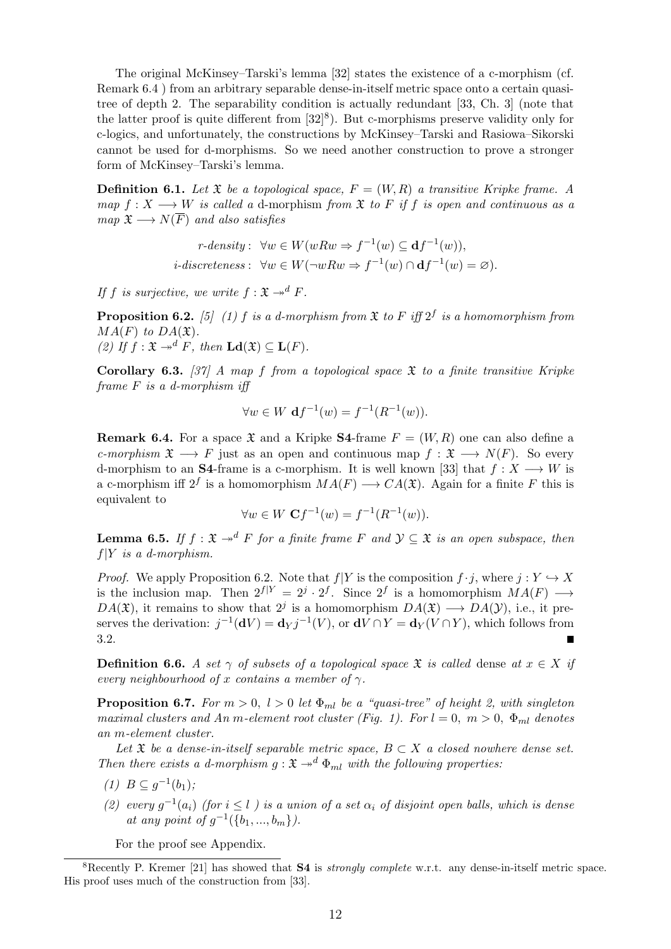The original McKinsey–Tarski's lemma [32] states the existence of a c-morphism (cf. Remark 6.4 ) from an arbitrary separable dense-in-itself metric space onto a certain quasitree of depth 2. The separability condition is actually redundant [33, Ch. 3] (note that the latter proof is quite different from  $[32]^8$ ). But c-morphisms preserve validity only for c-logics, and unfortunately, the constructions by McKinsey–Tarski and Rasiowa–Sikorski cannot be used for d-morphisms. So we need another construction to prove a stronger form of McKinsey–Tarski's lemma.

**Definition 6.1.** Let  $\mathfrak{X}$  be a topological space,  $F = (W, R)$  a transitive Kripke frame. A map  $f: X \longrightarrow W$  is called a d-morphism from  $\mathfrak X$  to F if f is open and continuous as a map  $\mathfrak{X} \longrightarrow N(\overline{F})$  and also satisfies

$$
r\text{-}density: \ \forall w \in W(wRw \Rightarrow f^{-1}(w) \subseteq \mathbf{d}f^{-1}(w)),
$$
  

$$
i\text{-}discreteness: \ \forall w \in W(\neg wRw \Rightarrow f^{-1}(w) \cap \mathbf{d}f^{-1}(w) = \varnothing).
$$

If f is surjective, we write  $f: \mathfrak{X} \rightarrow^d F$ .

**Proposition 6.2.** [5] (1) f is a d-morphism from  $\mathfrak X$  to F iff  $2^f$  is a homomorphism from  $MA(F)$  to  $DA(\mathfrak{X})$ . (2) If  $f: \mathfrak{X} \to^d F$ , then  $\mathbf{Ld}(\mathfrak{X}) \subseteq \mathbf{L}(F)$ .

Corollary 6.3. [37] A map f from a topological space  $\mathfrak X$  to a finite transitive Kripke frame F is a d-morphism iff

$$
\forall w \in W \, \mathbf{d}f^{-1}(w) = f^{-1}(R^{-1}(w)).
$$

**Remark 6.4.** For a space  $\mathfrak{X}$  and a Kripke **S4**-frame  $F = (W, R)$  one can also define a c-morphism  $\mathfrak{X} \longrightarrow F$  just as an open and continuous map  $f : \mathfrak{X} \longrightarrow N(F)$ . So every d-morphism to an S4-frame is a c-morphism. It is well known [33] that  $f: X \longrightarrow W$  is a c-morphism iff  $2^f$  is a homomorphism  $MA(F) \longrightarrow CA(\mathfrak{X})$ . Again for a finite F this is equivalent to

$$
\forall w \in W \; \mathbf{C}f^{-1}(w) = f^{-1}(R^{-1}(w)).
$$

**Lemma 6.5.** If  $f : \mathfrak{X} \to^d F$  for a finite frame F and  $\mathcal{Y} \subseteq \mathfrak{X}$  is an open subspace, then  $f|Y$  is a d-morphism.

*Proof.* We apply Proposition 6.2. Note that  $f|Y$  is the composition  $f \cdot j$ , where  $j: Y \hookrightarrow X$ is the inclusion map. Then  $2^{f|Y} = 2^j \cdot 2^f$ . Since  $2^f$  is a homomorphism  $MA(F) \longrightarrow$  $DA(\mathfrak{X})$ , it remains to show that  $2^j$  is a homomorphism  $DA(\mathfrak{X}) \longrightarrow DA(\mathcal{Y})$ , i.e., it preserves the derivation:  $j^{-1}(\mathbf{d}V) = \mathbf{d}_Y j^{-1}(V)$ , or  $\mathbf{d}V \cap Y = \mathbf{d}_Y (V \cap Y)$ , which follows from 3.2.

**Definition 6.6.** A set  $\gamma$  of subsets of a topological space  $\mathfrak{X}$  is called dense at  $x \in X$  if every neighbourhood of x contains a member of  $\gamma$ .

**Proposition 6.7.** For  $m > 0$ ,  $l > 0$  let  $\Phi_{ml}$  be a "quasi-tree" of height 2, with singleton maximal clusters and An m-element root cluster (Fig. 1). For  $l = 0, m > 0, \Phi_{ml}$  denotes an m-element cluster.

Let  $\mathfrak X$  be a dense-in-itself separable metric space,  $B \subset X$  a closed nowhere dense set. Then there exists a d-morphism  $q: \mathfrak{X} \to d \Phi_{ml}$  with the following properties:

- (1)  $B \subseteq g^{-1}(b_1);$
- (2) every  $g^{-1}(a_i)$  (for  $i \leq l$ ) is a union of a set  $\alpha_i$  of disjoint open balls, which is dense at any point of  $g^{-1}(\{b_1, ..., b_m\})$ .

For the proof see Appendix.

<sup>&</sup>lt;sup>8</sup>Recently P. Kremer [21] has showed that **S4** is *strongly complete* w.r.t. any dense-in-itself metric space. His proof uses much of the construction from [33].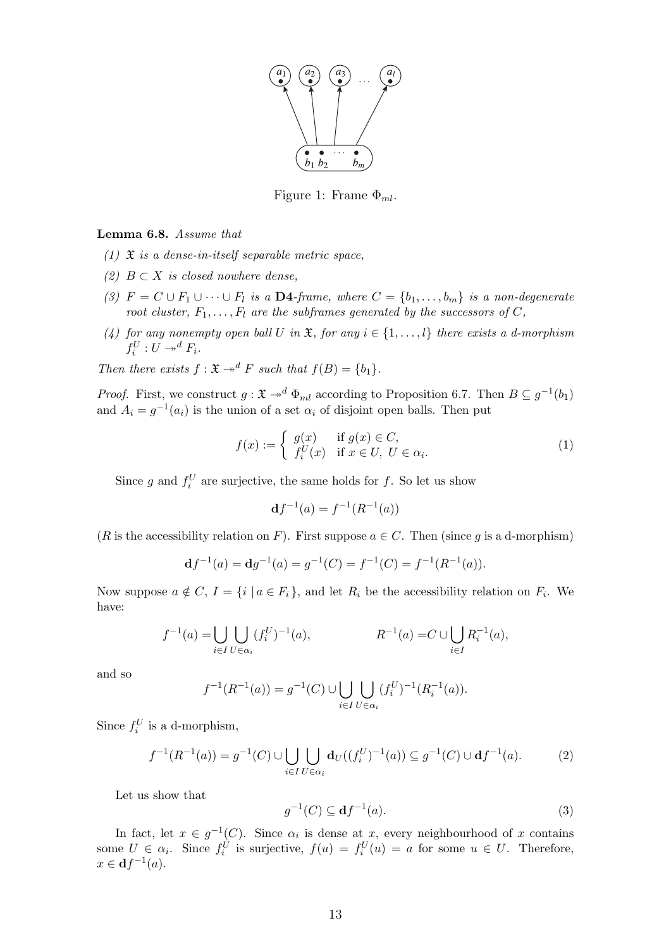

Figure 1: Frame  $\Phi_{ml}$ .

#### Lemma 6.8. Assume that

- (1)  $\mathfrak X$  is a dense-in-itself separable metric space,
- (2)  $B \subset X$  is closed nowhere dense,
- (3)  $F = C \cup F_1 \cup \cdots \cup F_l$  is a **D4**-frame, where  $C = \{b_1, \ldots, b_m\}$  is a non-degenerate root cluster,  $F_1, \ldots, F_l$  are the subframes generated by the successors of C,
- (4) for any nonempty open ball U in  $\mathfrak{X}$ , for any  $i \in \{1, \ldots, l\}$  there exists a d-morphism  $f_i^U: U \rightarrow d F_i.$

Then there exists  $f : \mathfrak{X} \to^d F$  such that  $f(B) = \{b_1\}.$ 

*Proof.* First, we construct  $g: \mathfrak{X} \to^d \Phi_{ml}$  according to Proposition 6.7. Then  $B \subseteq g^{-1}(b_1)$ and  $A_i = g^{-1}(a_i)$  is the union of a set  $\alpha_i$  of disjoint open balls. Then put

$$
f(x) := \begin{cases} g(x) & \text{if } g(x) \in C, \\ f_i^U(x) & \text{if } x \in U, \ U \in \alpha_i. \end{cases}
$$
 (1)

Since g and  $f_i^U$  are surjective, the same holds for f. So let us show

$$
\mathbf{d}f^{-1}(a) = f^{-1}(R^{-1}(a))
$$

(R is the accessibility relation on F). First suppose  $a \in C$ . Then (since q is a d-morphism)

$$
\mathbf{d}f^{-1}(a) = \mathbf{d}g^{-1}(a) = g^{-1}(C) = f^{-1}(C) = f^{-1}(R^{-1}(a)).
$$

Now suppose  $a \notin C$ ,  $I = \{i \mid a \in F_i\}$ , and let  $R_i$  be the accessibility relation on  $F_i$ . We have:

$$
f^{-1}(a) = \bigcup_{i \in I} \bigcup_{U \in \alpha_i} (f_i^U)^{-1}(a), \qquad R^{-1}(a) = C \cup \bigcup_{i \in I} R_i^{-1}(a),
$$

and so

$$
f^{-1}(R^{-1}(a)) = g^{-1}(C) \cup \bigcup_{i \in I} \bigcup_{U \in \alpha_i} (f_i^U)^{-1}(R_i^{-1}(a)).
$$

Since  $f_i^U$  is a d-morphism,

$$
f^{-1}(R^{-1}(a)) = g^{-1}(C) \cup \bigcup_{i \in I} \bigcup_{U \in \alpha_i} \mathbf{d}_U((f_i^U)^{-1}(a)) \subseteq g^{-1}(C) \cup \mathbf{d}_I^{-(a).}
$$
 (2)

Let us show that

$$
g^{-1}(C) \subseteq \mathbf{d}f^{-1}(a). \tag{3}
$$

In fact, let  $x \in g^{-1}(C)$ . Since  $\alpha_i$  is dense at x, every neighbourhood of x contains some  $U \in \alpha_i$ . Since  $f_i^U$  is surjective,  $f(u) = f_i^U(u) = a$  for some  $u \in U$ . Therefore,  $x \in \mathbf{d}f^{-1}(a)$ .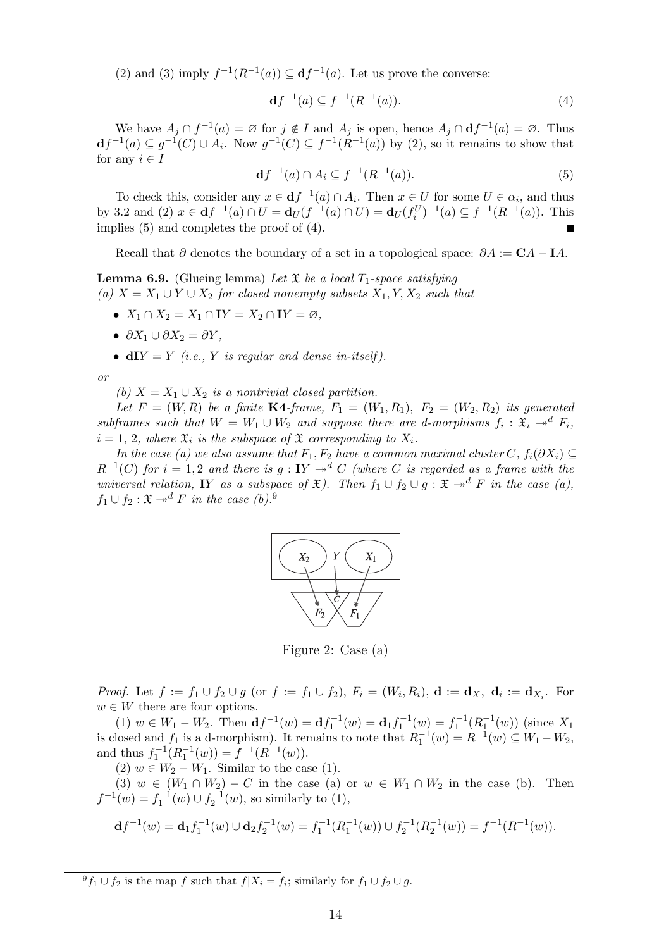(2) and (3) imply  $f^{-1}(R^{-1}(a)) \subseteq df^{-1}(a)$ . Let us prove the converse:

$$
\mathbf{d}f^{-1}(a) \subseteq f^{-1}(R^{-1}(a)).\tag{4}
$$

We have  $A_j \cap f^{-1}(a) = \emptyset$  for  $j \notin I$  and  $A_j$  is open, hence  $A_j \cap df^{-1}(a) = \emptyset$ . Thus  $df^{-1}(a) \subseteq g^{-1}(C) \cup A_i$ . Now  $g^{-1}(C) \subseteq f^{-1}(R^{-1}(a))$  by (2), so it remains to show that for any  $i \in I$ 

$$
\mathbf{d}f^{-1}(a) \cap A_i \subseteq f^{-1}(R^{-1}(a)). \tag{5}
$$

To check this, consider any  $x \in df^{-1}(a) \cap A_i$ . Then  $x \in U$  for some  $U \in \alpha_i$ , and thus by 3.2 and (2)  $x \in df^{-1}(a) \cap U = d_U(f^{-1}(a) \cap U) = d_U(f_i^U)^{-1}(a) \subseteq f^{-1}(R^{-1}(a))$ . This implies (5) and completes the proof of (4).

Recall that  $\partial$  denotes the boundary of a set in a topological space:  $\partial A := \mathbf{C} A - \mathbf{I} A$ .

**Lemma 6.9.** (Glueing lemma) Let  $\mathfrak{X}$  be a local  $T_1$ -space satisfying (a)  $X = X_1 \cup Y \cup X_2$  for closed nonempty subsets  $X_1, Y, X_2$  such that

- $X_1 \cap X_2 = X_1 \cap \mathbf{I} Y = X_2 \cap \mathbf{I} Y = \emptyset$ ,
- $\partial X_1 \cup \partial X_2 = \partial Y$ ,
- $dIY = Y$  (i.e., Y is regular and dense in-itself).

or

(b)  $X = X_1 \cup X_2$  is a nontrivial closed partition.

Let  $F = (W, R)$  be a finite K4-frame,  $F_1 = (W_1, R_1), F_2 = (W_2, R_2)$  its generated subframes such that  $W = W_1 \cup W_2$  and suppose there are d-morphisms  $f_i : \mathfrak{X}_i \to^d F_i$ ,  $i = 1, 2$ , where  $\mathfrak{X}_i$  is the subspace of  $\mathfrak{X}$  corresponding to  $X_i$ .

In the case (a) we also assume that  $F_1, F_2$  have a common maximal cluster C,  $f_i(\partial X_i) \subseteq$  $R^{-1}(C)$  for  $i = 1,2$  and there is  $g: IY \twoheadrightarrow^{d} C$  (where C is regarded as a frame with the universal relation, IY as a subspace of  $\mathfrak{X}$ ). Then  $f_1 \cup f_2 \cup g$ :  $\mathfrak{X} \rightarrow^d F$  in the case (a),  $f_1 \cup f_2 : \mathfrak{X} \rightarrow^d F$  in the case (b).<sup>9</sup>



Figure 2: Case (a)

*Proof.* Let  $f := f_1 \cup f_2 \cup g$  (or  $f := f_1 \cup f_2$ ),  $F_i = (W_i, R_i)$ ,  $\mathbf{d} := \mathbf{d}_X$ ,  $\mathbf{d}_i := \mathbf{d}_{X_i}$ . For  $w \in W$  there are four options.

(1)  $w \in W_1 - W_2$ . Then  $df^{-1}(w) = df_1^{-1}(w) = d_1 f_1^{-1}(w) = f_1^{-1}(R_1^{-1}(w))$  (since  $X_1$ ) is closed and  $f_1$  is a d-morphism). It remains to note that  $R_1^{-1}(w) = R^{-1}(w) \subseteq W_1 - W_2$ , and thus  $f_1^{-1}(R_1^{-1}(w)) = f^{-1}(R^{-1}(w)).$ 

(2)  $w \in W_2 - W_1$ . Similar to the case (1).

(3)  $w \in (W_1 \cap W_2) - C$  in the case (a) or  $w \in W_1 \cap W_2$  in the case (b). Then  $f^{-1}(w) = f_1^{-1}(w) \cup f_2^{-1}(w)$ , so similarly to (1),

$$
\mathbf{d}f^{-1}(w) = \mathbf{d}_1 f_1^{-1}(w) \cup \mathbf{d}_2 f_2^{-1}(w) = f_1^{-1}(R_1^{-1}(w)) \cup f_2^{-1}(R_2^{-1}(w)) = f^{-1}(R^{-1}(w)).
$$

 ${}^{9}f_1 \cup f_2$  is the map f such that  $f|X_i = f_i$ ; similarly for  $f_1 \cup f_2 \cup g$ .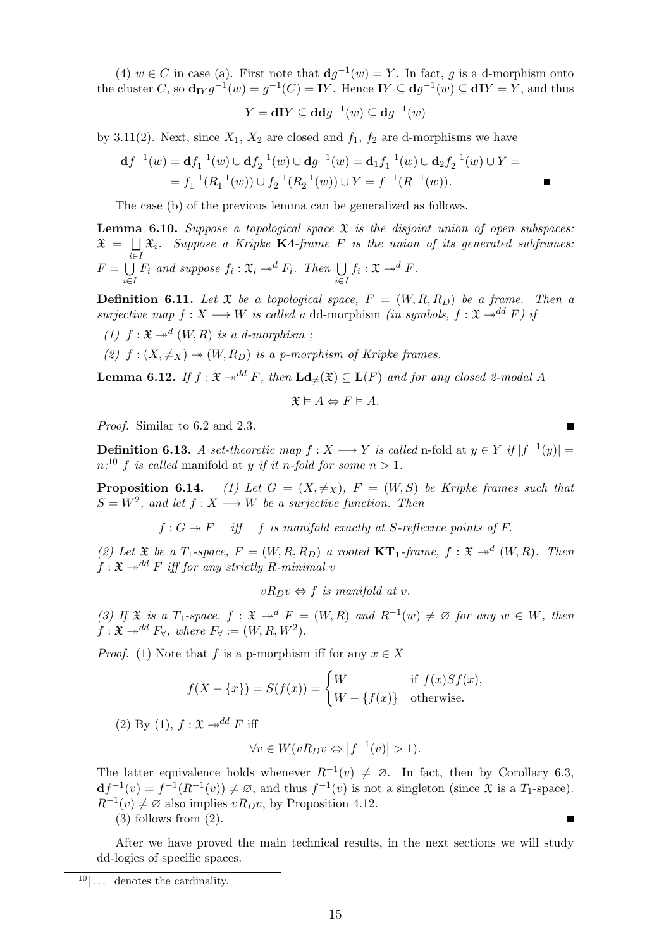(4)  $w \in C$  in case (a). First note that  $\mathbf{d}g^{-1}(w) = Y$ . In fact, g is a d-morphism onto the cluster C, so  $\mathbf{d}_{\text{I}Y}g^{-1}(w) = g^{-1}(C) = \text{I}Y$ . Hence  $\text{I}Y \subseteq \mathbf{d}g^{-1}(w) \subseteq \text{d}\text{I}Y = Y$ , and thus

$$
Y = \mathbf{d}I Y \subseteq \mathbf{d} \mathbf{d} g^{-1}(w) \subseteq \mathbf{d} g^{-1}(w)
$$

by 3.11(2). Next, since  $X_1$ ,  $X_2$  are closed and  $f_1$ ,  $f_2$  are d-morphisms we have

$$
\mathbf{d}f^{-1}(w) = \mathbf{d}f_1^{-1}(w) \cup \mathbf{d}f_2^{-1}(w) \cup \mathbf{d}g^{-1}(w) = \mathbf{d}_1f_1^{-1}(w) \cup \mathbf{d}_2f_2^{-1}(w) \cup Y =
$$
  
=  $f_1^{-1}(R_1^{-1}(w)) \cup f_2^{-1}(R_2^{-1}(w)) \cup Y = f^{-1}(R^{-1}(w)).$ 

The case (b) of the previous lemma can be generalized as follows.

**Lemma 6.10.** Suppose a topological space  $\mathfrak X$  is the disjoint union of open subspaces:  $\mathfrak{X} \;=\; \bigsqcup \; \mathfrak{X}_i.$  Suppose a Kripke **K4**-frame F is the union of its generated subframes: i∈I  $F = \bigcup$ i∈I  $F_i$  and suppose  $f_i : \mathfrak{X}_i \rightarrow^d F_i$ . Then  $\bigcup$ i∈I  $f_i: \mathfrak{X} \rightarrow d F$ .

**Definition 6.11.** Let  $\mathfrak X$  be a topological space,  $F = (W, R, R_D)$  be a frame. Then a surjective map  $f: X \longrightarrow W$  is called a dd-morphism (in symbols,  $f: \mathfrak{X} \rightarrow^{\text{dd}} F$ ) if

- (1)  $f: \mathfrak{X} \rightarrow d(W, R)$  is a d-morphism;
- (2)  $f: (X, \neq_X) \rightarrow (W, R_D)$  is a p-morphism of Kripke frames.

**Lemma 6.12.** If  $f : \mathfrak{X} \to d^d F$ , then  $\text{Ld}_{\neq}(\mathfrak{X}) \subseteq \text{L}(F)$  and for any closed 2-modal A

$$
\mathfrak{X} \vDash A \Leftrightarrow F \vDash A.
$$

Proof. Similar to 6.2 and 2.3.

**Definition 6.13.** A set-theoretic map  $f: X \longrightarrow Y$  is called n-fold at  $y \in Y$  if  $|f^{-1}(y)| =$  $n_i^{10}$  f is called manifold at y if it n-fold for some  $n > 1$ .

**Proposition 6.14.** (1) Let  $G = (X, \neq_X)$ ,  $F = (W, S)$  be Kripke frames such that  $\overline{S} = W^2$ , and let  $f : X \longrightarrow W$  be a surjective function. Then

 $f: G \twoheadrightarrow F$  iff f is manifold exactly at S-reflexive points of F.

(2) Let  $\mathfrak X$  be a  $T_1$ -space,  $F = (W, R, R_D)$  a rooted  $\text{KT}_1$ -frame,  $f : \mathfrak X \to^d (W, R)$ . Then  $f: \mathfrak{X} \rightarrow^{\text{dd}} F$  iff for any strictly R-minimal v

$$
vR_Dv \Leftrightarrow f \text{ is manifold at } v.
$$

(3) If  $\mathfrak X$  is a  $T_1$ -space,  $f : \mathfrak X \to^d F = (W, R)$  and  $R^{-1}(w) \neq \emptyset$  for any  $w \in W$ , then  $f: \mathfrak{X} \rightarrow^{\text{dd}} F_{\forall}$ , where  $F_{\forall} := (W, R, W^2)$ .

*Proof.* (1) Note that f is a p-morphism iff for any  $x \in X$ 

$$
f(X - \{x\}) = S(f(x)) = \begin{cases} W & \text{if } f(x)Sf(x), \\ W - \{f(x)\} & \text{otherwise.} \end{cases}
$$

(2) By (1),  $f : \mathfrak{X} \rightarrow d^d F$  iff

$$
\forall v \in W(vR_D v \Leftrightarrow |f^{-1}(v)| > 1).
$$

The latter equivalence holds whenever  $R^{-1}(v) \neq \emptyset$ . In fact, then by Corollary 6.3,  $df^{-1}(v) = f^{-1}(R^{-1}(v)) \neq \emptyset$ , and thus  $f^{-1}(v)$  is not a singleton (since  $\mathfrak X$  is a  $T_1$ -space).  $R^{-1}(v) \neq \emptyset$  also implies  $vR_Dv$ , by Proposition 4.12.

(3) follows from (2).

After we have proved the main technical results, in the next sections we will study dd-logics of specific spaces.

 $10$ ... denotes the cardinality.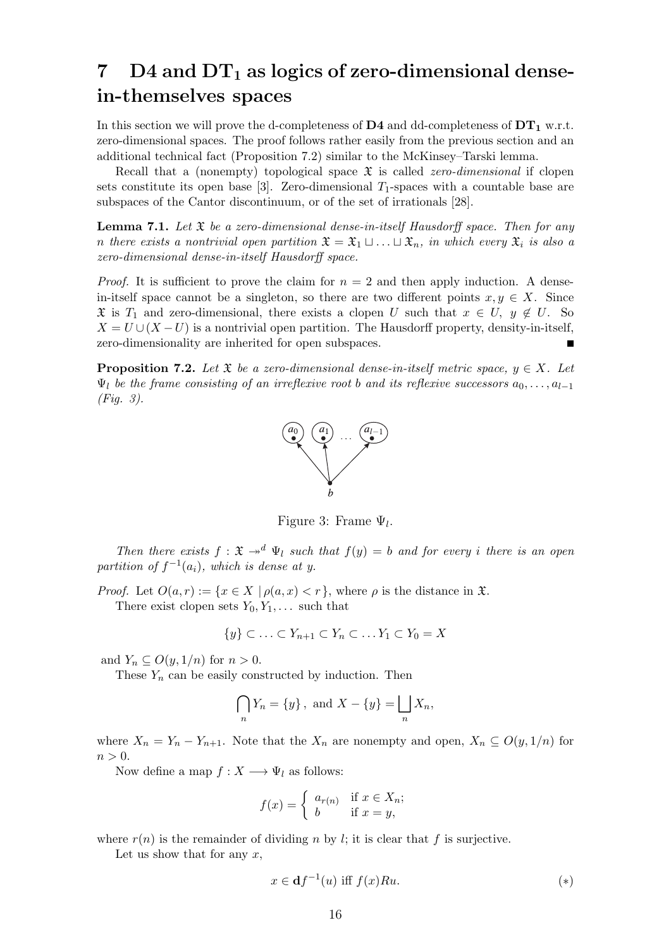# 7 D4 and  $DT_1$  as logics of zero-dimensional densein-themselves spaces

In this section we will prove the d-completeness of  $\mathbf{D4}$  and dd-completeness of  $\mathbf{DT_{1}}$  w.r.t. zero-dimensional spaces. The proof follows rather easily from the previous section and an additional technical fact (Proposition 7.2) similar to the McKinsey–Tarski lemma.

Recall that a (nonempty) topological space  $\mathfrak X$  is called *zero-dimensional* if clopen sets constitute its open base [3]. Zero-dimensional  $T_1$ -spaces with a countable base are subspaces of the Cantor discontinuum, or of the set of irrationals [28].

**Lemma 7.1.** Let  $\mathfrak X$  be a zero-dimensional dense-in-itself Hausdorff space. Then for any n there exists a nontrivial open partition  $\mathfrak{X} = \mathfrak{X}_1 \sqcup \ldots \sqcup \mathfrak{X}_n$ , in which every  $\mathfrak{X}_i$  is also a zero-dimensional dense-in-itself Hausdorff space.

*Proof.* It is sufficient to prove the claim for  $n = 2$  and then apply induction. A densein-itself space cannot be a singleton, so there are two different points  $x, y \in X$ . Since  $\mathfrak{X}$  is  $T_1$  and zero-dimensional, there exists a clopen U such that  $x \in U$ ,  $y \notin U$ . So  $X = U \cup (X - U)$  is a nontrivial open partition. The Hausdorff property, density-in-itself, zero-dimensionality are inherited for open subspaces.

**Proposition 7.2.** Let  $\mathfrak{X}$  be a zero-dimensional dense-in-itself metric space,  $y \in X$ . Let  $\Psi_l$  be the frame consisting of an irreflexive root b and its reflexive successors  $a_0, \ldots, a_{l-1}$ (Fig. 3).



Figure 3: Frame  $\Psi_l$ .

Then there exists  $f : \mathfrak{X} \to^d \Psi_l$  such that  $f(y) = b$  and for every i there is an open partition of  $f^{-1}(a_i)$ , which is dense at y.

*Proof.* Let  $O(a,r) := \{x \in X \mid \rho(a,x) < r\}$ , where  $\rho$  is the distance in  $\mathfrak{X}$ . There exist clopen sets  $Y_0, Y_1, \ldots$  such that

$$
\{y\} \subset \ldots \subset Y_{n+1} \subset Y_n \subset \ldots Y_1 \subset Y_0 = X
$$

and  $Y_n \subseteq O(y, 1/n)$  for  $n > 0$ .

These  $Y_n$  can be easily constructed by induction. Then

$$
\bigcap_{n} Y_n = \{y\}, \text{ and } X - \{y\} = \bigsqcup_{n} X_n,
$$

where  $X_n = Y_n - Y_{n+1}$ . Note that the  $X_n$  are nonempty and open,  $X_n \subseteq O(y, 1/n)$  for  $n > 0$ .

Now define a map  $f: X \longrightarrow \Psi_l$  as follows:

$$
f(x) = \begin{cases} a_{r(n)} & \text{if } x \in X_n; \\ b & \text{if } x = y, \end{cases}
$$

where  $r(n)$  is the remainder of dividing n by l; it is clear that f is surjective.

Let us show that for any  $x$ ,

$$
x \in \mathbf{d}f^{-1}(u) \text{ iff } f(x)Ru. \tag{*}
$$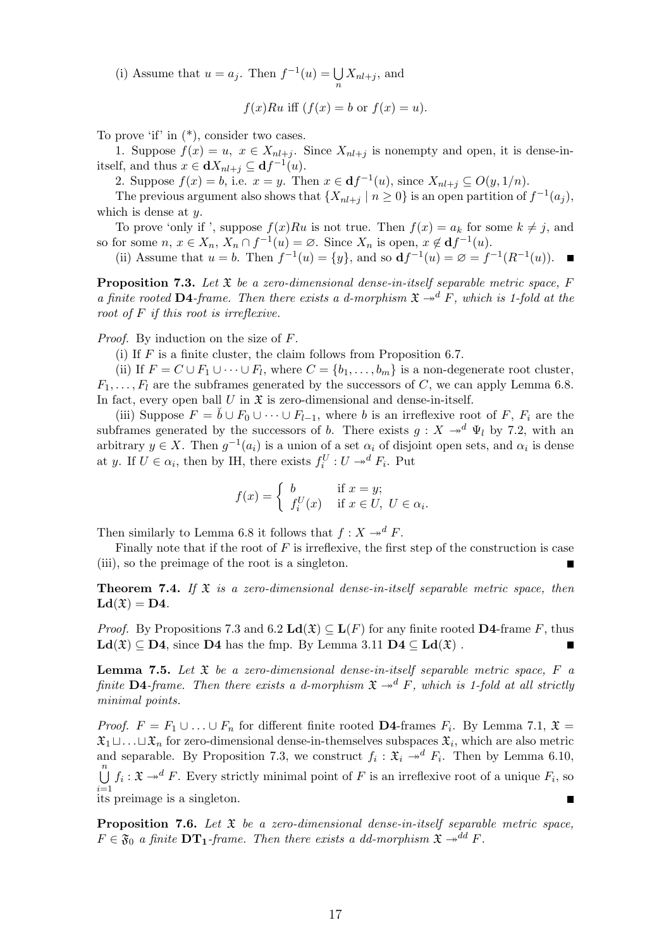(i) Assume that  $u = a_j$ . Then  $f^{-1}(u) = \bigcup$  $\bigcup_{n} X_{nl+j}$ , and

$$
f(x)Ru
$$
 iff  $(f(x) = b$  or  $f(x) = u)$ .

To prove 'if' in (\*), consider two cases.

1. Suppose  $f(x) = u$ ,  $x \in X_{nl+j}$ . Since  $X_{nl+j}$  is nonempty and open, it is dense-initself, and thus  $x \in \mathbf{d}X_{nl+j} \subseteq \mathbf{d}f^{-1}(u)$ .

2. Suppose  $f(x) = b$ , i.e.  $x = y$ . Then  $x \in df^{-1}(u)$ , since  $X_{nl+j} \subseteq O(y, 1/n)$ .

The previous argument also shows that  $\{X_{nl+j} \mid n \geq 0\}$  is an open partition of  $f^{-1}(a_j)$ , which is dense at  $y$ .

To prove 'only if ', suppose  $f(x)Ru$  is not true. Then  $f(x) = a_k$  for some  $k \neq j$ , and so for some  $n, x \in X_n$ ,  $X_n \cap f^{-1}(u) = \emptyset$ . Since  $X_n$  is open,  $x \notin df^{-1}(u)$ .

(ii) Assume that  $u = b$ . Then  $f^{-1}(u) = \{y\}$ , and so  $df^{-1}(u) = \emptyset = f^{-1}(R^{-1}(u))$ .

**Proposition 7.3.** Let  $\mathfrak X$  be a zero-dimensional dense-in-itself separable metric space, F a finite rooted D4-frame. Then there exists a d-morphism  $\mathfrak{X} \rightarrow d \mathfrak{F}$ , which is 1-fold at the root of F if this root is irreflexive.

Proof. By induction on the size of F.

(i) If  $F$  is a finite cluster, the claim follows from Proposition 6.7.

(ii) If  $F = C \cup F_1 \cup \cdots \cup F_l$ , where  $C = \{b_1, \ldots, b_m\}$  is a non-degenerate root cluster,  $F_1, \ldots, F_l$  are the subframes generated by the successors of C, we can apply Lemma 6.8. In fact, every open ball  $U$  in  $\mathfrak X$  is zero-dimensional and dense-in-itself.

(iii) Suppose  $F = \check{b} \cup F_0 \cup \cdots \cup F_{l-1}$ , where b is an irreflexive root of F,  $F_i$  are the subframes generated by the successors of b. There exists  $g: X \rightarrow^d \Psi_l$  by 7.2, with an arbitrary  $y \in X$ . Then  $g^{-1}(a_i)$  is a union of a set  $\alpha_i$  of disjoint open sets, and  $\alpha_i$  is dense at y. If  $U \in \alpha_i$ , then by IH, there exists  $f_i^U: U \to^d F_i$ . Put

$$
f(x) = \begin{cases} b & \text{if } x = y; \\ f_i^U(x) & \text{if } x \in U, \ U \in \alpha_i. \end{cases}
$$

Then similarly to Lemma 6.8 it follows that  $f: X \rightarrow d F$ .

Finally note that if the root of  $F$  is irreflexive, the first step of the construction is case (iii), so the preimage of the root is a singleton.

**Theorem 7.4.** If  $\mathfrak{X}$  is a zero-dimensional dense-in-itself separable metric space, then  $\mathbf{Ld}(\mathfrak{X}) = \mathbf{D4}.$ 

*Proof.* By Propositions 7.3 and 6.2  $\text{Ld}(\mathfrak{X}) \subseteq \text{L}(F)$  for any finite rooted D4-frame F, thus  $\text{Ld}(\mathfrak{X}) \subset \text{D4}$ , since D4 has the fmp. By Lemma 3.11  $\text{D4} \subset \text{Ld}(\mathfrak{X})$ .

**Lemma 7.5.** Let  $\mathfrak X$  be a zero-dimensional dense-in-itself separable metric space,  $F$  a finite **D4**-frame. Then there exists a d-morphism  $\mathfrak{X} \rightarrow^d F$ , which is 1-fold at all strictly minimal points.

*Proof.*  $F = F_1 \cup ... \cup F_n$  for different finite rooted **D4**-frames  $F_i$ . By Lemma 7.1,  $\mathfrak{X} =$  $\mathfrak{X}_1 \sqcup \ldots \sqcup \mathfrak{X}_n$  for zero-dimensional dense-in-themselves subspaces  $\mathfrak{X}_i$ , which are also metric and separable. By Proposition 7.3, we construct  $f_i : \mathfrak{X}_i \to^d F_i$ . Then by Lemma 6.10,  $\bigcup_{i=1}^{n} f_i : \mathfrak{X} \to^d F$ . Every strictly minimal point of F is an irreflexive root of a unique  $F_i$ , so  $i=1$ its preimage is a singleton.

**Proposition 7.6.** Let  $\mathfrak{X}$  be a zero-dimensional dense-in-itself separable metric space,  $F \in \mathfrak{F}_0$  a finite  $DT_1$ -frame. Then there exists a dd-morphism  $\mathfrak{X} \rightarrow \overline{d}d$   $F$ .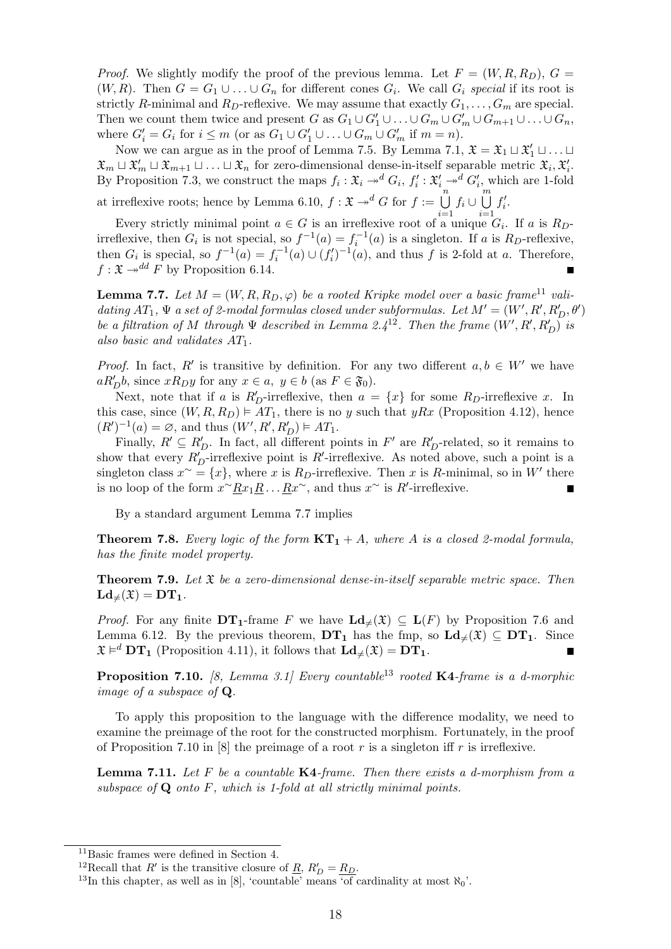*Proof.* We slightly modify the proof of the previous lemma. Let  $F = (W, R, R_D)$ ,  $G =$  $(W, R)$ . Then  $G = G_1 \cup ... \cup G_n$  for different cones  $G_i$ . We call  $G_i$  special if its root is strictly R-minimal and R<sub>D</sub>-reflexive. We may assume that exactly  $G_1, \ldots, G_m$  are special. Then we count them twice and present G as  $G_1 \cup G'_1 \cup \ldots \cup G_m \cup G'_m \cup G_{m+1} \cup \ldots \cup G_n$ , where  $G'_i = G_i$  for  $i \leq m$  (or as  $G_1 \cup G'_1 \cup ... \cup G_m \cup G'_m$  if  $m = n$ ).

Now we can argue as in the proof of Lemma 7.5. By Lemma 7.1,  $\mathfrak{X} = \mathfrak{X}_1 \sqcup \mathfrak{X}_1' \sqcup \ldots \sqcup$  $\mathfrak{X}_m \sqcup \mathfrak{X}'_m \sqcup \mathfrak{X}_{m+1} \sqcup \ldots \sqcup \mathfrak{X}_n$  for zero-dimensional dense-in-itself separable metric  $\mathfrak{X}_i, \mathfrak{X}'_i$ . By Proposition 7.3, we construct the maps  $f_i : \mathfrak{X}_i \to^d G_i$ ,  $f'_i : \mathfrak{X}'_i \to^d G'_i$ , which are 1-fold at irreflexive roots; hence by Lemma 6.10,  $f: \mathfrak{X} \to^d G$  for  $f := \bigcup_{i=1}^n f_i \cup \bigcup_{i=1}^m f'_i$ .

Every strictly minimal point  $a \in G$  is an irreflexive root of a unique  $G_i$ . If a is  $R_{D}$ irreflexive, then  $G_i$  is not special, so  $f^{-1}(a) = f_i^{-1}(a)$  is a singleton. If a is  $R_D$ -reflexive, then  $G_i$  is special, so  $f^{-1}(a) = f_i^{-1}(a) \cup (f_i')^{-1}(a)$ , and thus f is 2-fold at a. Therefore,  $f: \mathfrak{X} \rightarrow d^d F$  by Proposition 6.14.

**Lemma 7.7.** Let  $M = (W, R, R_D, \varphi)$  be a rooted Kripke model over a basic frame<sup>11</sup> validating  $AT_1$ ,  $\Psi$  a set of 2-modal formulas closed under subformulas. Let  $M' = (W', R', R_D', \theta')$ be a filtration of M through  $\Psi$  described in Lemma 2.4<sup>12</sup>. Then the frame  $(W', R', R'_{D})$  is also basic and validates  $AT_1$ .

*Proof.* In fact, R' is transitive by definition. For any two different  $a, b \in W'$  we have  $aR'_{D}b$ , since  $xR_{D}y$  for any  $x \in a$ ,  $y \in b$  (as  $F \in \mathfrak{F}_{0}$ ).

Next, note that if a is  $R'_D$ -irreflexive, then  $a = \{x\}$  for some  $R_D$ -irreflexive x. In this case, since  $(W, R, R_D) \models AT_1$ , there is no y such that yRx (Proposition 4.12), hence  $(R')^{-1}(a) = \emptyset$ , and thus  $(W', R', R'_{D}) \models AT_1$ .

Finally,  $R' \subseteq R'_D$ . In fact, all different points in  $F'$  are  $R'_D$ -related, so it remains to show that every  $R'_{D}$ -irreflexive point is R'-irreflexive. As noted above, such a point is a singleton class  $x^{\sim} = \{x\}$ , where x is  $R_D$ -irreflexive. Then x is R-minimal, so in W' there is no loop of the form  $x^{\sim} \underline{R} x_1 \underline{R} \ldots \underline{R} x^{\sim}$ , and thus  $x^{\sim}$  is  $R'$ -irreflexive.

By a standard argument Lemma 7.7 implies

**Theorem 7.8.** Every logic of the form  $KT_1 + A$ , where A is a closed 2-modal formula, has the finite model property.

**Theorem 7.9.** Let  $\mathfrak X$  be a zero-dimensional dense-in-itself separable metric space. Then  $\mathbf{Ld}_{\neq}(\mathfrak{X}) = \mathbf{DT}_{1}.$ 

*Proof.* For any finite  $DT_1$ -frame F we have  $\mathbf{Ld}_{\neq}(\mathfrak{X}) \subseteq \mathbf{L}(F)$  by Proposition 7.6 and Lemma 6.12. By the previous theorem,  $DT_1$  has the fmp, so  $Ld_{\neq}(\mathfrak{X}) \subseteq DT_1$ . Since  $\mathfrak{X} \models^d \mathbf{DT}_1$  (Proposition 4.11), it follows that  $\mathbf{Ld}_{\neq}(\mathfrak{X}) = \mathbf{DT}_1$ .

**Proposition 7.10.** [8, Lemma 3.1] Every countable<sup>13</sup> rooted K4-frame is a d-morphic image of a subspace of Q.

To apply this proposition to the language with the difference modality, we need to examine the preimage of the root for the constructed morphism. Fortunately, in the proof of Proposition 7.10 in [8] the preimage of a root r is a singleton iff r is irreflexive.

**Lemma 7.11.** Let F be a countable  $K4$ -frame. Then there exists a d-morphism from a subspace of  $Q$  onto  $F$ , which is 1-fold at all strictly minimal points.

<sup>11</sup>Basic frames were defined in Section 4.

<sup>&</sup>lt;sup>12</sup>Recall that R' is the transitive closure of <u>R</u>,  $R'_D = R_D$ .

<sup>&</sup>lt;sup>13</sup>In this chapter, as well as in [8], 'countable' means 'of cardinality at most  $\aleph_0$ '.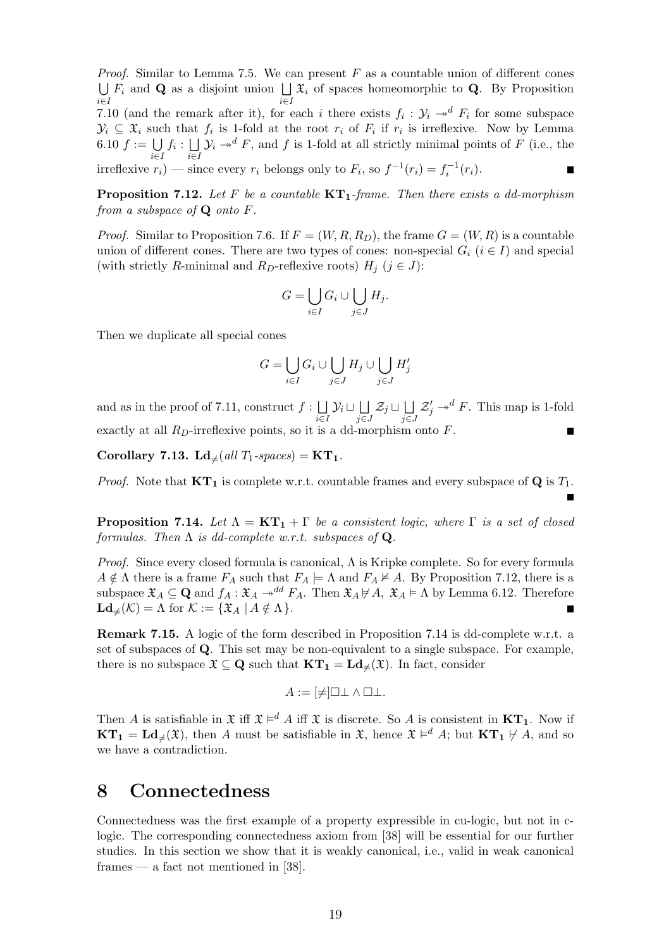*Proof.* Similar to Lemma 7.5. We can present  $F$  as a countable union of different cones  $\bigcup F_i$  and Q as a disjoint union  $\bigcup \mathfrak{X}_i$  of spaces homeomorphic to Q. By Proposition  $i∈I$   $i∈I$ 7.10 (and the remark after it), for each i there exists  $f_i: \mathcal{Y}_i \to^d F_i$  for some subspace  $\mathcal{Y}_i \subseteq \mathfrak{X}_i$  such that  $f_i$  is 1-fold at the root  $r_i$  of  $F_i$  if  $r_i$  is irreflexive. Now by Lemma 6.10  $f := \bigcup f_i : \bigcup Y_i \to^d F$ , and f is 1-fold at all strictly minimal points of F (i.e., the i∈I i∈I irreflexive  $r_i$ ) — since every  $r_i$  belongs only to  $F_i$ , so  $f^{-1}(r_i) = f_i^{-1}(r_i)$ .

**Proposition 7.12.** Let F be a countable  $KT_1$ -frame. Then there exists a dd-morphism from a subspace of  $Q$  onto  $F$ .

*Proof.* Similar to Proposition 7.6. If  $F = (W, R, R_D)$ , the frame  $G = (W, R)$  is a countable union of different cones. There are two types of cones: non-special  $G_i$  ( $i \in I$ ) and special (with strictly R-minimal and R<sub>D</sub>-reflexive roots)  $H_i$  ( $j \in J$ ):

$$
G = \bigcup_{i \in I} G_i \cup \bigcup_{j \in J} H_j.
$$

Then we duplicate all special cones

$$
G = \bigcup_{i \in I} G_i \cup \bigcup_{j \in J} H_j \cup \bigcup_{j \in J} H'_j
$$

 $\mathcal{Z}'_j \rightarrow^d F$ . This map is 1-fold and as in the proof of 7.11, construct  $f: \Box$  $\mathcal{Y}_i \sqcup \bigsqcup$  $\mathcal{Z}_j \sqcup \bigsqcup$ i∈I j∈J j∈J exactly at all  $R_D$ -irreflexive points, so it is a dd-morphism onto  $F$ .  $\blacksquare$ 

Corollary 7.13. Ld<sub> $\neq$ </sub>(all T<sub>1</sub>-spaces) = KT<sub>1</sub>.

*Proof.* Note that  $KT_1$  is complete w.r.t. countable frames and every subspace of  $Q$  is  $T_1$ .

**Proposition 7.14.** Let  $\Lambda = KT_1 + \Gamma$  be a consistent logic, where  $\Gamma$  is a set of closed formulas. Then  $\Lambda$  is dd-complete w.r.t. subspaces of  $\mathbf{Q}$ .

Proof. Since every closed formula is canonical, Λ is Kripke complete. So for every formula  $A \notin \Lambda$  there is a frame  $F_A$  such that  $F_A \models \Lambda$  and  $F_A \not\models A$ . By Proposition 7.12, there is a subspace  $\mathfrak{X}_A \subseteq \mathbf{Q}$  and  $f_A : \mathfrak{X}_A \to^{dd} F_A$ . Then  $\mathfrak{X}_A \not\models A$ ,  $\mathfrak{X}_A \models \Lambda$  by Lemma 6.12. Therefore  $\mathbf{Ld}_{\neq}(\mathcal{K}) = \Lambda$  for  $\mathcal{K} := \{ \mathfrak{X}_A \mid A \notin \Lambda \}.$  $\blacksquare$ 

Remark 7.15. A logic of the form described in Proposition 7.14 is dd-complete w.r.t. a set of subspaces of Q. This set may be non-equivalent to a single subspace. For example, there is no subspace  $\mathfrak{X} \subseteq \mathbf{Q}$  such that  $\mathbf{KT}_1 = \mathbf{Ld}_{\neq}(\mathfrak{X})$ . In fact, consider

$$
A := [\neq] \Box \bot \land \Box \bot.
$$

Then A is satisfiable in  $\mathfrak{X}$  iff  $\mathfrak{X} \models^d A$  iff  $\mathfrak{X}$  is discrete. So A is consistent in  $KT_1$ . Now if  $KT_1 = Ld_{\neq}(\mathfrak{X})$ , then A must be satisfiable in  $\mathfrak{X}$ , hence  $\mathfrak{X} \models^d A$ ; but  $KT_1 \not\vdash A$ , and so we have a contradiction.

## 8 Connectedness

Connectedness was the first example of a property expressible in cu-logic, but not in clogic. The corresponding connectedness axiom from [38] will be essential for our further studies. In this section we show that it is weakly canonical, i.e., valid in weak canonical frames — a fact not mentioned in [38].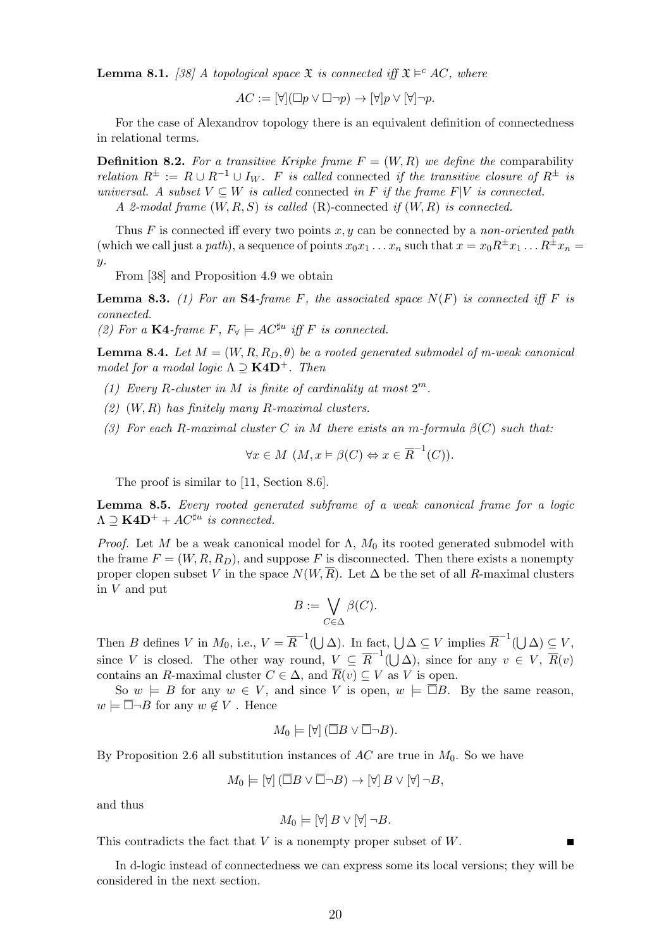**Lemma 8.1.** [38] A topological space  $\mathfrak{X}$  is connected iff  $\mathfrak{X} \models^c AC$ , where

$$
AC := [\forall](\Box p \lor \Box \neg p) \to [\forall] p \lor [\forall] \neg p.
$$

For the case of Alexandrov topology there is an equivalent definition of connectedness in relational terms.

**Definition 8.2.** For a transitive Kripke frame  $F = (W, R)$  we define the comparability relation  $R^{\pm} := R \cup R^{-1} \cup I_W$ . F is called connected if the transitive closure of  $R^{\pm}$  is universal. A subset  $V \subseteq W$  is called connected in F if the frame  $F|V$  is connected. A 2-modal frame  $(W, R, S)$  is called  $(R)$ -connected if  $(W, R)$  is connected.

Thus F is connected iff every two points x, y can be connected by a non-oriented path (which we call just a path), a sequence of points  $x_0x_1 \ldots x_n$  such that  $x = x_0R^{\pm}x_1 \ldots R^{\pm}x_n =$  $y$ .

From [38] and Proposition 4.9 we obtain

**Lemma 8.3.** (1) For an S4-frame F, the associated space  $N(F)$  is connected iff F is connected.

(2) For a K4-frame F,  $F_{\forall} \models AC^{\sharp u}$  iff F is connected.

**Lemma 8.4.** Let  $M = (W, R, R_D, \theta)$  be a rooted generated submodel of m-weak canonical model for a modal logic  $\Lambda \supseteq \textbf{K4D}^+$ . Then

- (1) Every R-cluster in M is finite of cardinality at most  $2^m$ .
- $(2)$   $(W, R)$  has finitely many R-maximal clusters.
- (3) For each R-maximal cluster C in M there exists an m-formula  $\beta(C)$  such that:

$$
\forall x \in M \ (M, x \models \beta(C) \Leftrightarrow x \in \overline{R}^{-1}(C)).
$$

The proof is similar to [11, Section 8.6].

Lemma 8.5. Every rooted generated subframe of a weak canonical frame for a logic  $\Lambda \supseteq \textbf{K4D}^+ + AC^{\sharp u}$  is connected.

*Proof.* Let M be a weak canonical model for  $\Lambda$ ,  $M_0$  its rooted generated submodel with the frame  $F = (W, R, R_D)$ , and suppose F is disconnected. Then there exists a nonempty proper clopen subset V in the space  $N(W, \overline{R})$ . Let  $\Delta$  be the set of all R-maximal clusters in V and put

$$
B:=\bigvee_{C\in \Delta}\beta(C).
$$

Then B defines V in  $M_0$ , i.e.,  $V = \overline{R}^{-1}(\bigcup \Delta)$ . In fact,  $\bigcup \Delta \subseteq V$  implies  $\overline{R}^{-1}(\bigcup \Delta) \subseteq V$ , since V is closed. The other way round,  $V \subseteq \overline{R}^{-1}(\bigcup \Delta)$ , since for any  $v \in V$ ,  $\overline{R}(v)$ contains an R-maximal cluster  $C \in \Delta$ , and  $\overline{R}(v) \subseteq V$  as V is open.

So  $w \models B$  for any  $w \in V$ , and since V is open,  $w \models \Box B$ . By the same reason,  $w \models \overline{\Box} \neg B$  for any  $w \notin V$ . Hence

$$
M_0 \models [\forall] (\overline{\Box} B \vee \overline{\Box} \neg B).
$$

By Proposition 2.6 all substitution instances of  $AC$  are true in  $M_0$ . So we have

$$
M_0 \models [\forall] (\overline{\Box} B \lor \overline{\Box} \neg B) \rightarrow [\forall] B \lor [\forall] \neg B,
$$

and thus

$$
M_0 \models [\forall] B \lor [\forall] \neg B.
$$

This contradicts the fact that  $V$  is a nonempty proper subset of  $W$ .

In d-logic instead of connectedness we can express some its local versions; they will be considered in the next section.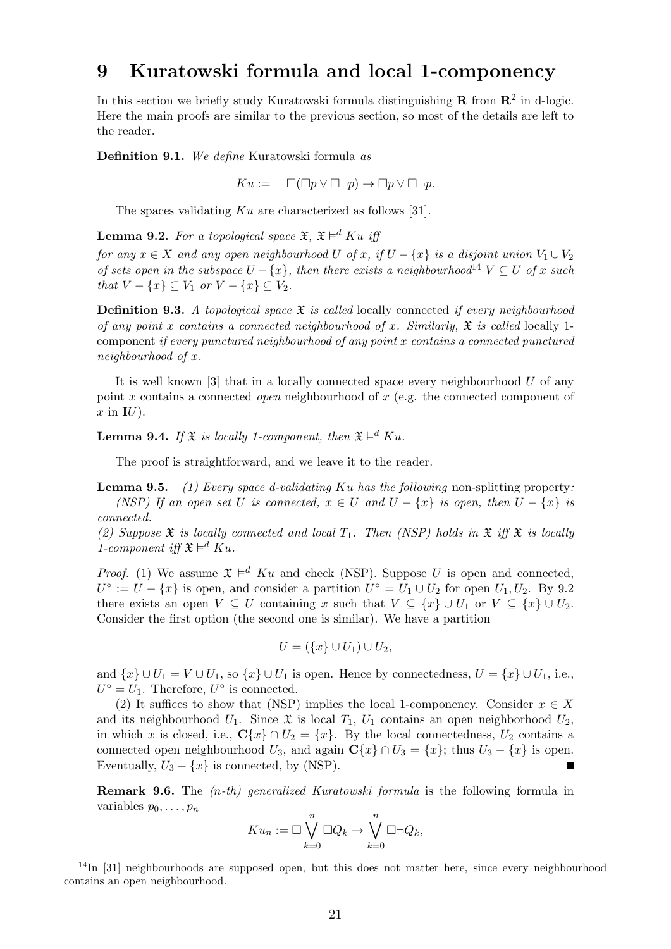#### 9 Kuratowski formula and local 1-componency

In this section we briefly study Kuratowski formula distinguishing  $\mathbf{R}$  from  $\mathbf{R}^2$  in d-logic. Here the main proofs are similar to the previous section, so most of the details are left to the reader.

Definition 9.1. We define Kuratowski formula as

 $Ku := \Box(\overline{\Box} p \vee \overline{\Box} \neg p) \rightarrow \Box p \vee \Box \neg p.$ 

The spaces validating Ku are characterized as follows [31].

**Lemma 9.2.** For a topological space  $\mathfrak{X}, \mathfrak{X} \models^d Ku$  iff

for any  $x \in X$  and any open neighbourhood U of x, if  $U - \{x\}$  is a disjoint union  $V_1 \cup V_2$ of sets open in the subspace  $U - \{x\}$ , then there exists a neighbourhood<sup>14</sup>  $V \subseteq U$  of x such that  $V - \{x\} \subseteq V_1$  or  $V - \{x\} \subseteq V_2$ .

**Definition 9.3.** A topological space  $\mathfrak{X}$  is called locally connected if every neighbourhood of any point x contains a connected neighbourhood of x. Similarly,  $\mathfrak X$  is called locally 1component if every punctured neighbourhood of any point x contains a connected punctured neighbourhood of x.

It is well known  $\lceil 3 \rceil$  that in a locally connected space every neighbourhood U of any point x contains a connected *open* neighbourhood of x (e.g. the connected component of  $x$  in  $\mathbf{I}U$ ).

**Lemma 9.4.** If  $\mathfrak{X}$  is locally 1-component, then  $\mathfrak{X} \models^d Ku$ .

The proof is straightforward, and we leave it to the reader.

**Lemma 9.5.** (1) Every space d-validating Ku has the following non-splitting property: (NSP) If an open set U is connected,  $x \in U$  and  $U - \{x\}$  is open, then  $U - \{x\}$  is connected.

(2) Suppose  $\mathfrak X$  is locally connected and local  $T_1$ . Then (NSP) holds in  $\mathfrak X$  iff  $\mathfrak X$  is locally 1-component iff  $\mathfrak{X} \models^d K u$ .

*Proof.* (1) We assume  $\mathfrak{X} \models^d K u$  and check (NSP). Suppose U is open and connected,  $U^{\circ} := U - \{x\}$  is open, and consider a partition  $U^{\circ} = U_1 \cup U_2$  for open  $U_1, U_2$ . By 9.2 there exists an open  $V \subseteq U$  containing x such that  $V \subseteq \{x\} \cup U_1$  or  $V \subseteq \{x\} \cup U_2$ . Consider the first option (the second one is similar). We have a partition

$$
U = (\{x\} \cup U_1) \cup U_2,
$$

and  $\{x\} \cup U_1 = V \cup U_1$ , so  $\{x\} \cup U_1$  is open. Hence by connectedness,  $U = \{x\} \cup U_1$ , i.e.,  $U^{\circ} = U_1$ . Therefore,  $U^{\circ}$  is connected.

(2) It suffices to show that (NSP) implies the local 1-componency. Consider  $x \in X$ and its neighbourhood  $U_1$ . Since  $\mathfrak X$  is local  $T_1$ ,  $U_1$  contains an open neighborhood  $U_2$ , in which x is closed, i.e.,  $\mathbf{C}\{x\} \cap U_2 = \{x\}$ . By the local connectedness,  $U_2$  contains a connected open neighbourhood  $U_3$ , and again  $\mathbb{C}\{x\} \cap U_3 = \{x\}$ ; thus  $U_3 - \{x\}$  is open. Eventually,  $U_3 - \{x\}$  is connected, by (NSP).

**Remark 9.6.** The  $(n-th)$  generalized Kuratowski formula is the following formula in variables  $p_0, \ldots, p_n$ 

$$
K u_n := \Box \bigvee_{k=0}^n \overline{\Box} Q_k \to \bigvee_{k=0}^n \Box \neg Q_k,
$$

 $14$ In [31] neighbourhoods are supposed open, but this does not matter here, since every neighbourhood contains an open neighbourhood.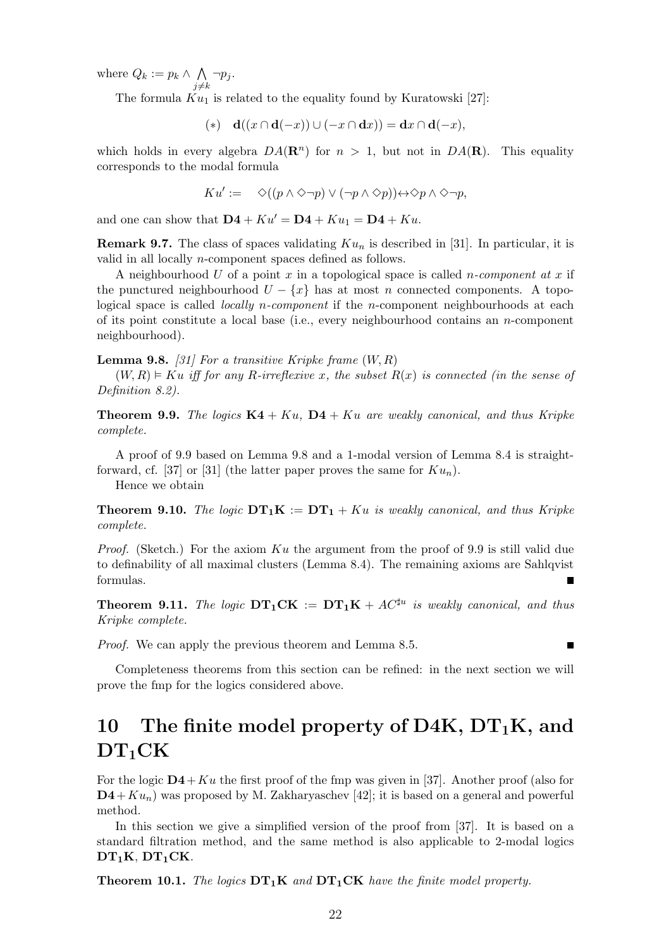where  $Q_k := p_k \wedge \wedge$  $j{\neq}k$  $\neg p_j$ .

The formula  $Ku_1$  is related to the equality found by Kuratowski [27]:

$$
(*) \quad \mathbf{d}((x \cap \mathbf{d}(-x)) \cup (-x \cap \mathbf{d}x)) = \mathbf{d}x \cap \mathbf{d}(-x),
$$

which holds in every algebra  $DA(\mathbf{R}^n)$  for  $n > 1$ , but not in  $DA(\mathbf{R})$ . This equality corresponds to the modal formula

$$
Ku' := \diamondlearrowleft((p \land \diamondsuit \neg p) \lor (\neg p \land \diamondsuit p)) \leftrightarrow \diamondsuit p \land \diamondsuit \neg p,
$$

and one can show that  $\mathbf{D4} + K u' = \mathbf{D4} + K u_1 = \mathbf{D4} + K u$ .

**Remark 9.7.** The class of spaces validating  $Ku_n$  is described in [31]. In particular, it is valid in all locally n-component spaces defined as follows.

A neighbourhood U of a point x in a topological space is called *n*-component at x if the punctured neighbourhood  $U - \{x\}$  has at most n connected components. A topological space is called *locally n-component* if the *n*-component neighbourhoods at each of its point constitute a local base (i.e., every neighbourhood contains an  $n$ -component neighbourhood).

**Lemma 9.8.** [31] For a transitive Kripke frame  $(W, R)$ 

 $(W, R) \models Ku$  iff for any R-irreflexive x, the subset  $R(x)$  is connected (in the sense of Definition 8.2).

**Theorem 9.9.** The logics  $K4 + Ku$ ,  $D4 + Ku$  are weakly canonical, and thus Kripke complete.

A proof of 9.9 based on Lemma 9.8 and a 1-modal version of Lemma 8.4 is straightforward, cf. [37] or [31] (the latter paper proves the same for  $Ku_n$ ).

Hence we obtain

**Theorem 9.10.** The logic  $DT_1K := DT_1 + Ku$  is weakly canonical, and thus Kripke complete.

*Proof.* (Sketch.) For the axiom  $Ku$  the argument from the proof of 9.9 is still valid due to definability of all maximal clusters (Lemma 8.4). The remaining axioms are Sahlqvist formulas. D

**Theorem 9.11.** The logic  $DT_1CK := DT_1K + AC^{\sharp u}$  is weakly canonical, and thus Kripke complete.

П

Proof. We can apply the previous theorem and Lemma 8.5.

Completeness theorems from this section can be refined: in the next section we will prove the fmp for the logics considered above.

# 10 The finite model property of D4K,  $DT_1K$ , and  $DT_1CK$

For the logic  $D4+Ku$  the first proof of the fmp was given in [37]. Another proof (also for  $\mathbf{D4}+Ku_n$ ) was proposed by M. Zakharyaschev [42]; it is based on a general and powerful method.

In this section we give a simplified version of the proof from [37]. It is based on a standard filtration method, and the same method is also applicable to 2-modal logics  $DT_1K$ ,  $DT_1CK$ .

**Theorem 10.1.** The logics  $DT_1K$  and  $DT_1CK$  have the finite model property.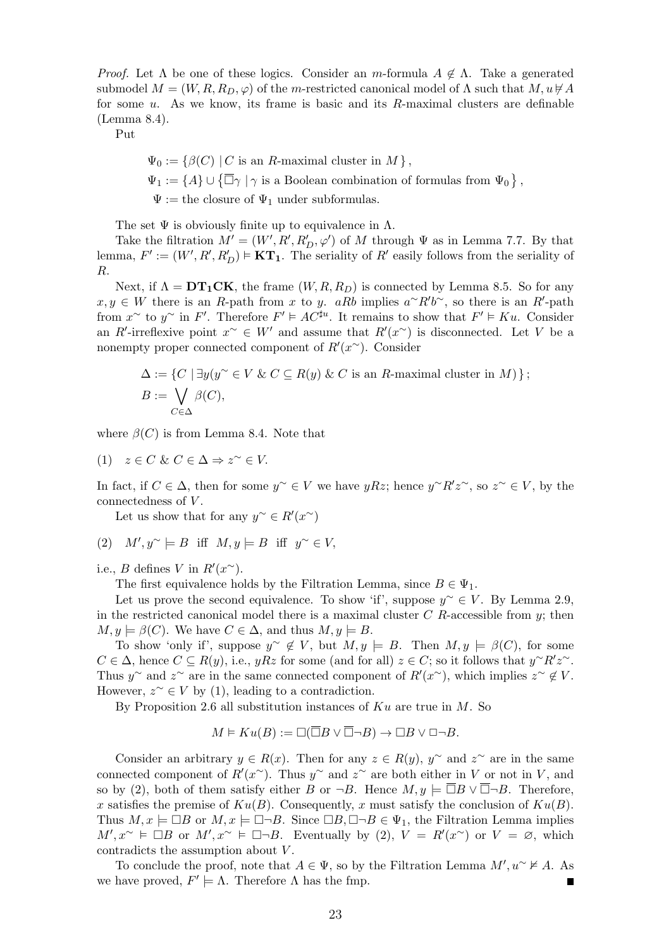*Proof.* Let  $\Lambda$  be one of these logics. Consider an m-formula  $A \notin \Lambda$ . Take a generated submodel  $M = (W, R, R_D, \varphi)$  of the m-restricted canonical model of  $\Lambda$  such that  $M, u \not\vdash A$ for some  $u$ . As we know, its frame is basic and its  $R$ -maximal clusters are definable (Lemma 8.4).

Put

 $\Psi_0 := \{\beta(C) \mid C \text{ is an } R\text{-maximal cluster in } M \},$  $\Psi_1 := \{A\} \cup \{\overline{\Box}\gamma \mid \gamma \text{ is a Boolean combination of formulas from } \Psi_0\},\$  $\Psi :=$  the closure of  $\Psi_1$  under subformulas.

The set  $\Psi$  is obviously finite up to equivalence in  $\Lambda$ .

Take the filtration  $M' = (W', R', R'_D, \varphi')$  of M through  $\Psi$  as in Lemma 7.7. By that lemma,  $F' := (W', R', R'_D) \models \mathbf{KT}_1$ . The seriality of  $R'$  easily follows from the seriality of R.

Next, if  $\Lambda = DT_1CK$ , the frame  $(W, R, R_D)$  is connected by Lemma 8.5. So for any  $x, y \in W$  there is an R-path from x to y. aRb implies  $a^{\sim}R'b^{\sim}$ , so there is an R'-path from  $x^{\sim}$  to  $y^{\sim}$  in F'. Therefore  $F' \models AC^{\sharp u}$ . It remains to show that  $F' \models Ku$ . Consider an R'-irreflexive point  $x^{\sim} \in W'$  and assume that  $R'(x^{\sim})$  is disconnected. Let V be a nonempty proper connected component of  $R'(x^{\sim})$ . Consider

$$
\Delta := \{ C \mid \exists y (y^{\sim} \in V \& C \subseteq R(y) \& C \text{ is an } R\text{-maximal cluster in } M) \};
$$
  

$$
B := \bigvee_{C \in \Delta} \beta(C),
$$

where  $\beta(C)$  is from Lemma 8.4. Note that

(1)  $z \in C \& C \in \Delta \Rightarrow z^{\sim} \in V$ .

In fact, if  $C \in \Delta$ , then for some  $y^{\sim} \in V$  we have  $yRz$ ; hence  $y^{\sim}R'z^{\sim}$ , so  $z^{\sim} \in V$ , by the connectedness of V.

Let us show that for any  $y^{\sim} \in R'(x^{\sim})$ 

$$
(2) \quad M',y^{\sim} \models B \ \ \text{iff} \ \ M,y \models B \ \ \text{iff} \ \ y^{\sim} \in V,
$$

i.e., *B* defines *V* in  $R'(x^{\sim})$ .

The first equivalence holds by the Filtration Lemma, since  $B \in \Psi_1$ .

Let us prove the second equivalence. To show 'if', suppose  $y^{\sim} \in V$ . By Lemma 2.9, in the restricted canonical model there is a maximal cluster  $C$  R-accessible from  $y$ ; then  $M, y \models \beta(C)$ . We have  $C \in \Delta$ , and thus  $M, y \models B$ .

To show 'only if', suppose  $y^{\sim} \notin V$ , but  $M, y \models B$ . Then  $M, y \models \beta(C)$ , for some  $C \in \Delta$ , hence  $C \subseteq R(y)$ , i.e.,  $yRz$  for some (and for all)  $z \in C$ ; so it follows that  $y^{\sim}R'z^{\sim}$ . Thus y<sup>∼</sup> and z<sup>∼</sup> are in the same connected component of  $R'(x^{\sim})$ , which implies  $z^{\sim} \notin V$ . However,  $z^{\sim} \in V$  by (1), leading to a contradiction.

By Proposition 2.6 all substitution instances of  $Ku$  are true in M. So

$$
M \vDash Ku(B) := \Box(\overline{\Box}B \vee \overline{\Box} \neg B) \to \Box B \vee \Box \neg B.
$$

Consider an arbitrary  $y \in R(x)$ . Then for any  $z \in R(y)$ ,  $y^{\sim}$  and  $z^{\sim}$  are in the same connected component of  $R'(x^{\sim})$ . Thus y<sup>~</sup> and z<sup>~</sup> are both either in V or not in V, and so by (2), both of them satisfy either B or  $\neg B$ . Hence  $M, y \models \Box B \vee \Box \neg B$ . Therefore, x satisfies the premise of  $Ku(B)$ . Consequently, x must satisfy the conclusion of  $Ku(B)$ . Thus  $M, x \models \Box B$  or  $M, x \models \Box \neg B$ . Since  $\Box B, \Box \neg B \in \Psi_1$ , the Filtration Lemma implies  $M', x^{\sim} \models \Box B$  or  $M', x^{\sim} \models \Box \neg B$ . Eventually by (2),  $V = R'(x^{\sim})$  or  $V = \emptyset$ , which contradicts the assumption about V.

To conclude the proof, note that  $A \in \Psi$ , so by the Filtration Lemma  $M', u^{\sim} \nvdash A$ . As we have proved,  $F' \models \Lambda$ . Therefore  $\Lambda$  has the fmp.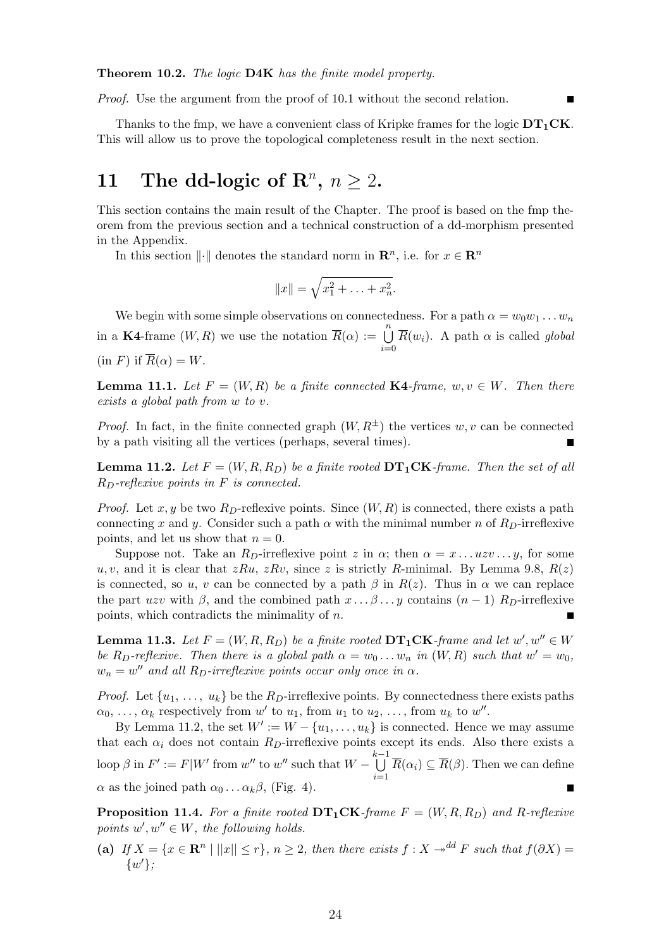Theorem 10.2. The logic D4K has the finite model property.

Proof. Use the argument from the proof of 10.1 without the second relation.

Thanks to the fmp, we have a convenient class of Kripke frames for the logic  $DT_1CK$ . This will allow us to prove the topological completeness result in the next section.

# 11 The dd-logic of  $\mathbb{R}^n$ ,  $n \geq 2$ .

This section contains the main result of the Chapter. The proof is based on the fmp theorem from the previous section and a technical construction of a dd-morphism presented in the Appendix.

In this section  $\|\cdot\|$  denotes the standard norm in  $\mathbb{R}^n$ , i.e. for  $x \in \mathbb{R}^n$ 

$$
||x|| = \sqrt{x_1^2 + \ldots + x_n^2}.
$$

We begin with some simple observations on connectedness. For a path  $\alpha = w_0w_1 \dots w_n$ in a K4-frame  $(W, R)$  we use the notation  $\overline{R}(\alpha) := \bigcup_{k=1}^{n} R_k$  $i=0$  $\overline{R}(w_i)$ . A path  $\alpha$  is called global  $\text{(in } F) \text{ if } \overline{R}(\alpha) = W.$ 

**Lemma 11.1.** Let  $F = (W, R)$  be a finite connected **K4**-frame,  $w, v \in W$ . Then there exists a global path from w to v.

*Proof.* In fact, in the finite connected graph  $(W, R^{\pm})$  the vertices w, v can be connected by a path visiting all the vertices (perhaps, several times).

**Lemma 11.2.** Let  $F = (W, R, R_D)$  be a finite rooted  $DT_1CK$ -frame. Then the set of all  $R_D$ -reflexive points in F is connected.

*Proof.* Let x, y be two  $R_D$ -reflexive points. Since  $(W, R)$  is connected, there exists a path connecting x and y. Consider such a path  $\alpha$  with the minimal number n of R<sub>D</sub>-irreflexive points, and let us show that  $n = 0$ .

Suppose not. Take an  $R_D$ -irreflexive point z in  $\alpha$ ; then  $\alpha = x \dots u \overline{z} \overline{v} \dots y$ , for some u, v, and it is clear that  $zRu$ ,  $zRv$ , since z is strictly R-minimal. By Lemma 9.8,  $R(z)$ is connected, so u, v can be connected by a path  $\beta$  in  $R(z)$ . Thus in  $\alpha$  we can replace the part uzv with  $\beta$ , and the combined path  $x \dots \beta \dots y$  contains  $(n-1)$  R<sub>D</sub>-irreflexive points, which contradicts the minimality of  $n$ .

**Lemma 11.3.** Let  $F = (W, R, R_D)$  be a finite rooted  $DT_1CK$ -frame and let  $w', w'' \in W$ be R<sub>D</sub>-reflexive. Then there is a global path  $\alpha = w_0 \dots w_n$  in  $(W, R)$  such that  $w' = w_0$ ,  $w_n = w''$  and all  $R_D$ -irreflexive points occur only once in  $\alpha$ .

*Proof.* Let  $\{u_1, \ldots, u_k\}$  be the  $R_D$ -irreflexive points. By connectedness there exists paths  $\alpha_0, \ldots, \alpha_k$  respectively from w' to  $u_1$ , from  $u_1$  to  $u_2, \ldots$ , from  $u_k$  to  $w''$ .

By Lemma 11.2, the set  $W' := W - \{u_1, \ldots, u_k\}$  is connected. Hence we may assume that each  $\alpha_i$  does not contain  $R_D$ -irreflexive points except its ends. Also there exists a  $\begin{aligned} \text{loop } \beta \text{ in } F' := F|W' \text{ from } w'' \text{ to } w'' \text{ such that } W - \bigcup^{k-1}$  $i=1$  $R(\alpha_i) \subseteq R(\beta)$ . Then we can define  $\alpha$  as the joined path  $\alpha_0 \dots \alpha_k \beta$ , (Fig. 4).

**Proposition 11.4.** For a finite rooted  $DT_1CK$ -frame  $F = (W, R, R_D)$  and R-reflexive points  $w', w'' \in W$ , the following holds.

(a) If  $X = \{x \in \mathbb{R}^n \mid ||x|| \leq r\}, n \geq 2$ , then there exists  $f : X \to^{dd} F$  such that  $f(\partial X) =$  $\{w'\};$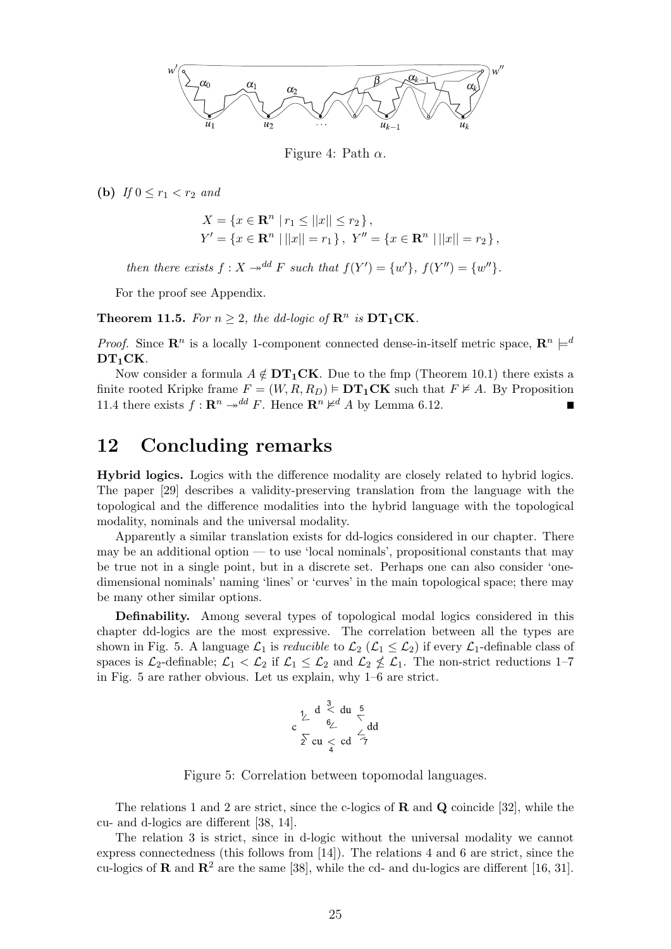

Figure 4: Path  $\alpha$ .

(b) If  $0 \leq r_1 < r_2$  and

$$
X = \{x \in \mathbf{R}^n \mid r_1 \le ||x|| \le r_2\},\
$$
  

$$
Y' = \{x \in \mathbf{R}^n \mid ||x|| = r_1\}, Y'' = \{x \in \mathbf{R}^n \mid ||x|| = r_2\},\
$$

then there exists  $f: X \to^{dd} F$  such that  $f(Y') = \{w'\}, f(Y'') = \{w''\}.$ 

For the proof see Appendix.

**Theorem 11.5.** For  $n \geq 2$ , the dd-logic of  $\mathbb{R}^n$  is  $DT_1CK$ .

*Proof.* Since  $\mathbb{R}^n$  is a locally 1-component connected dense-in-itself metric space,  $\mathbb{R}^n \models^d$  $DT_1CK$ .

Now consider a formula  $A \notin DT_1CK$ . Due to the fmp (Theorem 10.1) there exists a finite rooted Kripke frame  $F = (W, R, R_D) \models \mathbf{DT}_1\mathbf{CK}$  such that  $F \not\models A$ . By Proposition 11.4 there exists  $f: \mathbf{R}^n \to^{dd} F$ . Hence  $\mathbf{R}^n \not\vdash^d A$  by Lemma 6.12.

### 12 Concluding remarks

Hybrid logics. Logics with the difference modality are closely related to hybrid logics. The paper [29] describes a validity-preserving translation from the language with the topological and the difference modalities into the hybrid language with the topological modality, nominals and the universal modality.

Apparently a similar translation exists for dd-logics considered in our chapter. There may be an additional option — to use 'local nominals', propositional constants that may be true not in a single point, but in a discrete set. Perhaps one can also consider 'onedimensional nominals' naming 'lines' or 'curves' in the main topological space; there may be many other similar options.

Definability. Among several types of topological modal logics considered in this chapter dd-logics are the most expressive. The correlation between all the types are shown in Fig. 5. A language  $\mathcal{L}_1$  is *reducible* to  $\mathcal{L}_2$  ( $\mathcal{L}_1 \leq \mathcal{L}_2$ ) if every  $\mathcal{L}_1$ -definable class of spaces is  $\mathcal{L}_2$ -definable;  $\mathcal{L}_1 < \mathcal{L}_2$  if  $\mathcal{L}_1 \leq \mathcal{L}_2$  and  $\mathcal{L}_2 \nleq \mathcal{L}_1$ . The non-strict reductions 1-7 in Fig. 5 are rather obvious. Let us explain, why 1–6 are strict.

$$
c \frac{1}{\sum_{i=1}^{n} d_i} \leq d u \frac{5}{\sum_{i=1}^{n} d_i}
$$

$$
\sum_{i=1}^{n} c u \leq c d \frac{1}{\sum_{i=1}^{n} d_i}
$$

Figure 5: Correlation between topomodal languages.

The relations 1 and 2 are strict, since the c-logics of  $\bf{R}$  and  $\bf{Q}$  coincide [32], while the cu- and d-logics are different [38, 14].

The relation 3 is strict, since in d-logic without the universal modality we cannot express connectedness (this follows from [14]). The relations 4 and 6 are strict, since the cu-logics of **R** and  $\mathbb{R}^2$  are the same [38], while the cd- and du-logics are different [16, 31].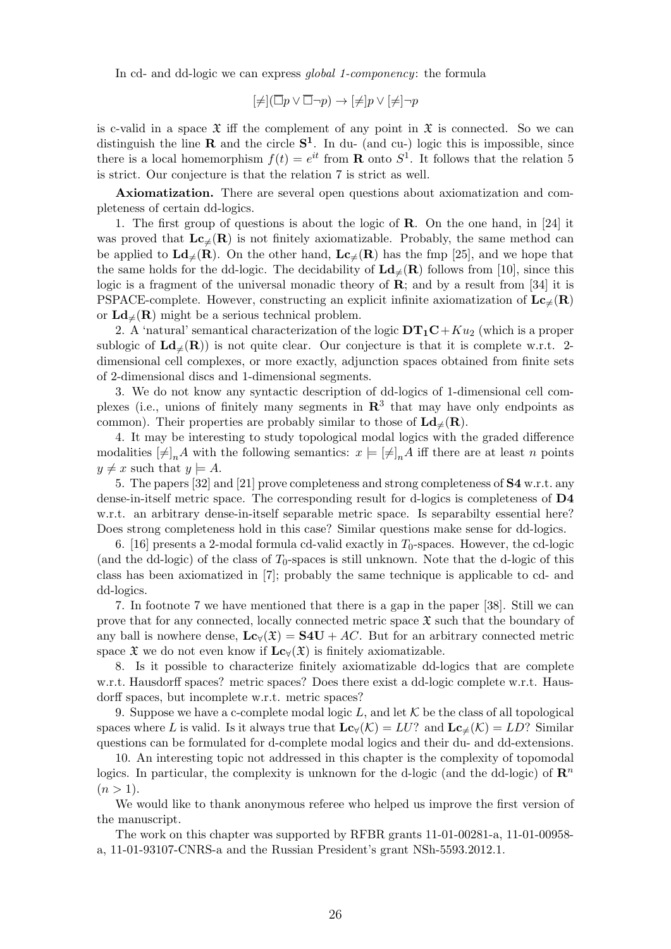In cd- and dd-logic we can express *global 1-componency*: the formula

$$
[\neq] (\overline{\Box} p \vee \overline{\Box} \neg p) \to [\neq] p \vee [\neq] \neg p
$$

is c-valid in a space  $\mathfrak X$  iff the complement of any point in  $\mathfrak X$  is connected. So we can distinguish the line **R** and the circle  $S^1$ . In du- (and cu-) logic this is impossible, since there is a local homemorphism  $f(t) = e^{it}$  from **R** onto  $S^1$ . It follows that the relation 5 is strict. Our conjecture is that the relation 7 is strict as well.

Axiomatization. There are several open questions about axiomatization and completeness of certain dd-logics.

1. The first group of questions is about the logic of R. On the one hand, in [24] it was proved that  $\mathbf{Lc}_{\neq}(\mathbf{R})$  is not finitely axiomatizable. Probably, the same method can be applied to  $\mathbf{Ld}_{\neq}(\mathbf{R})$ . On the other hand,  $\mathbf{Lc}_{\neq}(\mathbf{R})$  has the fmp [25], and we hope that the same holds for the dd-logic. The decidability of  $\mathbf{Ld}_{\neq}(\mathbf{R})$  follows from [10], since this logic is a fragment of the universal monadic theory of  $\mathbf{R}$ ; and by a result from [34] it is PSPACE-complete. However, constructing an explicit infinite axiomatization of  $\mathbf{Lc}_{\neq}(\mathbf{R})$ or  $\mathbf{L}d_{\neq}(\mathbf{R})$  might be a serious technical problem.

2. A 'natural' semantical characterization of the logic  $DT_1C+Ku_2$  (which is a proper sublogic of  $\mathbf{L}d_{\neq}(\mathbf{R})$  is not quite clear. Our conjecture is that it is complete w.r.t. 2dimensional cell complexes, or more exactly, adjunction spaces obtained from finite sets of 2-dimensional discs and 1-dimensional segments.

3. We do not know any syntactic description of dd-logics of 1-dimensional cell complexes (i.e., unions of finitely many segments in  $\mathbb{R}^3$  that may have only endpoints as common). Their properties are probably similar to those of  $\mathbf{Ld}_{\neq}(\mathbf{R})$ .

4. It may be interesting to study topological modal logics with the graded difference modalities  $[\neq]_n A$  with the following semantics:  $x \models [\neq]_n A$  iff there are at least n points  $y \neq x$  such that  $y \models A$ .

5. The papers [32] and [21] prove completeness and strong completeness of S4 w.r.t. any dense-in-itself metric space. The corresponding result for d-logics is completeness of D4 w.r.t. an arbitrary dense-in-itself separable metric space. Is separabilty essential here? Does strong completeness hold in this case? Similar questions make sense for dd-logics.

6. [16] presents a 2-modal formula cd-valid exactly in  $T_0$ -spaces. However, the cd-logic (and the dd-logic) of the class of  $T_0$ -spaces is still unknown. Note that the d-logic of this class has been axiomatized in [7]; probably the same technique is applicable to cd- and dd-logics.

7. In footnote 7 we have mentioned that there is a gap in the paper [38]. Still we can prove that for any connected, locally connected metric space  $\mathfrak X$  such that the boundary of any ball is nowhere dense,  $\mathbf{Lc}_{\forall}(\mathfrak{X}) = \mathbf{S4U} + AC$ . But for an arbitrary connected metric space  $\mathfrak X$  we do not even know if  $\mathbf{Lc}_{\forall}(\mathfrak X)$  is finitely axiomatizable.

8. Is it possible to characterize finitely axiomatizable dd-logics that are complete w.r.t. Hausdorff spaces? metric spaces? Does there exist a dd-logic complete w.r.t. Hausdorff spaces, but incomplete w.r.t. metric spaces?

9. Suppose we have a c-complete modal logic L, and let  $K$  be the class of all topological spaces where L is valid. Is it always true that  $\mathbf{Lc}_{\forall}(\mathcal{K}) = LU$ ? and  $\mathbf{Lc}_{\neq}(\mathcal{K}) = LD$ ? Similar questions can be formulated for d-complete modal logics and their du- and dd-extensions.

10. An interesting topic not addressed in this chapter is the complexity of topomodal logics. In particular, the complexity is unknown for the d-logic (and the dd-logic) of  $\mathbb{R}^n$  $(n > 1)$ .

We would like to thank anonymous referee who helped us improve the first version of the manuscript.

The work on this chapter was supported by RFBR grants 11-01-00281-a, 11-01-00958 a, 11-01-93107-CNRS-a and the Russian President's grant NSh-5593.2012.1.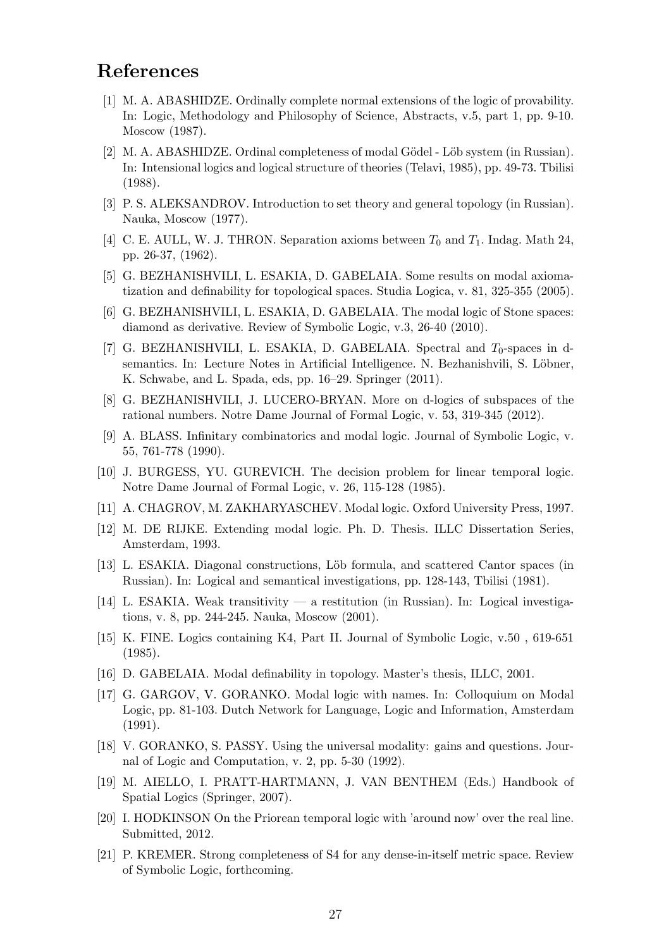### References

- [1] M. A. ABASHIDZE. Ordinally complete normal extensions of the logic of provability. In: Logic, Methodology and Philosophy of Science, Abstracts, v.5, part 1, pp. 9-10. Moscow (1987).
- [2] M. A. ABASHIDZE. Ordinal completeness of modal Gödel Löb system (in Russian). In: Intensional logics and logical structure of theories (Telavi, 1985), pp. 49-73. Tbilisi (1988).
- [3] P. S. ALEKSANDROV. Introduction to set theory and general topology (in Russian). Nauka, Moscow (1977).
- [4] C. E. AULL, W. J. THRON. Separation axioms between  $T_0$  and  $T_1$ . Indag. Math 24, pp. 26-37, (1962).
- [5] G. BEZHANISHVILI, L. ESAKIA, D. GABELAIA. Some results on modal axiomatization and definability for topological spaces. Studia Logica, v. 81, 325-355 (2005).
- [6] G. BEZHANISHVILI, L. ESAKIA, D. GABELAIA. The modal logic of Stone spaces: diamond as derivative. Review of Symbolic Logic, v.3, 26-40 (2010).
- [7] G. BEZHANISHVILI, L. ESAKIA, D. GABELAIA. Spectral and  $T_0$ -spaces in dsemantics. In: Lecture Notes in Artificial Intelligence. N. Bezhanishvili, S. Löbner, K. Schwabe, and L. Spada, eds, pp. 16–29. Springer (2011).
- [8] G. BEZHANISHVILI, J. LUCERO-BRYAN. More on d-logics of subspaces of the rational numbers. Notre Dame Journal of Formal Logic, v. 53, 319-345 (2012).
- [9] A. BLASS. Infinitary combinatorics and modal logic. Journal of Symbolic Logic, v. 55, 761-778 (1990).
- [10] J. BURGESS, YU. GUREVICH. The decision problem for linear temporal logic. Notre Dame Journal of Formal Logic, v. 26, 115-128 (1985).
- [11] A. CHAGROV, M. ZAKHARYASCHEV. Modal logic. Oxford University Press, 1997.
- [12] M. DE RIJKE. Extending modal logic. Ph. D. Thesis. ILLC Dissertation Series, Amsterdam, 1993.
- [13] L. ESAKIA. Diagonal constructions, Löb formula, and scattered Cantor spaces (in Russian). In: Logical and semantical investigations, pp. 128-143, Tbilisi (1981).
- [14] L. ESAKIA. Weak transitivity a restitution (in Russian). In: Logical investigations, v. 8, pp. 244-245. Nauka, Moscow (2001).
- [15] K. FINE. Logics containing K4, Part II. Journal of Symbolic Logic, v.50 , 619-651 (1985).
- [16] D. GABELAIA. Modal definability in topology. Master's thesis, ILLC, 2001.
- [17] G. GARGOV, V. GORANKO. Modal logic with names. In: Colloquium on Modal Logic, pp. 81-103. Dutch Network for Language, Logic and Information, Amsterdam (1991).
- [18] V. GORANKO, S. PASSY. Using the universal modality: gains and questions. Journal of Logic and Computation, v. 2, pp. 5-30 (1992).
- [19] M. AIELLO, I. PRATT-HARTMANN, J. VAN BENTHEM (Eds.) Handbook of Spatial Logics (Springer, 2007).
- [20] I. HODKINSON On the Priorean temporal logic with 'around now' over the real line. Submitted, 2012.
- [21] P. KREMER. Strong completeness of S4 for any dense-in-itself metric space. Review of Symbolic Logic, forthcoming.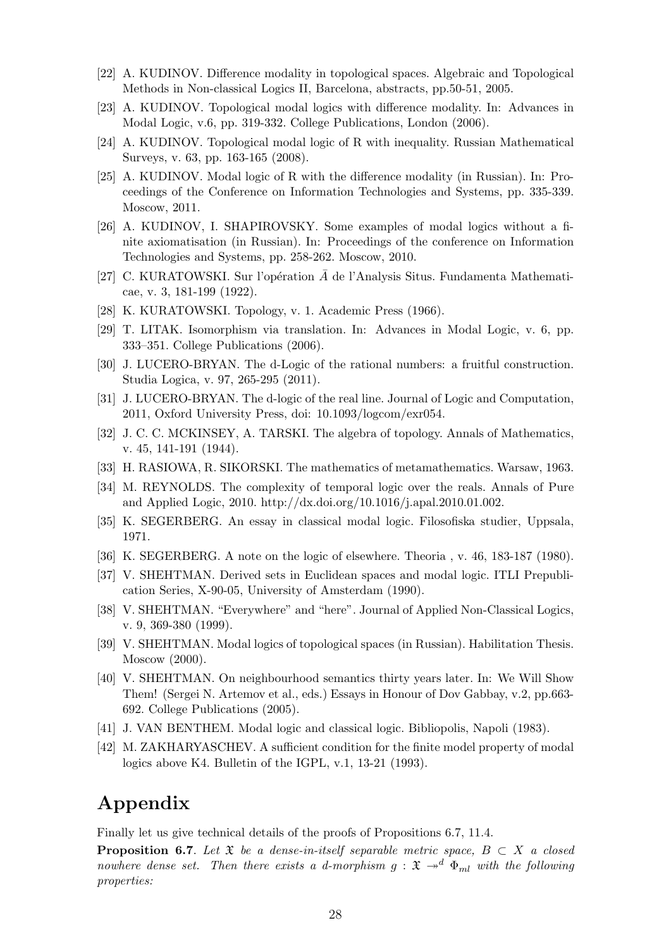- [22] A. KUDINOV. Difference modality in topological spaces. Algebraic and Topological Methods in Non-classical Logics II, Barcelona, abstracts, pp.50-51, 2005.
- [23] A. KUDINOV. Topological modal logics with difference modality. In: Advances in Modal Logic, v.6, pp. 319-332. College Publications, London (2006).
- [24] A. KUDINOV. Topological modal logic of R with inequality. Russian Mathematical Surveys, v. 63, pp. 163-165 (2008).
- [25] A. KUDINOV. Modal logic of R with the difference modality (in Russian). In: Proceedings of the Conference on Information Technologies and Systems, pp. 335-339. Moscow, 2011.
- [26] A. KUDINOV, I. SHAPIROVSKY. Some examples of modal logics without a finite axiomatisation (in Russian). In: Proceedings of the conference on Information Technologies and Systems, pp. 258-262. Moscow, 2010.
- [27] C. KURATOWSKI. Sur l'opération  $\overline{A}$  de l'Analysis Situs. Fundamenta Mathematicae, v. 3, 181-199 (1922).
- [28] K. KURATOWSKI. Topology, v. 1. Academic Press (1966).
- [29] T. LITAK. Isomorphism via translation. In: Advances in Modal Logic, v. 6, pp. 333–351. College Publications (2006).
- [30] J. LUCERO-BRYAN. The d-Logic of the rational numbers: a fruitful construction. Studia Logica, v. 97, 265-295 (2011).
- [31] J. LUCERO-BRYAN. The d-logic of the real line. Journal of Logic and Computation, 2011, Oxford University Press, doi: 10.1093/logcom/exr054.
- [32] J. C. C. MCKINSEY, A. TARSKI. The algebra of topology. Annals of Mathematics, v. 45, 141-191 (1944).
- [33] H. RASIOWA, R. SIKORSKI. The mathematics of metamathematics. Warsaw, 1963.
- [34] M. REYNOLDS. The complexity of temporal logic over the reals. Annals of Pure and Applied Logic, 2010. http://dx.doi.org/10.1016/j.apal.2010.01.002.
- [35] K. SEGERBERG. An essay in classical modal logic. Filosofiska studier, Uppsala, 1971.
- [36] K. SEGERBERG. A note on the logic of elsewhere. Theoria , v. 46, 183-187 (1980).
- [37] V. SHEHTMAN. Derived sets in Euclidean spaces and modal logic. ITLI Prepublication Series, X-90-05, University of Amsterdam (1990).
- [38] V. SHEHTMAN. "Everywhere" and "here". Journal of Applied Non-Classical Logics, v. 9, 369-380 (1999).
- [39] V. SHEHTMAN. Modal logics of topological spaces (in Russian). Habilitation Thesis. Moscow (2000).
- [40] V. SHEHTMAN. On neighbourhood semantics thirty years later. In: We Will Show Them! (Sergei N. Artemov et al., eds.) Essays in Honour of Dov Gabbay, v.2, pp.663- 692. College Publications (2005).
- [41] J. VAN BENTHEM. Modal logic and classical logic. Bibliopolis, Napoli (1983).
- [42] M. ZAKHARYASCHEV. A sufficient condition for the finite model property of modal logics above K4. Bulletin of the IGPL, v.1, 13-21 (1993).

## Appendix

Finally let us give technical details of the proofs of Propositions 6.7, 11.4.

**Proposition 6.7.** Let  $\mathfrak{X}$  be a dense-in-itself separable metric space,  $B \subset X$  a closed nowhere dense set. Then there exists a d-morphism  $g: \mathfrak{X} \to^d \Phi_{ml}$  with the following properties: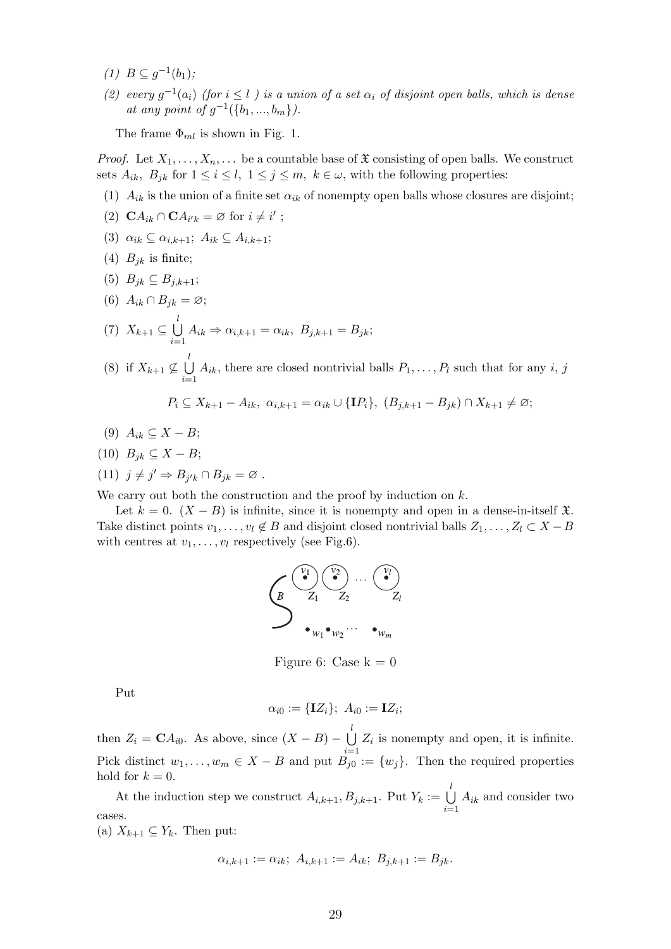- (1)  $B ⊆ g^{-1}(b_1);$
- (2) every  $g^{-1}(a_i)$  (for  $i \leq l$ ) is a union of a set  $\alpha_i$  of disjoint open balls, which is dense at any point of  $g^{-1}(\{b_1, ..., b_m\})$ .

The frame  $\Phi_{ml}$  is shown in Fig. 1.

*Proof.* Let  $X_1, \ldots, X_n, \ldots$  be a countable base of  $\mathfrak X$  consisting of open balls. We construct sets  $A_{ik}$ ,  $B_{jk}$  for  $1 \leq i \leq l$ ,  $1 \leq j \leq m$ ,  $k \in \omega$ , with the following properties:

- (1)  $A_{ik}$  is the union of a finite set  $\alpha_{ik}$  of nonempty open balls whose closures are disjoint;
- (2)  $\mathbf{C}A_{ik} \cap \mathbf{C}A_{i'k} = \varnothing$  for  $i \neq i'$ ;
- (3)  $\alpha_{ik} \subseteq \alpha_{i,k+1}$ ;  $A_{ik} \subseteq A_{i,k+1}$ ;
- (4)  $B_{jk}$  is finite;
- (5)  $B_{ik} \subseteq B_{i,k+1};$
- (6)  $A_{ik} \cap B_{jk} = \varnothing;$

(7) 
$$
X_{k+1} \subseteq \bigcup_{i=1}^{l} A_{ik} \Rightarrow \alpha_{i,k+1} = \alpha_{ik}, B_{j,k+1} = B_{jk};
$$

(8) if  $X_{k+1} \nsubseteq \bigcup^{l}$  $i=1$  $A_{ik}$ , there are closed nontrivial balls  $P_1, \ldots, P_l$  such that for any i, j

$$
P_i \subseteq X_{k+1} - A_{ik}, \ \alpha_{i,k+1} = \alpha_{ik} \cup \{\mathbf{I}P_i\}, \ (B_{j,k+1} - B_{jk}) \cap X_{k+1} \neq \emptyset;
$$

- (9)  $A_{ik} \subseteq X B;$
- (10)  $B_{ik} \subseteq X B;$
- (11)  $j \neq j' \Rightarrow B_{j'k} \cap B_{jk} = \varnothing$ .

We carry out both the construction and the proof by induction on  $k$ .

Let  $k = 0$ .  $(X - B)$  is infinite, since it is nonempty and open in a dense-in-itself  $\mathfrak{X}$ . Take distinct points  $v_1, \ldots, v_l \notin B$  and disjoint closed nontrivial balls  $Z_1, \ldots, Z_l \subset X - B$ with centres at  $v_1, \ldots, v_l$  respectively (see Fig.6).

$$
\left(\begin{matrix}\n\overbrace{\mathbf{B}} & \overbrace{\mathbf{Z}_1} & \overbrace{\mathbf{Z}_2} & \cdots & \overbrace{\mathbf{C}_l} \\
\mathbf{B} & \mathbf{Z}_1 & \mathbf{Z}_2 & \cdots & \mathbf{Z}_l\n\end{matrix}\right)
$$

Figure 6: Case  $k = 0$ 

Put

$$
\alpha_{i0} := \{\mathbf{I}Z_i\}; \ A_{i0} := \mathbf{I}Z_i;
$$

then  $Z_i = \mathbf{C} A_{i0}$ . As above, since  $(X - B) - \bigcup_{i=1}^{l} A_{i0}$  $i=1$  $Z_i$  is nonempty and open, it is infinite. Pick distinct  $w_1, \ldots, w_m \in X - B$  and put  $B_{j0}^{i-1} := \{w_j\}$ . Then the required properties hold for  $k = 0$ .

At the induction step we construct  $A_{i,k+1}, B_{j,k+1}$ . Put  $Y_k := \bigcup_{i=1}^l A_i$  $i=1$  $A_{ik}$  and consider two cases.

(a)  $X_{k+1} \subseteq Y_k$ . Then put:

$$
\alpha_{i,k+1} := \alpha_{ik}; \ A_{i,k+1} := A_{ik}; \ B_{j,k+1} := B_{jk}.
$$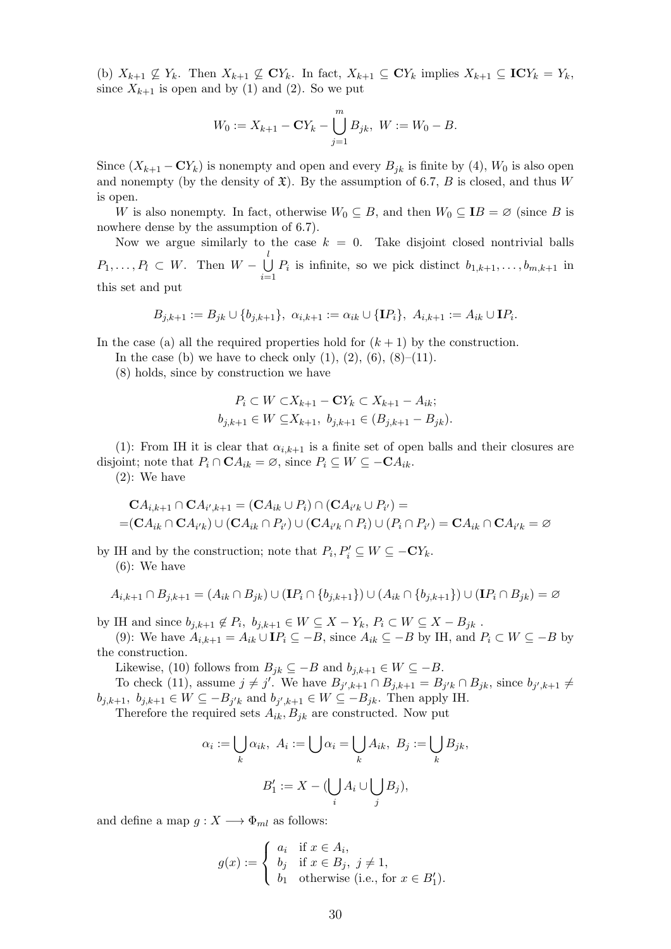(b)  $X_{k+1} \nsubseteq Y_k$ . Then  $X_{k+1} \nsubseteq \mathbb{C}Y_k$ . In fact,  $X_{k+1} \subseteq \mathbb{C}Y_k$  implies  $X_{k+1} \subseteq \mathbb{C}Y_k = Y_k$ , since  $X_{k+1}$  is open and by (1) and (2). So we put

$$
W_0 := X_{k+1} - \mathbf{C}Y_k - \bigcup_{j=1}^m B_{jk}, \ W := W_0 - B.
$$

Since  $(X_{k+1}-\mathbf{C}Y_k)$  is nonempty and open and every  $B_{ik}$  is finite by (4),  $W_0$  is also open and nonempty (by the density of  $\mathfrak{X}$ ). By the assumption of 6.7, B is closed, and thus W is open.

W is also nonempty. In fact, otherwise  $W_0 \subseteq B$ , and then  $W_0 \subseteq IB = \emptyset$  (since B is nowhere dense by the assumption of 6.7).

Now we argue similarly to the case  $k = 0$ . Take disjoint closed nontrivial balls  $P_1, \ldots, P_l \subset W$ . Then  $W - \bigcup_{l=1}^{l}$  $i=1$  $P_i$  is infinite, so we pick distinct  $b_{1,k+1}, \ldots, b_{m,k+1}$  in this set and put

$$
B_{j,k+1}:=B_{jk}\cup\{b_{j,k+1}\},\ \alpha_{i,k+1}:=\alpha_{ik}\cup\{\mathbf{I} P_i\},\ A_{i,k+1}:=A_{ik}\cup\mathbf{I} P_i.
$$

In the case (a) all the required properties hold for  $(k + 1)$  by the construction.

In the case (b) we have to check only  $(1), (2), (6), (8)$ – $(11)$ .

(8) holds, since by construction we have

$$
P_i \subset W \subset X_{k+1} - \mathbf{C}Y_k \subset X_{k+1} - A_{ik};
$$
  

$$
b_{j,k+1} \in W \subseteq X_{k+1}, b_{j,k+1} \in (B_{j,k+1} - B_{jk}).
$$

(1): From IH it is clear that  $\alpha_{i,k+1}$  is a finite set of open balls and their closures are disjoint; note that  $P_i \cap \mathbf{C} A_{ik} = \varnothing$ , since  $P_i \subseteq W \subseteq -\mathbf{C} A_{ik}$ .

(2): We have

$$
\mathbf{C}A_{i,k+1}\cap \mathbf{C}A_{i',k+1}=(\mathbf{C}A_{ik}\cup P_i)\cap (\mathbf{C}A_{i'k}\cup P_{i'})=\\=(\mathbf{C}A_{ik}\cap \mathbf{C}A_{i'k})\cup (\mathbf{C}A_{ik}\cap P_{i'})\cup (\mathbf{C}A_{i'k}\cap P_i)\cup (P_i\cap P_{i'})=\mathbf{C}A_{ik}\cap \mathbf{C}A_{i'k}=\varnothing
$$

by IH and by the construction; note that  $P_i, P'_i \subseteq W \subseteq -CY_k$ . (6): We have

$$
A_{i,k+1} \cap B_{j,k+1} = (A_{ik} \cap B_{jk}) \cup (\mathbf{I} P_i \cap \{b_{j,k+1}\}) \cup (A_{ik} \cap \{b_{j,k+1}\}) \cup (\mathbf{I} P_i \cap B_{jk}) = \emptyset
$$

by IH and since  $b_{j,k+1} \notin P_i$ ,  $b_{j,k+1} \in W \subseteq X - Y_k$ ,  $P_i \subset W \subseteq X - B_{jk}$ .

(9): We have  $A_{i,k+1} = A_{ik} \cup \mathbf{I} P_i \subseteq -B$ , since  $A_{ik} \subseteq -B$  by IH, and  $P_i \subset W \subseteq -B$  by the construction.

Likewise, (10) follows from  $B_{jk} \subseteq -B$  and  $b_{j,k+1} \in W \subseteq -B$ .

To check (11), assume  $j \neq j'$ . We have  $B_{j',k+1} \cap B_{j,k+1} = B_{j'k} \cap B_{jk}$ , since  $b_{j',k+1} \neq j'$ .  $b_{j,k+1}, b_{j,k+1} \in W \subseteq -B_{j'k}$  and  $b_{j',k+1} \in W \subseteq -B_{jk}$ . Then apply IH.

Therefore the required sets  $A_{ik}$ ,  $B_{ik}$  are constructed. Now put

$$
\alpha_i := \bigcup_k \alpha_{ik}, \ A_i := \bigcup \alpha_i = \bigcup_k A_{ik}, \ B_j := \bigcup_k B_{jk},
$$

$$
B'_1 := X - (\bigcup_i A_i \cup \bigcup_j B_j),
$$

and define a map  $g: X \longrightarrow \Phi_{ml}$  as follows:

$$
g(x) := \begin{cases} a_i & \text{if } x \in A_i, \\ b_j & \text{if } x \in B_j, \ j \neq 1, \\ b_1 & \text{otherwise (i.e., for } x \in B'_1). \end{cases}
$$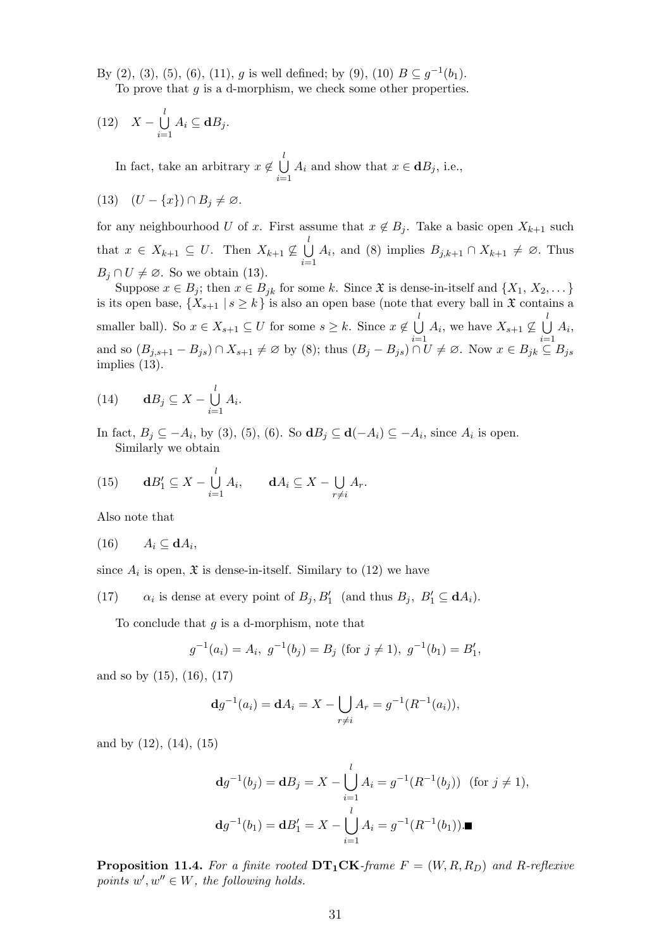By (2), (3), (5), (6), (11), g is well defined; by (9), (10)  $B \subseteq g^{-1}(b_1)$ . To prove that  $g$  is a d-morphism, we check some other properties.

(12) 
$$
X - \bigcup_{i=1}^{l} A_i \subseteq \mathbf{d}B_j.
$$

In fact, take an arbitrary  $x \notin \bigcup_{\alpha=1}^l$  $i=1$  $A_i$  and show that  $x \in \mathbf{d}B_j$ , i.e.,

$$
(13)\quad (U - \{x\}) \cap B_j \neq \varnothing.
$$

for any neighbourhood U of x. First assume that  $x \notin B_j$ . Take a basic open  $X_{k+1}$  such that  $x \in X_{k+1} \subseteq U$ . Then  $X_{k+1} \nsubseteq \bigcup_{k=1}^{l}$  $i=1$  $A_i$ , and (8) implies  $B_{j,k+1} \cap X_{k+1} \neq \emptyset$ . Thus  $B_i \cap U \neq \emptyset$ . So we obtain (13).

Suppose  $x \in B_j$ ; then  $x \in B_{jk}$  for some k. Since  $\mathfrak{X}$  is dense-in-itself and  $\{X_1, X_2, \dots\}$ is its open base,  $\{X_{s+1} | s \ge k\}$  is also an open base (note that every ball in  $\mathfrak X$  contains a smaller ball). So  $x \in X_{s+1} \subseteq U$  for some  $s \geq k$ . Since  $x \notin \bigcup_{i=1}^{l} k_i$  $i=1$  $A_i$ , we have  $X_{s+1} \nsubseteq \bigcup_{i=1}^{l}$  $i=1$  $A_i,$ and so  $(B_{j,s+1} - B_{js}) \cap X_{s+1} \neq \emptyset$  by (8); thus  $(B_j - B_{js}) \cap U \neq \emptyset$ . Now  $x \in B_{jk} \subseteq B_{js}$ implies (13).

(14) 
$$
\mathbf{d}B_j \subseteq X - \bigcup_{i=1}^l A_i.
$$

In fact,  $B_j \subseteq -A_i$ , by (3), (5), (6). So  $\mathbf{d}B_j \subseteq \mathbf{d}(-A_i) \subseteq -A_i$ , since  $A_i$  is open. Similarly we obtain

(15) 
$$
\mathbf{d}B'_1 \subseteq X - \bigcup_{i=1}^l A_i, \qquad \mathbf{d}A_i \subseteq X - \bigcup_{r \neq i} A_r.
$$

Also note that

$$
(16) \qquad A_i \subseteq \mathbf{d}A_i,
$$

since  $A_i$  is open,  $\mathfrak X$  is dense-in-itself. Similary to (12) we have

 $(17)$ is dense at every point of  $B_j$ ,  $B'_1$  (and thus  $B_j$ ,  $B'_1 \subseteq \mathbf{d}A_i$ ).

To conclude that  $q$  is a d-morphism, note that

$$
g^{-1}(a_i) = A_i, g^{-1}(b_j) = B_j \text{ (for } j \neq 1), g^{-1}(b_1) = B'_1,
$$

and so by (15), (16), (17)

$$
dg^{-1}(a_i) = dA_i = X - \bigcup_{r \neq i} A_r = g^{-1}(R^{-1}(a_i)),
$$

and by (12), (14), (15)

$$
\mathbf{d}g^{-1}(b_j) = \mathbf{d}B_j = X - \bigcup_{i=1}^{l} A_i = g^{-1}(R^{-1}(b_j)) \text{ (for } j \neq 1),
$$
  

$$
\mathbf{d}g^{-1}(b_1) = \mathbf{d}B'_1 = X - \bigcup_{i=1}^{l} A_i = g^{-1}(R^{-1}(b_1)).\blacksquare
$$

**Proposition 11.4.** For a finite rooted  $DT_1CK$ -frame  $F = (W, R, R_D)$  and R-reflexive points  $w', w'' \in W$ , the following holds.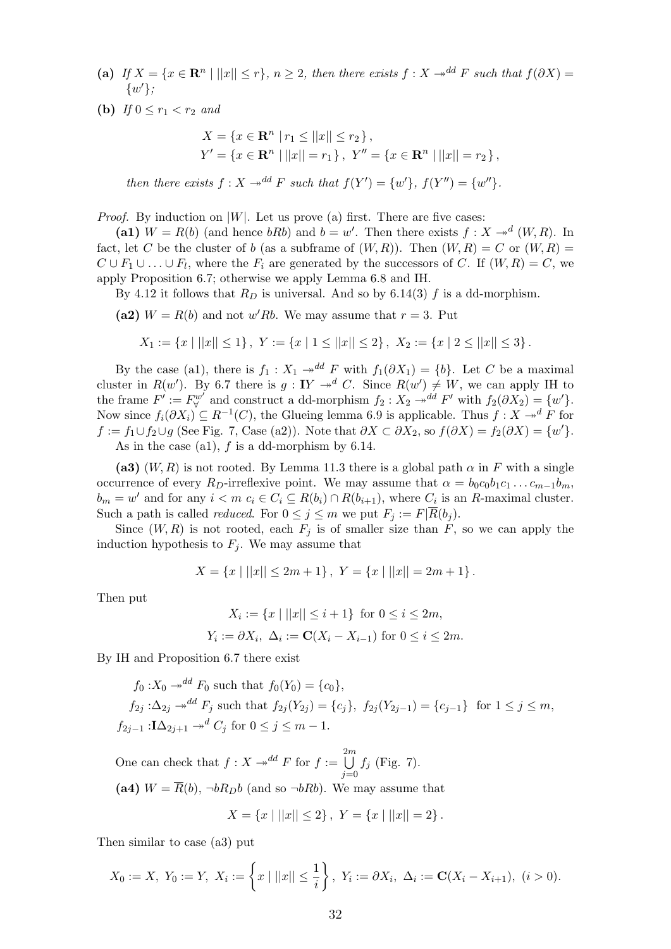- (a) If  $X = \{x \in \mathbb{R}^n \mid ||x|| \leq r\}, n \geq 2$ , then there exists  $f : X \to^{dd} F$  such that  $f(\partial X) =$  $\{w'\};$
- (**b**) If  $0 \le r_1 < r_2$  and

$$
X = \{x \in \mathbf{R}^n \mid r_1 \le ||x|| \le r_2 \},
$$
  
\n
$$
Y' = \{x \in \mathbf{R}^n \mid ||x|| = r_1 \}, Y'' = \{x \in \mathbf{R}^n \mid ||x|| = r_2 \},
$$

then there exists  $f: X \to^{dd} F$  such that  $f(Y') = \{w'\}, f(Y'') = \{w''\}.$ 

*Proof.* By induction on  $|W|$ . Let us prove (a) first. There are five cases:

(a1)  $W = R(b)$  (and hence  $bRb$ ) and  $b = w'$ . Then there exists  $f : X \rightarrow d(W, R)$ . In fact, let C be the cluster of b (as a subframe of  $(W, R)$ ). Then  $(W, R) = C$  or  $(W, R) = C$  $C \cup F_1 \cup \ldots \cup F_l$ , where the  $F_i$  are generated by the successors of C. If  $(W, R) = C$ , we apply Proposition 6.7; otherwise we apply Lemma 6.8 and IH.

By 4.12 it follows that  $R_D$  is universal. And so by 6.14(3) f is a dd-morphism.

(a2)  $W = R(b)$  and not w'Rb. We may assume that  $r = 3$ . Put

$$
X_1 := \{x \mid ||x|| \le 1\}, \ Y := \{x \mid 1 \le ||x|| \le 2\}, \ X_2 := \{x \mid 2 \le ||x|| \le 3\}.
$$

By the case (a1), there is  $f_1 : X_1 \rightarrow d^d F$  with  $f_1(\partial X_1) = \{b\}$ . Let C be a maximal cluster in  $R(w')$ . By 6.7 there is  $g: IY \rightarrow d^d C$ . Since  $R(w') \neq W$ , we can apply IH to the frame  $F' := F_V^{w'}$  and construct a dd-morphism  $f_2 : X_2 \to^{dd} F'$  with  $f_2(\partial X_2) = \{w'\}.$ Now since  $f_i(\partial X_i) \subseteq R^{-1}(C)$ , the Glueing lemma 6.9 is applicable. Thus  $f: X \to^d F$  for  $f := f_1 \cup f_2 \cup g$  (See Fig. 7, Case (a2)). Note that  $\partial X \subset \partial X_2$ , so  $f(\partial X) = f_2(\partial X) = \{w'\}.$ As in the case (a1),  $f$  is a dd-morphism by 6.14.

(a3)  $(W, R)$  is not rooted. By Lemma 11.3 there is a global path  $\alpha$  in F with a single occurrence of every  $R_D$ -irreflexive point. We may assume that  $\alpha = b_0 c_0 b_1 c_1 \dots c_{m-1} b_m$ ,  $b_m = w'$  and for any  $i < m$   $c_i \in C_i \subseteq R(b_i) \cap R(b_{i+1}),$  where  $C_i$  is an R-maximal cluster. Such a path is called *reduced*. For  $0 \leq j \leq m$  we put  $F_j := F | \overline{R}(b_j)$ .

Since  $(W, R)$  is not rooted, each  $F_j$  is of smaller size than F, so we can apply the induction hypothesis to  $F_j$ . We may assume that

$$
X = \{x \mid ||x|| \le 2m + 1\}, \ Y = \{x \mid ||x|| = 2m + 1\}.
$$

Then put

$$
X_i := \{x \mid ||x|| \le i+1\} \text{ for } 0 \le i \le 2m,
$$
  

$$
Y_i := \partial X_i, \ \Delta_i := \mathbf{C}(X_i - X_{i-1}) \text{ for } 0 \le i \le 2m.
$$

By IH and Proposition 6.7 there exist

$$
f_0: X_0 \to^{dd} F_0 \text{ such that } f_0(Y_0) = \{c_0\},
$$
  
\n
$$
f_{2j}: \Delta_{2j} \to^{dd} F_j \text{ such that } f_{2j}(Y_{2j}) = \{c_j\}, f_{2j}(Y_{2j-1}) = \{c_{j-1}\} \text{ for } 1 \le j \le m,
$$
  
\n
$$
f_{2j-1}: \mathbf{I}\Delta_{2j+1} \to^{d} C_j \text{ for } 0 \le j \le m-1.
$$

One can check that  $f : X \rightarrow d^d F$  for  $f := \bigcup^{2m}$  $j=0$  $f_j$  (Fig. 7). (a4)  $W = \overline{R}(b)$ ,  $\neg bR_{D}b$  (and so  $\neg bRb$ ). We may assume that

$$
X = \{x \mid ||x|| \le 2\}, \ Y = \{x \mid ||x|| = 2\}.
$$

Then similar to case (a3) put

$$
X_0 := X, Y_0 := Y, X_i := \left\{ x \mid ||x|| \leq \frac{1}{i} \right\}, Y_i := \partial X_i, \Delta_i := \mathbf{C}(X_i - X_{i+1}), (i > 0).
$$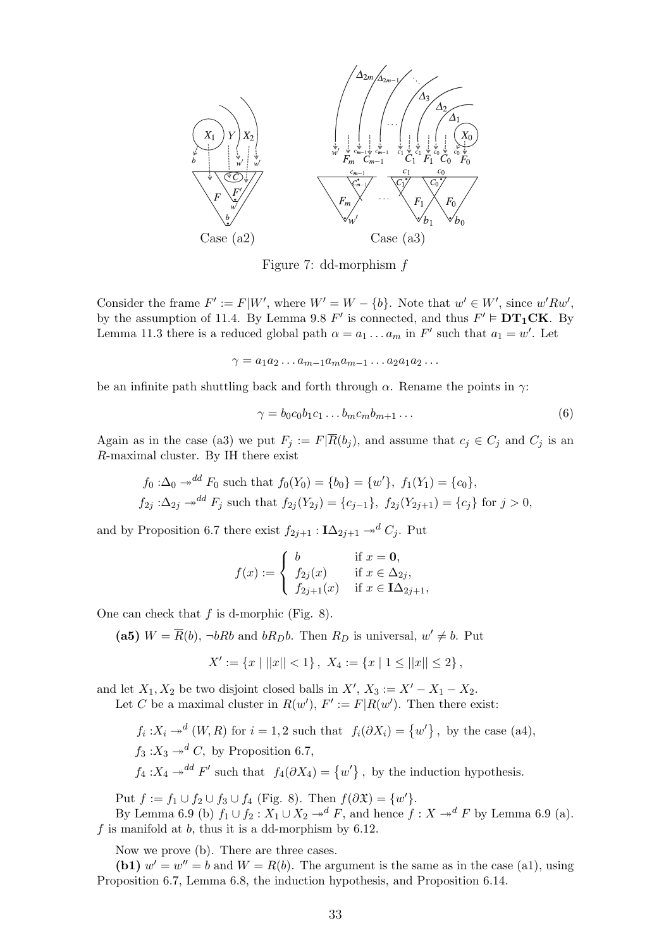

Figure 7: dd-morphism f

Consider the frame  $F' := F|W'$ , where  $W' = W - \{b\}$ . Note that  $w' \in W'$ , since  $w' R w'$ , by the assumption of 11.4. By Lemma 9.8  $F'$  is connected, and thus  $F' \models DT_1CK$ . By Lemma 11.3 there is a reduced global path  $\alpha = a_1 \dots a_m$  in  $F'$  such that  $a_1 = w'$ . Let

 $\gamma = a_1 a_2 \dots a_{m-1} a_m a_{m-1} \dots a_2 a_1 a_2 \dots$ 

be an infinite path shuttling back and forth through  $\alpha$ . Rename the points in  $\gamma$ :

$$
\gamma = b_0 c_0 b_1 c_1 \dots b_m c_m b_{m+1} \dots \tag{6}
$$

Again as in the case (a3) we put  $F_j := F|\overline{R}(b_j)$ , and assume that  $c_j \in C_j$  and  $C_j$  is an R-maximal cluster. By IH there exist

$$
f_0: \Delta_0 \to^{dd} F_0 \text{ such that } f_0(Y_0) = \{b_0\} = \{w'\}, f_1(Y_1) = \{c_0\},
$$
  

$$
f_{2j}: \Delta_{2j} \to^{dd} F_j \text{ such that } f_{2j}(Y_{2j}) = \{c_{j-1}\}, f_{2j}(Y_{2j+1}) = \{c_j\} \text{ for } j > 0,
$$

and by Proposition 6.7 there exist  $f_{2j+1}$  :  $I\Delta_{2j+1} \rightarrow^d C_j$ . Put

$$
f(x) := \begin{cases} b & \text{if } x = 0, \\ f_{2j}(x) & \text{if } x \in \Delta_{2j}, \\ f_{2j+1}(x) & \text{if } x \in \mathbf{I}\Delta_{2j+1}, \end{cases}
$$

One can check that  $f$  is d-morphic (Fig. 8).

(a5)  $W = \overline{R}(b)$ ,  $\neg bRb$  and  $bR_{D}b$ . Then  $R_{D}$  is universal,  $w' \neq b$ . Put

$$
X' := \{x \mid ||x|| < 1\}, \ X_4 := \{x \mid 1 \le ||x|| \le 2\},\
$$

and let  $X_1, X_2$  be two disjoint closed balls in  $X', X_3 := X' - X_1 - X_2$ .

Let C be a maximal cluster in  $R(w')$ ,  $F' := F|R(w')$ . Then there exist:

 $f_i: X_i \to^d (W, R)$  for  $i = 1, 2$  such that  $f_i(\partial X_i) = \{w'\}$ , by the case (a4),  $f_3: X_3 \rightarrow d^d C$ , by Proposition 6.7,

 $f_4: X_4 \rightarrow^{dd} F'$  such that  $f_4(\partial X_4) = \{w'\}$ , by the induction hypothesis.

Put  $f := f_1 \cup f_2 \cup f_3 \cup f_4$  (Fig. 8). Then  $f(\partial \mathfrak{X}) = \{w'\}.$ 

By Lemma 6.9 (b)  $f_1 \cup f_2 : X_1 \cup X_2 \to^d F$ , and hence  $f : X \to^d F$  by Lemma 6.9 (a). f is manifold at  $b$ , thus it is a dd-morphism by 6.12.

Now we prove (b). There are three cases.

(b1)  $w' = w'' = b$  and  $W = R(b)$ . The argument is the same as in the case (a1), using Proposition 6.7, Lemma 6.8, the induction hypothesis, and Proposition 6.14.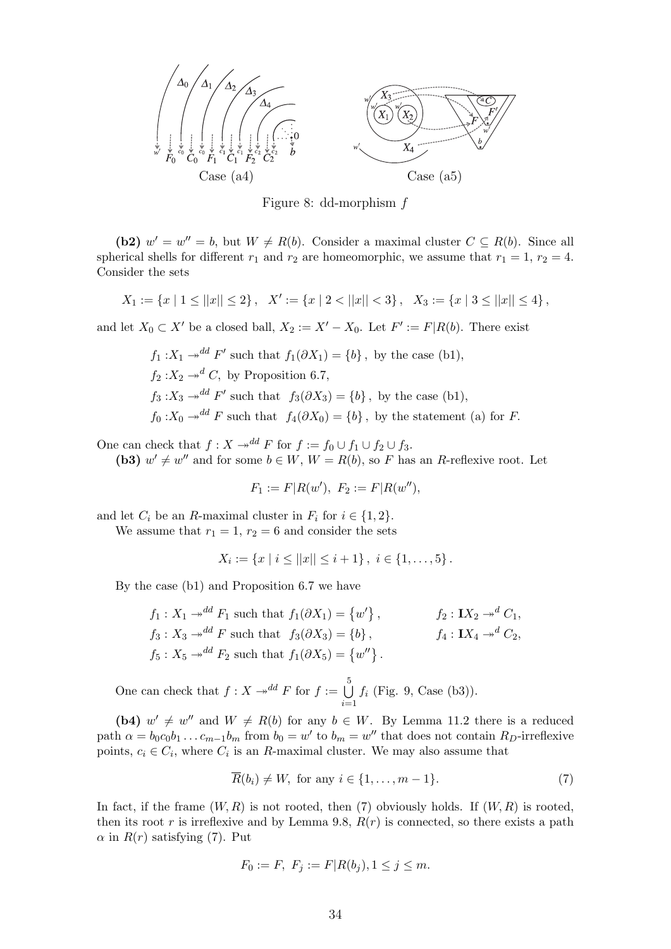

Figure 8: dd-morphism f

(b2)  $w' = w'' = b$ , but  $W \neq R(b)$ . Consider a maximal cluster  $C \subseteq R(b)$ . Since all spherical shells for different  $r_1$  and  $r_2$  are homeomorphic, we assume that  $r_1 = 1$ ,  $r_2 = 4$ . Consider the sets

$$
X_1 := \{x \mid 1 \le ||x|| \le 2\}, \quad X' := \{x \mid 2 < ||x|| < 3\}, \quad X_3 := \{x \mid 3 \le ||x|| \le 4\},
$$

and let  $X_0 \subset X'$  be a closed ball,  $X_2 := X' - X_0$ . Let  $F' := F | R(b)$ . There exist

$$
f_1: X_1 \to^{dd} F'
$$
 such that  $f_1(\partial X_1) = \{b\}$ , by the case (b1),  
\n $f_2: X_2 \to^d C$ , by Proposition 6.7,  
\n $f_3: X_3 \to^{dd} F'$  such that  $f_3(\partial X_3) = \{b\}$ , by the case (b1),  
\n $f_0: X_0 \to^{dd} F$  such that  $f_4(\partial X_0) = \{b\}$ , by the statement (a) for F.

One can check that  $f : X \to^{dd} F$  for  $f := f_0 \cup f_1 \cup f_2 \cup f_3$ .

(b3)  $w' \neq w''$  and for some  $b \in W$ ,  $W = R(b)$ , so F has an R-reflexive root. Let

$$
F_1 := F | R(w'), F_2 := F | R(w''),
$$

and let  $C_i$  be an R-maximal cluster in  $F_i$  for  $i \in \{1, 2\}.$ 

We assume that  $r_1 = 1$ ,  $r_2 = 6$  and consider the sets

$$
X_i := \{x \mid i \leq ||x|| \leq i+1\}, \ i \in \{1, \ldots, 5\}.
$$

By the case (b1) and Proposition 6.7 we have

$$
f_1: X_1 \twoheadrightarrow^{dd} F_1 \text{ such that } f_1(\partial X_1) = \{w'\}, \qquad f_2: \mathbf{I}X_2 \twoheadrightarrow^d C_1,
$$
  
\n
$$
f_3: X_3 \twoheadrightarrow^{dd} F \text{ such that } f_3(\partial X_3) = \{b\}, \qquad f_4: \mathbf{I}X_4 \twoheadrightarrow^d C_2,
$$
  
\n
$$
f_5: X_5 \twoheadrightarrow^{dd} F_2 \text{ such that } f_1(\partial X_5) = \{w''\}.
$$

One can check that  $f : X \rightarrow d^d F$  for  $f := \bigcup_{i=1}^{5}$  $i=1$  $f_i$  (Fig. 9, Case (b3)).

(b4)  $w' \neq w''$  and  $W \neq R(b)$  for any  $b \in W$ . By Lemma 11.2 there is a reduced path  $\alpha = b_0 c_0 b_1 \dots c_{m-1} b_m$  from  $b_0 = w'$  to  $b_m = w''$  that does not contain  $R_D$ -irreflexive points,  $c_i \in C_i$ , where  $C_i$  is an R-maximal cluster. We may also assume that

$$
R(b_i) \neq W
$$
, for any  $i \in \{1, ..., m-1\}$ . (7)

In fact, if the frame  $(W, R)$  is not rooted, then (7) obviously holds. If  $(W, R)$  is rooted, then its root r is irreflexive and by Lemma 9.8,  $R(r)$  is connected, so there exists a path  $\alpha$  in  $R(r)$  satisfying (7). Put

$$
F_0 := F, \ F_j := F | R(b_j), 1 \le j \le m.
$$